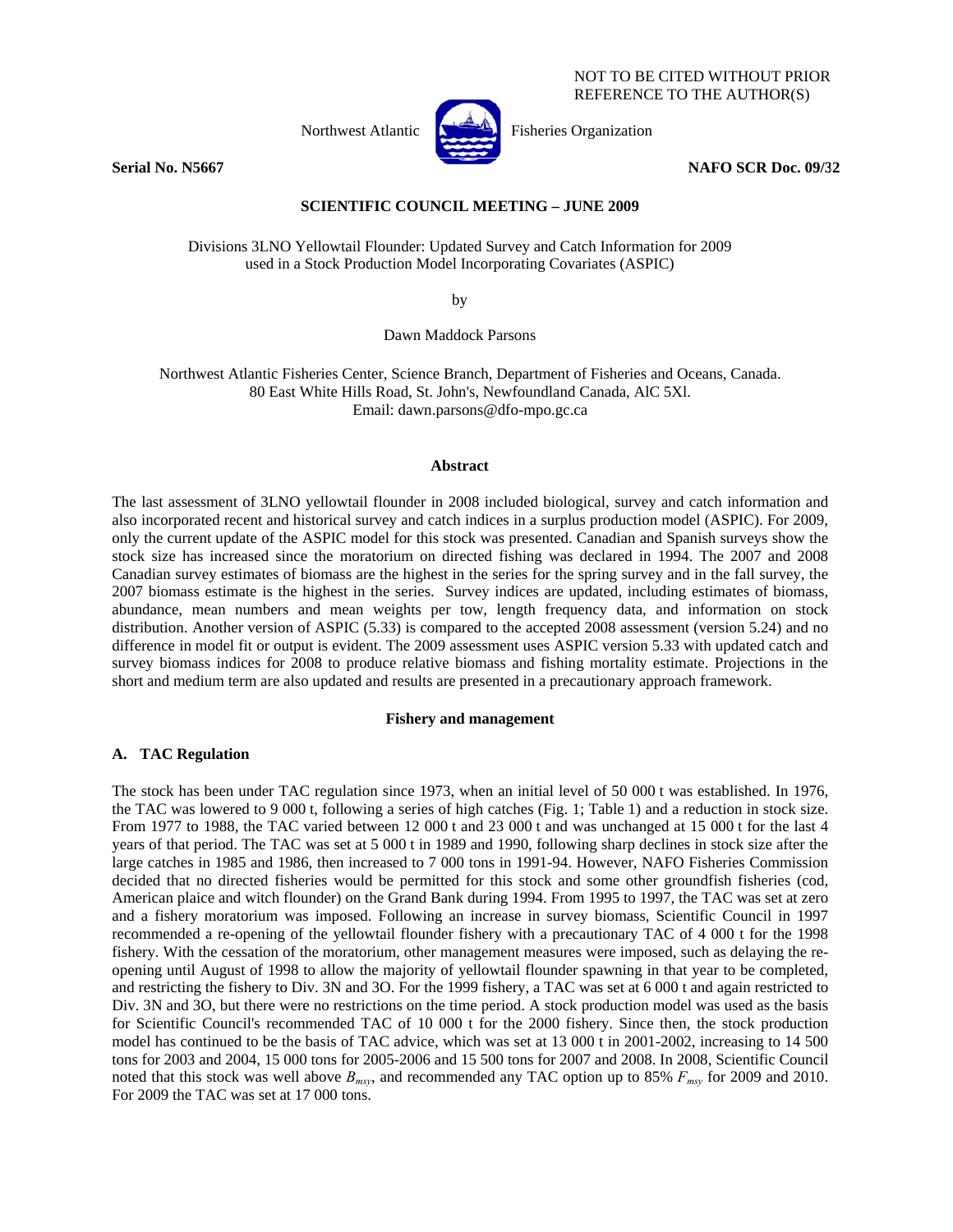NOT TO BE CITED WITHOUT PRIOR REFERENCE TO THE AUTHOR(S)



Northwest Atlantic  $\begin{bmatrix} 1 & 1 \\ 1 & 1 \end{bmatrix}$  Fisheries Organization

**Serial No. N5667** NAFO SCR Doc. 09/32

## **SCIENTIFIC COUNCIL MEETING – JUNE 2009**

Divisions 3LNO Yellowtail Flounder: Updated Survey and Catch Information for 2009 used in a Stock Production Model Incorporating Covariates (ASPIC)

by

Dawn Maddock Parsons

Northwest Atlantic Fisheries Center, Science Branch, Department of Fisheries and Oceans, Canada. 80 East White Hills Road, St. John's, Newfoundland Canada, AlC 5Xl. Email: dawn.parsons@dfo-mpo.gc.ca

#### **Abstract**

The last assessment of 3LNO yellowtail flounder in 2008 included biological, survey and catch information and also incorporated recent and historical survey and catch indices in a surplus production model (ASPIC). For 2009, only the current update of the ASPIC model for this stock was presented. Canadian and Spanish surveys show the stock size has increased since the moratorium on directed fishing was declared in 1994. The 2007 and 2008 Canadian survey estimates of biomass are the highest in the series for the spring survey and in the fall survey, the 2007 biomass estimate is the highest in the series. Survey indices are updated, including estimates of biomass, abundance, mean numbers and mean weights per tow, length frequency data, and information on stock distribution. Another version of ASPIC (5.33) is compared to the accepted 2008 assessment (version 5.24) and no difference in model fit or output is evident. The 2009 assessment uses ASPIC version 5.33 with updated catch and survey biomass indices for 2008 to produce relative biomass and fishing mortality estimate. Projections in the short and medium term are also updated and results are presented in a precautionary approach framework.

### **Fishery and management**

#### **A. TAC Regulation**

The stock has been under TAC regulation since 1973, when an initial level of 50 000 t was established. In 1976, the TAC was lowered to 9 000 t, following a series of high catches (Fig. 1; Table 1) and a reduction in stock size. From 1977 to 1988, the TAC varied between 12 000 t and 23 000 t and was unchanged at 15 000 t for the last 4 years of that period. The TAC was set at 5 000 t in 1989 and 1990, following sharp declines in stock size after the large catches in 1985 and 1986, then increased to 7 000 tons in 1991-94. However, NAFO Fisheries Commission decided that no directed fisheries would be permitted for this stock and some other groundfish fisheries (cod, American plaice and witch flounder) on the Grand Bank during 1994. From 1995 to 1997, the TAC was set at zero and a fishery moratorium was imposed. Following an increase in survey biomass, Scientific Council in 1997 recommended a re-opening of the yellowtail flounder fishery with a precautionary TAC of 4 000 t for the 1998 fishery. With the cessation of the moratorium, other management measures were imposed, such as delaying the reopening until August of 1998 to allow the majority of yellowtail flounder spawning in that year to be completed, and restricting the fishery to Div. 3N and 3O. For the 1999 fishery, a TAC was set at 6 000 t and again restricted to Div. 3N and 3O, but there were no restrictions on the time period. A stock production model was used as the basis for Scientific Council's recommended TAC of 10 000 t for the 2000 fishery. Since then, the stock production model has continued to be the basis of TAC advice, which was set at 13 000 t in 2001-2002, increasing to 14 500 tons for 2003 and 2004, 15 000 tons for 2005-2006 and 15 500 tons for 2007 and 2008. In 2008, Scientific Council noted that this stock was well above *Bmsy*, and recommended any TAC option up to 85% *Fmsy* for 2009 and 2010. For 2009 the TAC was set at 17 000 tons.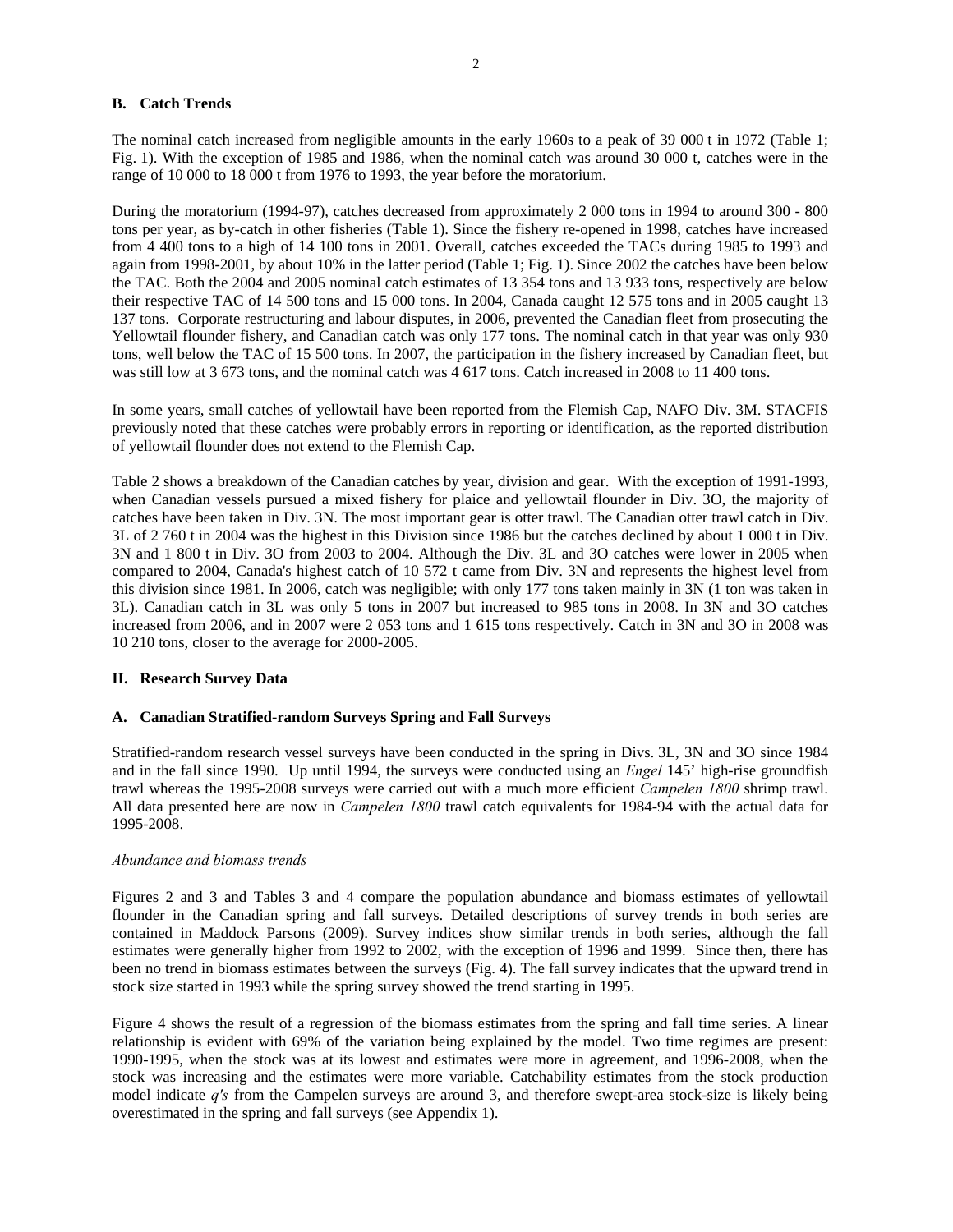## **B. Catch Trends**

The nominal catch increased from negligible amounts in the early 1960s to a peak of 39 000 t in 1972 (Table 1; Fig. 1). With the exception of 1985 and 1986, when the nominal catch was around 30 000 t, catches were in the range of 10 000 to 18 000 t from 1976 to 1993, the year before the moratorium.

During the moratorium (1994-97), catches decreased from approximately 2 000 tons in 1994 to around 300 - 800 tons per year, as by-catch in other fisheries (Table 1). Since the fishery re-opened in 1998, catches have increased from 4 400 tons to a high of 14 100 tons in 2001. Overall, catches exceeded the TACs during 1985 to 1993 and again from 1998-2001, by about 10% in the latter period (Table 1; Fig. 1). Since 2002 the catches have been below the TAC. Both the 2004 and 2005 nominal catch estimates of 13 354 tons and 13 933 tons, respectively are below their respective TAC of 14 500 tons and 15 000 tons. In 2004, Canada caught 12 575 tons and in 2005 caught 13 137 tons. Corporate restructuring and labour disputes, in 2006, prevented the Canadian fleet from prosecuting the Yellowtail flounder fishery, and Canadian catch was only 177 tons. The nominal catch in that year was only 930 tons, well below the TAC of 15 500 tons. In 2007, the participation in the fishery increased by Canadian fleet, but was still low at 3 673 tons, and the nominal catch was 4 617 tons. Catch increased in 2008 to 11 400 tons.

In some years, small catches of yellowtail have been reported from the Flemish Cap, NAFO Div. 3M. STACFIS previously noted that these catches were probably errors in reporting or identification, as the reported distribution of yellowtail flounder does not extend to the Flemish Cap.

Table 2 shows a breakdown of the Canadian catches by year, division and gear. With the exception of 1991-1993, when Canadian vessels pursued a mixed fishery for plaice and yellowtail flounder in Div. 3O, the majority of catches have been taken in Div. 3N. The most important gear is otter trawl. The Canadian otter trawl catch in Div. 3L of 2 760 t in 2004 was the highest in this Division since 1986 but the catches declined by about 1 000 t in Div. 3N and 1 800 t in Div. 3O from 2003 to 2004. Although the Div. 3L and 3O catches were lower in 2005 when compared to 2004, Canada's highest catch of 10 572 t came from Div. 3N and represents the highest level from this division since 1981. In 2006, catch was negligible; with only 177 tons taken mainly in 3N (1 ton was taken in 3L). Canadian catch in 3L was only 5 tons in 2007 but increased to 985 tons in 2008. In 3N and 3O catches increased from 2006, and in 2007 were 2 053 tons and 1 615 tons respectively. Catch in 3N and 3O in 2008 was 10 210 tons, closer to the average for 2000-2005.

### **II. Research Survey Data**

## **A. Canadian Stratified-random Surveys Spring and Fall Surveys**

Stratified-random research vessel surveys have been conducted in the spring in Divs. 3L, 3N and 3O since 1984 and in the fall since 1990. Up until 1994, the surveys were conducted using an *Engel* 145' high-rise groundfish trawl whereas the 1995-2008 surveys were carried out with a much more efficient *Campelen 1800* shrimp trawl. All data presented here are now in *Campelen 1800* trawl catch equivalents for 1984-94 with the actual data for 1995-2008.

### *Abundance and biomass trends*

Figures 2 and 3 and Tables 3 and 4 compare the population abundance and biomass estimates of yellowtail flounder in the Canadian spring and fall surveys. Detailed descriptions of survey trends in both series are contained in Maddock Parsons (2009). Survey indices show similar trends in both series, although the fall estimates were generally higher from 1992 to 2002, with the exception of 1996 and 1999. Since then, there has been no trend in biomass estimates between the surveys (Fig. 4). The fall survey indicates that the upward trend in stock size started in 1993 while the spring survey showed the trend starting in 1995.

Figure 4 shows the result of a regression of the biomass estimates from the spring and fall time series. A linear relationship is evident with 69% of the variation being explained by the model. Two time regimes are present: 1990-1995, when the stock was at its lowest and estimates were more in agreement, and 1996-2008, when the stock was increasing and the estimates were more variable. Catchability estimates from the stock production model indicate *q's* from the Campelen surveys are around 3, and therefore swept-area stock-size is likely being overestimated in the spring and fall surveys (see Appendix 1).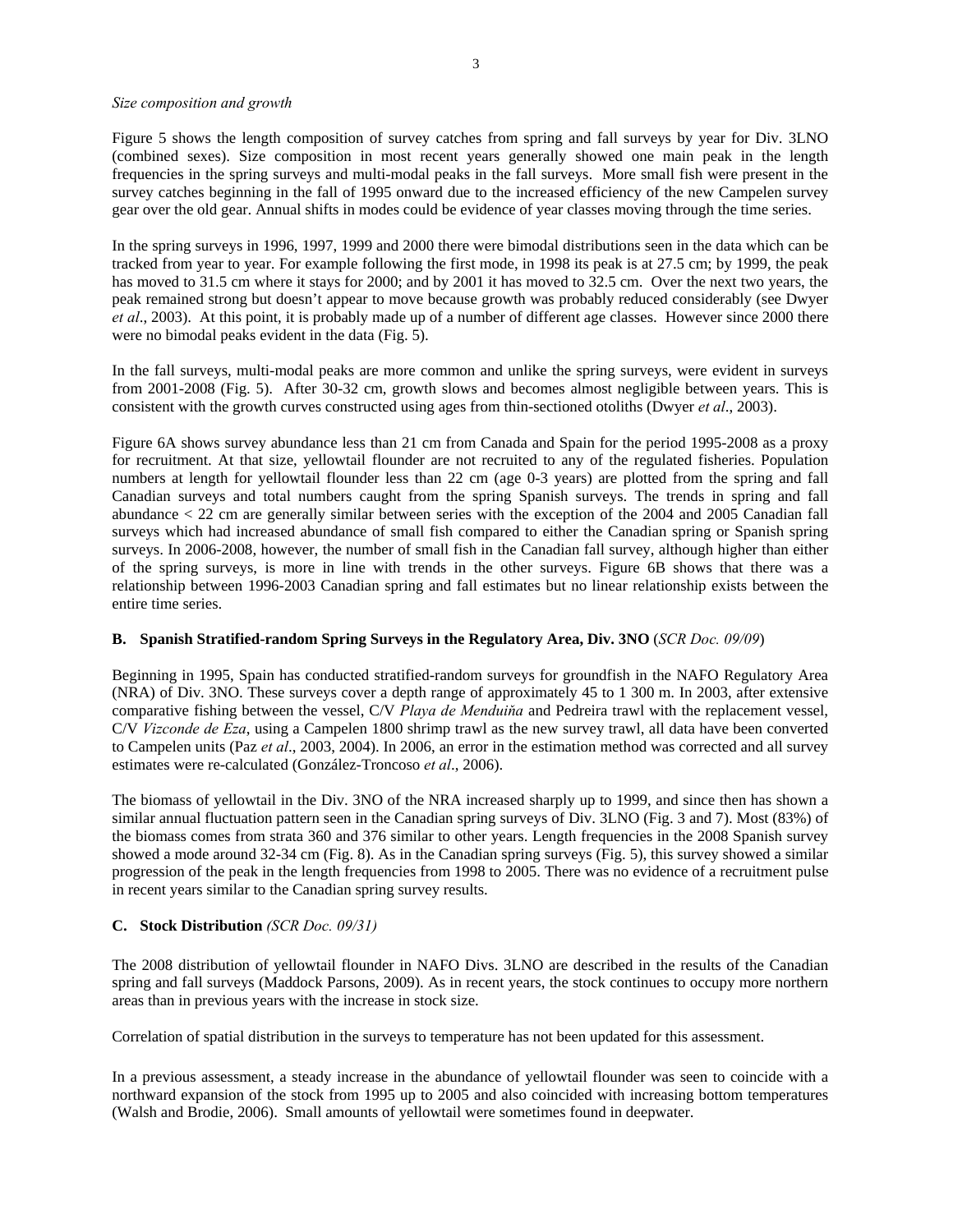### *Size composition and growth*

Figure 5 shows the length composition of survey catches from spring and fall surveys by year for Div. 3LNO (combined sexes). Size composition in most recent years generally showed one main peak in the length frequencies in the spring surveys and multi-modal peaks in the fall surveys. More small fish were present in the survey catches beginning in the fall of 1995 onward due to the increased efficiency of the new Campelen survey gear over the old gear. Annual shifts in modes could be evidence of year classes moving through the time series.

In the spring surveys in 1996, 1997, 1999 and 2000 there were bimodal distributions seen in the data which can be tracked from year to year. For example following the first mode, in 1998 its peak is at 27.5 cm; by 1999, the peak has moved to 31.5 cm where it stays for 2000; and by 2001 it has moved to 32.5 cm. Over the next two years, the peak remained strong but doesn't appear to move because growth was probably reduced considerably (see Dwyer *et al*., 2003). At this point, it is probably made up of a number of different age classes. However since 2000 there were no bimodal peaks evident in the data (Fig. 5).

In the fall surveys, multi-modal peaks are more common and unlike the spring surveys, were evident in surveys from 2001-2008 (Fig. 5). After 30-32 cm, growth slows and becomes almost negligible between years. This is consistent with the growth curves constructed using ages from thin-sectioned otoliths (Dwyer *et al*., 2003).

Figure 6A shows survey abundance less than 21 cm from Canada and Spain for the period 1995-2008 as a proxy for recruitment. At that size, yellowtail flounder are not recruited to any of the regulated fisheries. Population numbers at length for yellowtail flounder less than 22 cm (age 0-3 years) are plotted from the spring and fall Canadian surveys and total numbers caught from the spring Spanish surveys. The trends in spring and fall abundance < 22 cm are generally similar between series with the exception of the 2004 and 2005 Canadian fall surveys which had increased abundance of small fish compared to either the Canadian spring or Spanish spring surveys. In 2006-2008, however, the number of small fish in the Canadian fall survey, although higher than either of the spring surveys, is more in line with trends in the other surveys. Figure 6B shows that there was a relationship between 1996-2003 Canadian spring and fall estimates but no linear relationship exists between the entire time series.

## **B. Spanish Stratified-random Spring Surveys in the Regulatory Area, Div. 3NO** (*SCR Doc. 09/09*)

Beginning in 1995, Spain has conducted stratified-random surveys for groundfish in the NAFO Regulatory Area (NRA) of Div. 3NO. These surveys cover a depth range of approximately 45 to 1 300 m. In 2003, after extensive comparative fishing between the vessel, C/V *Playa de Menduiňa* and Pedreira trawl with the replacement vessel, C/V *Vizconde de Eza*, using a Campelen 1800 shrimp trawl as the new survey trawl, all data have been converted to Campelen units (Paz *et al*., 2003, 2004). In 2006, an error in the estimation method was corrected and all survey estimates were re-calculated (González-Troncoso *et al*., 2006).

The biomass of yellowtail in the Div. 3NO of the NRA increased sharply up to 1999, and since then has shown a similar annual fluctuation pattern seen in the Canadian spring surveys of Div. 3LNO (Fig. 3 and 7). Most (83%) of the biomass comes from strata 360 and 376 similar to other years. Length frequencies in the 2008 Spanish survey showed a mode around 32-34 cm (Fig. 8). As in the Canadian spring surveys (Fig. 5), this survey showed a similar progression of the peak in the length frequencies from 1998 to 2005. There was no evidence of a recruitment pulse in recent years similar to the Canadian spring survey results.

## **C. Stock Distribution** *(SCR Doc. 09/31)*

The 2008 distribution of yellowtail flounder in NAFO Divs. 3LNO are described in the results of the Canadian spring and fall surveys (Maddock Parsons, 2009). As in recent years, the stock continues to occupy more northern areas than in previous years with the increase in stock size.

Correlation of spatial distribution in the surveys to temperature has not been updated for this assessment.

In a previous assessment, a steady increase in the abundance of yellowtail flounder was seen to coincide with a northward expansion of the stock from 1995 up to 2005 and also coincided with increasing bottom temperatures (Walsh and Brodie, 2006). Small amounts of yellowtail were sometimes found in deepwater.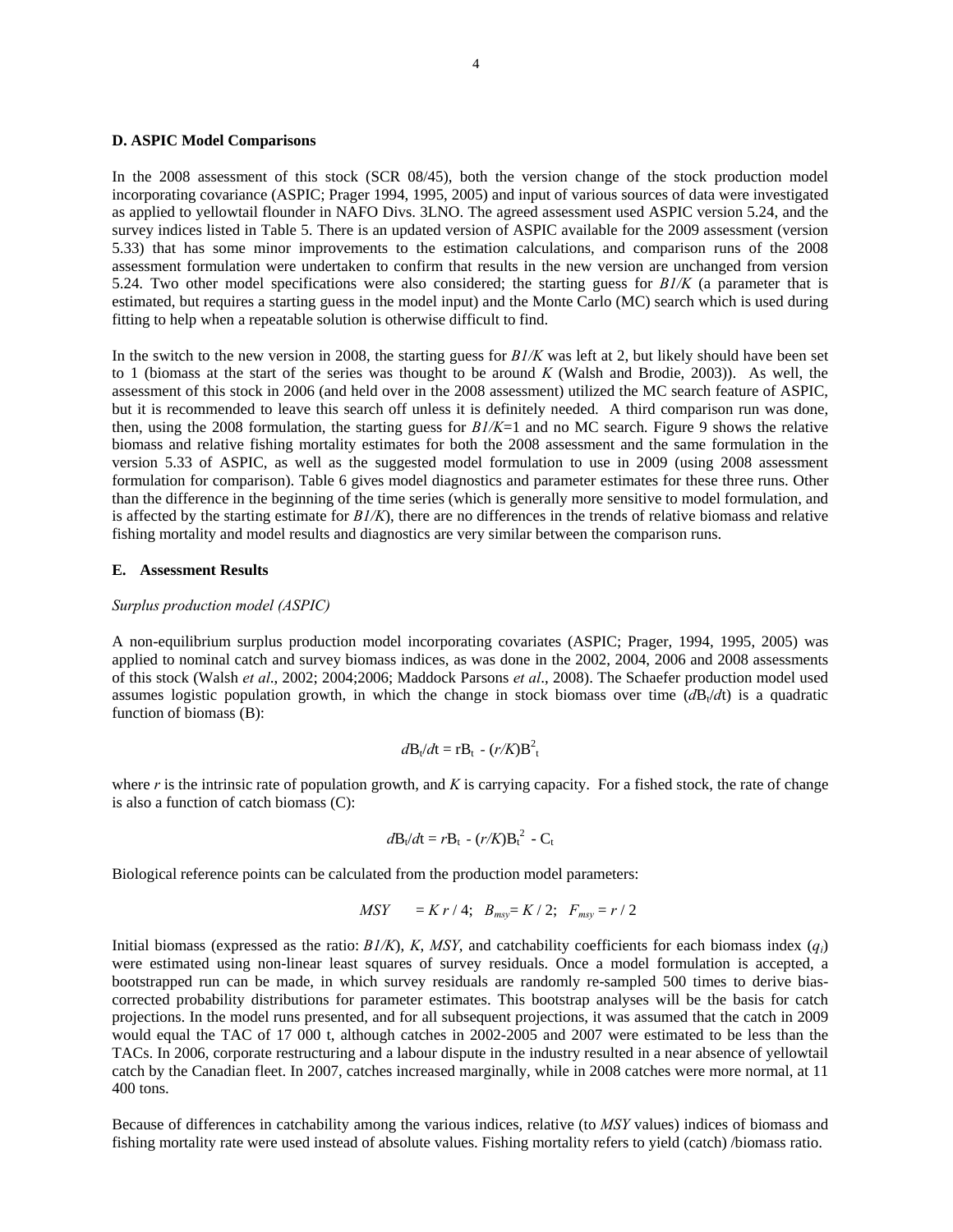#### **D. ASPIC Model Comparisons**

In the 2008 assessment of this stock (SCR 08/45), both the version change of the stock production model incorporating covariance (ASPIC; Prager 1994, 1995, 2005) and input of various sources of data were investigated as applied to yellowtail flounder in NAFO Divs. 3LNO. The agreed assessment used ASPIC version 5.24, and the survey indices listed in Table 5. There is an updated version of ASPIC available for the 2009 assessment (version 5.33) that has some minor improvements to the estimation calculations, and comparison runs of the 2008 assessment formulation were undertaken to confirm that results in the new version are unchanged from version 5.24. Two other model specifications were also considered; the starting guess for *B1/K* (a parameter that is estimated, but requires a starting guess in the model input) and the Monte Carlo (MC) search which is used during fitting to help when a repeatable solution is otherwise difficult to find.

In the switch to the new version in 2008, the starting guess for *B1/K* was left at 2, but likely should have been set to 1 (biomass at the start of the series was thought to be around *K* (Walsh and Brodie, 2003)). As well, the assessment of this stock in 2006 (and held over in the 2008 assessment) utilized the MC search feature of ASPIC, but it is recommended to leave this search off unless it is definitely needed. A third comparison run was done, then, using the 2008 formulation, the starting guess for *B1/K*=1 and no MC search. Figure 9 shows the relative biomass and relative fishing mortality estimates for both the 2008 assessment and the same formulation in the version 5.33 of ASPIC, as well as the suggested model formulation to use in 2009 (using 2008 assessment formulation for comparison). Table 6 gives model diagnostics and parameter estimates for these three runs. Other than the difference in the beginning of the time series (which is generally more sensitive to model formulation, and is affected by the starting estimate for  $B/\sqrt{K}$ , there are no differences in the trends of relative biomass and relative fishing mortality and model results and diagnostics are very similar between the comparison runs.

#### **E. Assessment Results**

### *Surplus production model (ASPIC)*

A non-equilibrium surplus production model incorporating covariates (ASPIC; Prager, 1994, 1995, 2005) was applied to nominal catch and survey biomass indices, as was done in the 2002, 2004, 2006 and 2008 assessments of this stock (Walsh *et al*., 2002; 2004;2006; Maddock Parsons *et al*., 2008). The Schaefer production model used assumes logistic population growth, in which the change in stock biomass over time  $\frac{d}{dt}$  is a quadratic function of biomass (B):

$$
d\mathbf{B}_t/d\mathbf{t} = \mathbf{r} \mathbf{B}_t - (r/K)\mathbf{B}_t^2
$$

where *r* is the intrinsic rate of population growth, and *K* is carrying capacity. For a fished stock, the rate of change is also a function of catch biomass (C):

$$
d\mathbf{B}_t/d\mathbf{t} = r\mathbf{B}_t - (r/K)\mathbf{B}_t^2 - \mathbf{C}_t
$$

Biological reference points can be calculated from the production model parameters:

$$
MSY = K r / 4; B_{msy} = K / 2; F_{msy} = r / 2
$$

Initial biomass (expressed as the ratio:  $B1/K$ ), *K*, *MSY*, and catchability coefficients for each biomass index  $(q<sub>i</sub>)$ were estimated using non-linear least squares of survey residuals. Once a model formulation is accepted, a bootstrapped run can be made, in which survey residuals are randomly re-sampled 500 times to derive biascorrected probability distributions for parameter estimates. This bootstrap analyses will be the basis for catch projections. In the model runs presented, and for all subsequent projections, it was assumed that the catch in 2009 would equal the TAC of 17 000 t, although catches in 2002-2005 and 2007 were estimated to be less than the TACs. In 2006, corporate restructuring and a labour dispute in the industry resulted in a near absence of yellowtail catch by the Canadian fleet. In 2007, catches increased marginally, while in 2008 catches were more normal, at 11 400 tons.

Because of differences in catchability among the various indices, relative (to *MSY* values) indices of biomass and fishing mortality rate were used instead of absolute values. Fishing mortality refers to yield (catch) /biomass ratio.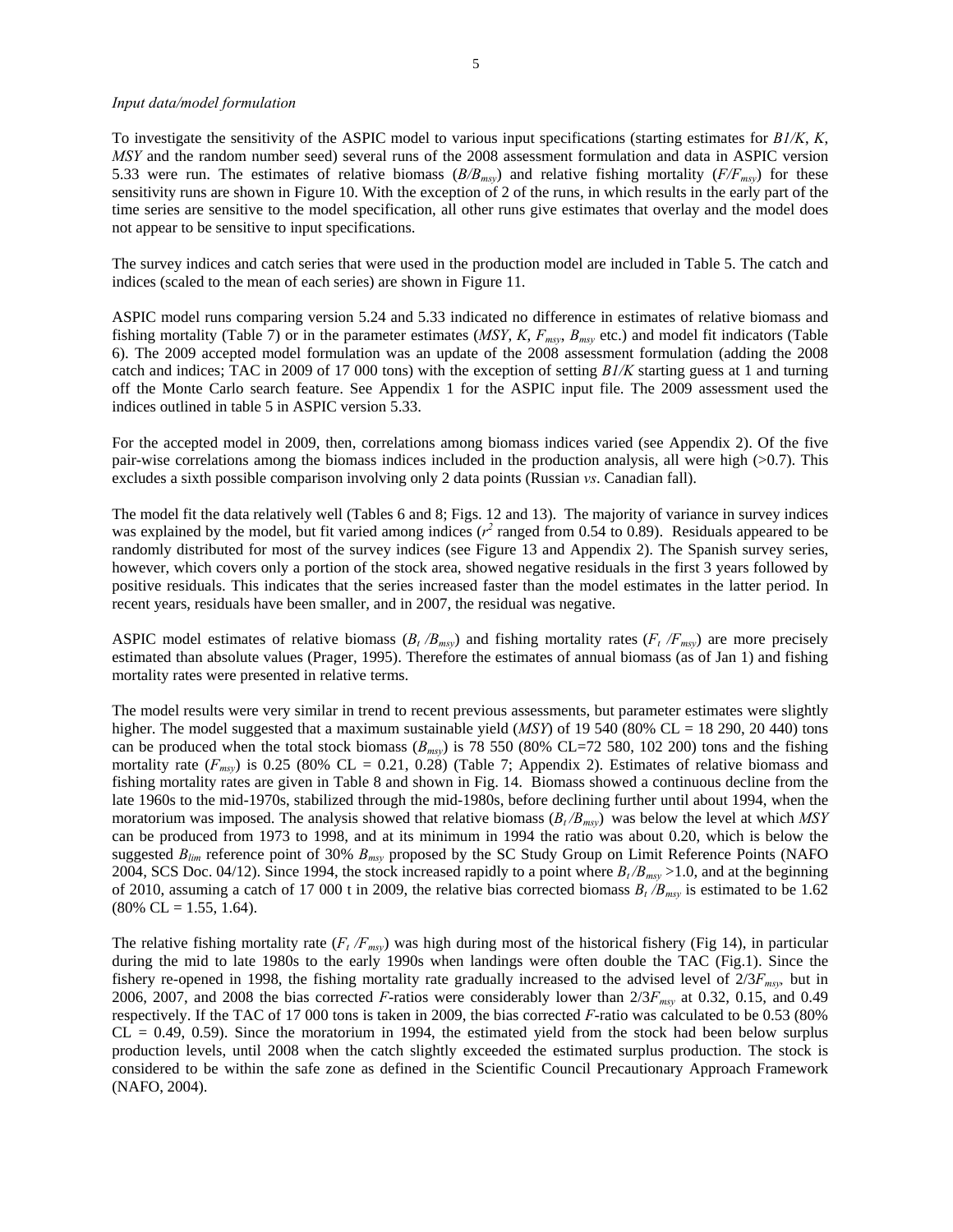#### *Input data/model formulation*

To investigate the sensitivity of the ASPIC model to various input specifications (starting estimates for *B1/K*, *K*, *MSY* and the random number seed) several runs of the 2008 assessment formulation and data in ASPIC version 5.33 were run. The estimates of relative biomass (*B/Bmsy*) and relative fishing mortality (*F/Fmsy*) for these sensitivity runs are shown in Figure 10. With the exception of 2 of the runs, in which results in the early part of the time series are sensitive to the model specification, all other runs give estimates that overlay and the model does not appear to be sensitive to input specifications.

The survey indices and catch series that were used in the production model are included in Table 5. The catch and indices (scaled to the mean of each series) are shown in Figure 11.

ASPIC model runs comparing version 5.24 and 5.33 indicated no difference in estimates of relative biomass and fishing mortality (Table 7) or in the parameter estimates (*MSY*, *K*, *Fmsy*, *Bmsy* etc.) and model fit indicators (Table 6). The 2009 accepted model formulation was an update of the 2008 assessment formulation (adding the 2008 catch and indices; TAC in 2009 of 17 000 tons) with the exception of setting *B1/K* starting guess at 1 and turning off the Monte Carlo search feature. See Appendix 1 for the ASPIC input file. The 2009 assessment used the indices outlined in table 5 in ASPIC version 5.33.

For the accepted model in 2009, then, correlations among biomass indices varied (see Appendix 2). Of the five pair-wise correlations among the biomass indices included in the production analysis, all were high (>0.7). This excludes a sixth possible comparison involving only 2 data points (Russian *vs*. Canadian fall).

The model fit the data relatively well (Tables 6 and 8; Figs. 12 and 13). The majority of variance in survey indices was explained by the model, but fit varied among indices  $(r^2$  ranged from 0.54 to 0.89). Residuals appeared to be randomly distributed for most of the survey indices (see Figure 13 and Appendix 2). The Spanish survey series, however, which covers only a portion of the stock area, showed negative residuals in the first 3 years followed by positive residuals. This indicates that the series increased faster than the model estimates in the latter period. In recent years, residuals have been smaller, and in 2007, the residual was negative.

ASPIC model estimates of relative biomass  $(B_t/B_{msv})$  and fishing mortality rates  $(F_t/F_{msv})$  are more precisely estimated than absolute values (Prager, 1995). Therefore the estimates of annual biomass (as of Jan 1) and fishing mortality rates were presented in relative terms.

The model results were very similar in trend to recent previous assessments, but parameter estimates were slightly higher. The model suggested that a maximum sustainable yield (*MSY*) of 19 540 (80% CL = 18 290, 20 440) tons can be produced when the total stock biomass  $(B_{msv})$  is 78 550 (80% CL=72 580, 102 200) tons and the fishing mortality rate  $(F_{msv})$  is 0.25 (80% CL = 0.21, 0.28) (Table 7; Appendix 2). Estimates of relative biomass and fishing mortality rates are given in Table 8 and shown in Fig. 14. Biomass showed a continuous decline from the late 1960s to the mid-1970s, stabilized through the mid-1980s, before declining further until about 1994, when the moratorium was imposed. The analysis showed that relative biomass (*Bt /Bmsy*) was below the level at which *MSY* can be produced from 1973 to 1998, and at its minimum in 1994 the ratio was about 0.20, which is below the suggested *Blim* reference point of 30% *Bmsy* proposed by the SC Study Group on Limit Reference Points (NAFO 2004, SCS Doc. 04/12). Since 1994, the stock increased rapidly to a point where  $B_t/B_{msy}$  >1.0, and at the beginning of 2010, assuming a catch of 17 000 t in 2009, the relative bias corrected biomass  $B_t/B_{msy}$  is estimated to be 1.62  $(80\% \text{ CL} = 1.55, 1.64).$ 

The relative fishing mortality rate  $(F_t/F_{msy})$  was high during most of the historical fishery (Fig 14), in particular during the mid to late 1980s to the early 1990s when landings were often double the TAC (Fig.1). Since the fishery re-opened in 1998, the fishing mortality rate gradually increased to the advised level of 2/3*Fmsy,* but in 2006, 2007, and 2008 the bias corrected *F*-ratios were considerably lower than  $2/3F_{msy}$  at 0.32, 0.15, and 0.49 respectively. If the TAC of 17 000 tons is taken in 2009, the bias corrected *F*-ratio was calculated to be 0.53 (80%  $CL = 0.49, 0.59$ . Since the moratorium in 1994, the estimated yield from the stock had been below surplus production levels, until 2008 when the catch slightly exceeded the estimated surplus production. The stock is considered to be within the safe zone as defined in the Scientific Council Precautionary Approach Framework (NAFO, 2004).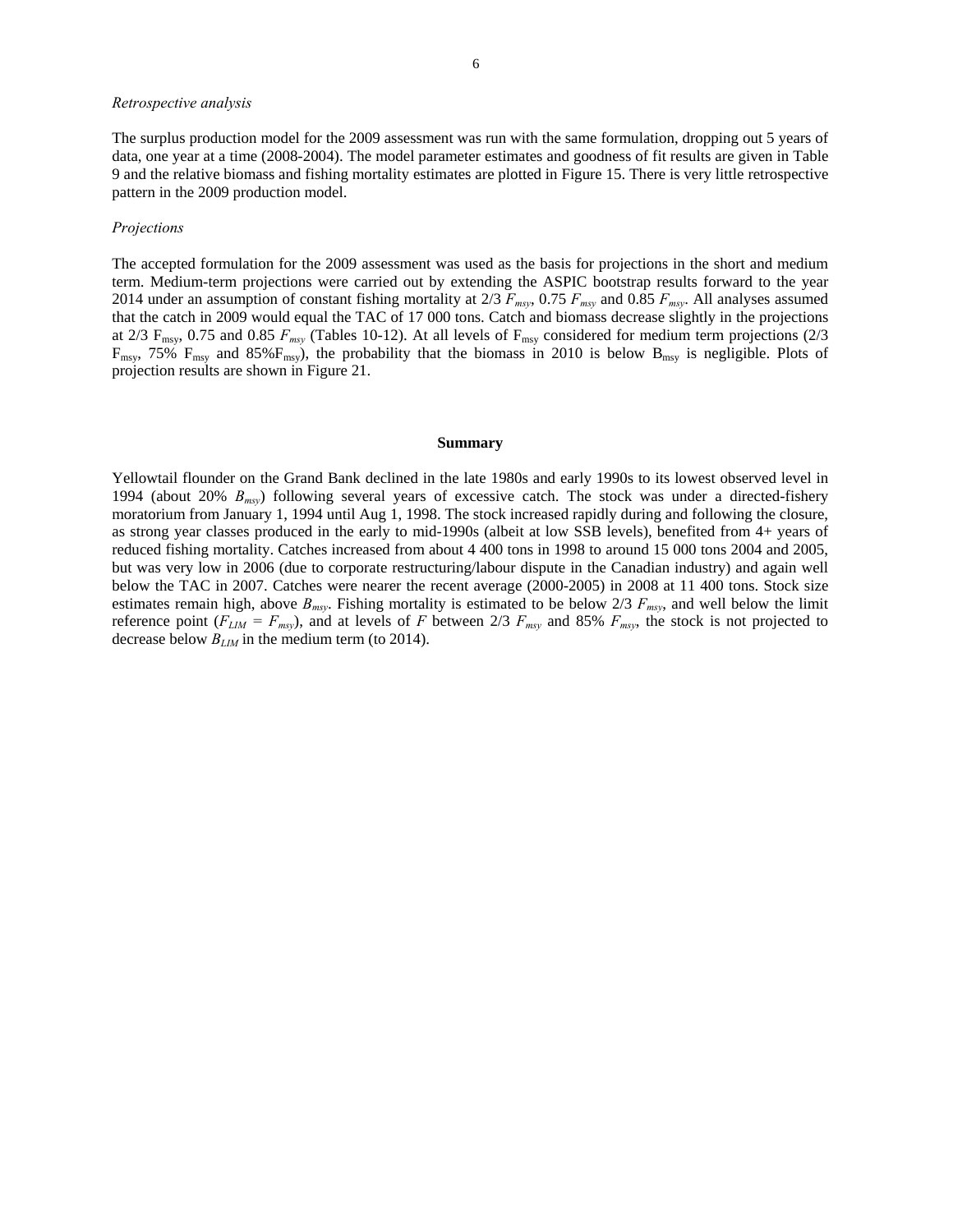### *Retrospective analysis*

The surplus production model for the 2009 assessment was run with the same formulation, dropping out 5 years of data, one year at a time (2008-2004). The model parameter estimates and goodness of fit results are given in Table 9 and the relative biomass and fishing mortality estimates are plotted in Figure 15. There is very little retrospective pattern in the 2009 production model.

#### *Projections*

The accepted formulation for the 2009 assessment was used as the basis for projections in the short and medium term. Medium-term projections were carried out by extending the ASPIC bootstrap results forward to the year 2014 under an assumption of constant fishing mortality at 2/3 *Fmsy*, 0.75 *Fmsy* and 0.85 *Fmsy*. All analyses assumed that the catch in 2009 would equal the TAC of 17 000 tons. Catch and biomass decrease slightly in the projections at 2/3  $F_{\text{msy}}$ , 0.75 and 0.85  $F_{\text{msy}}$  (Tables 10-12). At all levels of  $F_{\text{msy}}$  considered for medium term projections (2/3  $F_{\text{msy}}$ , 75%  $F_{\text{msy}}$  and 85% $F_{\text{msy}}$ , the probability that the biomass in 2010 is below  $B_{\text{msy}}$  is negligible. Plots of projection results are shown in Figure 21.

#### **Summary**

Yellowtail flounder on the Grand Bank declined in the late 1980s and early 1990s to its lowest observed level in 1994 (about 20% *Bmsy*) following several years of excessive catch. The stock was under a directed-fishery moratorium from January 1, 1994 until Aug 1, 1998. The stock increased rapidly during and following the closure, as strong year classes produced in the early to mid-1990s (albeit at low SSB levels), benefited from 4+ years of reduced fishing mortality. Catches increased from about 4 400 tons in 1998 to around 15 000 tons 2004 and 2005, but was very low in 2006 (due to corporate restructuring/labour dispute in the Canadian industry) and again well below the TAC in 2007. Catches were nearer the recent average (2000-2005) in 2008 at 11 400 tons. Stock size estimates remain high, above  $B_{msv}$ . Fishing mortality is estimated to be below  $2/3$   $F_{msv}$ , and well below the limit reference point  $(F_{LM} = F_{msy})$ , and at levels of *F* between 2/3  $F_{msy}$  and 85%  $F_{msy}$ , the stock is not projected to decrease below *BLIM* in the medium term (to 2014).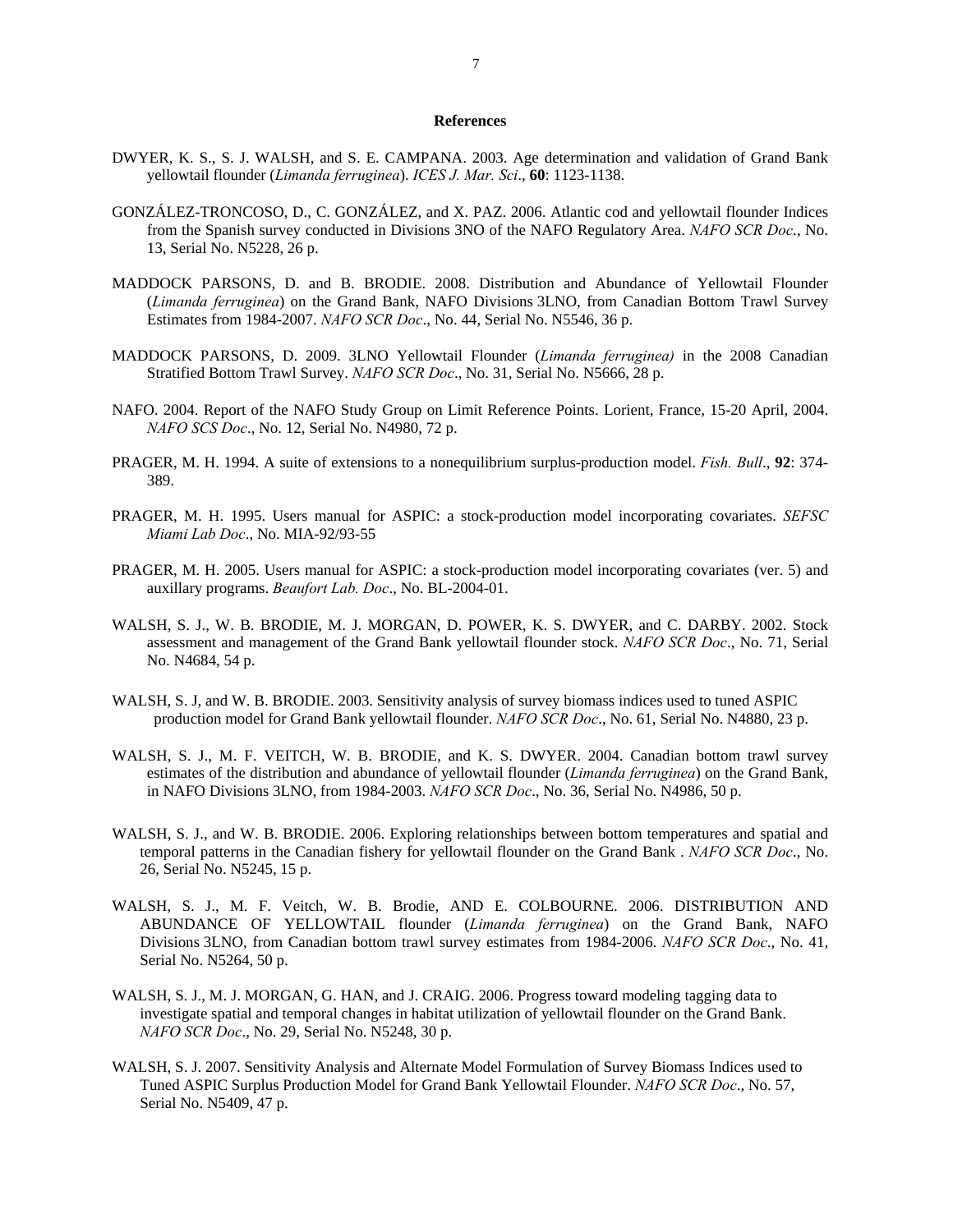#### **References**

- DWYER, K. S., S. J. WALSH, and S. E. CAMPANA. 2003. Age determination and validation of Grand Bank yellowtail flounder (*Limanda ferruginea*). *ICES J. Mar. Sci*., **60**: 1123-1138.
- GONZÁLEZ-TRONCOSO, D., C. GONZÁLEZ, and X. PAZ. 2006. Atlantic cod and yellowtail flounder Indices from the Spanish survey conducted in Divisions 3NO of the NAFO Regulatory Area. *NAFO SCR Doc*., No. 13, Serial No. N5228, 26 p.
- MADDOCK PARSONS, D. and B. BRODIE. 2008. Distribution and Abundance of Yellowtail Flounder (*Limanda ferruginea*) on the Grand Bank, NAFO Divisions 3LNO, from Canadian Bottom Trawl Survey Estimates from 1984-2007. *NAFO SCR Doc*., No. 44, Serial No. N5546, 36 p.
- MADDOCK PARSONS, D. 2009. 3LNO Yellowtail Flounder (*Limanda ferruginea)* in the 2008 Canadian Stratified Bottom Trawl Survey. *NAFO SCR Doc*., No. 31, Serial No. N5666, 28 p.
- NAFO. 2004. Report of the NAFO Study Group on Limit Reference Points. Lorient, France, 15-20 April, 2004. *NAFO SCS Doc*., No. 12, Serial No. N4980, 72 p.
- PRAGER, M. H. 1994. A suite of extensions to a nonequilibrium surplus-production model. *Fish. Bull*., **92**: 374- 389.
- PRAGER, M. H. 1995. Users manual for ASPIC: a stock-production model incorporating covariates. *SEFSC Miami Lab Doc*., No. MIA-92/93-55
- PRAGER, M. H. 2005. Users manual for ASPIC: a stock-production model incorporating covariates (ver. 5) and auxillary programs. *Beaufort Lab. Doc*., No. BL-2004-01.
- WALSH, S. J., W. B. BRODIE, M. J. MORGAN, D. POWER, K. S. DWYER, and C. DARBY. 2002. Stock assessment and management of the Grand Bank yellowtail flounder stock. *NAFO SCR Doc*., No. 71, Serial No. N4684, 54 p.
- WALSH, S. J, and W. B. BRODIE. 2003. Sensitivity analysis of survey biomass indices used to tuned ASPIC production model for Grand Bank yellowtail flounder. *NAFO SCR Doc*., No. 61, Serial No. N4880, 23 p.
- WALSH, S. J., M. F. VEITCH, W. B. BRODIE, and K. S. DWYER, 2004. Canadian bottom trawl survey estimates of the distribution and abundance of yellowtail flounder (*Limanda ferruginea*) on the Grand Bank, in NAFO Divisions 3LNO, from 1984-2003. *NAFO SCR Doc*., No. 36, Serial No. N4986, 50 p.
- WALSH, S. J., and W. B. BRODIE. 2006. Exploring relationships between bottom temperatures and spatial and temporal patterns in the Canadian fishery for yellowtail flounder on the Grand Bank . *NAFO SCR Doc*., No. 26, Serial No. N5245, 15 p.
- WALSH, S. J., M. F. Veitch, W. B. Brodie, AND E. COLBOURNE. 2006. DISTRIBUTION AND ABUNDANCE OF YELLOWTAIL flounder (*Limanda ferruginea*) on the Grand Bank, NAFO Divisions 3LNO, from Canadian bottom trawl survey estimates from 1984-2006. *NAFO SCR Doc*., No. 41, Serial No. N5264, 50 p.
- WALSH, S. J., M. J. MORGAN, G. HAN, and J. CRAIG. 2006. Progress toward modeling tagging data to investigate spatial and temporal changes in habitat utilization of yellowtail flounder on the Grand Bank. *NAFO SCR Doc*., No. 29, Serial No. N5248, 30 p.
- WALSH, S. J. 2007. Sensitivity Analysis and Alternate Model Formulation of Survey Biomass Indices used to Tuned ASPIC Surplus Production Model for Grand Bank Yellowtail Flounder. *NAFO SCR Doc*., No. 57, Serial No. N5409, 47 p.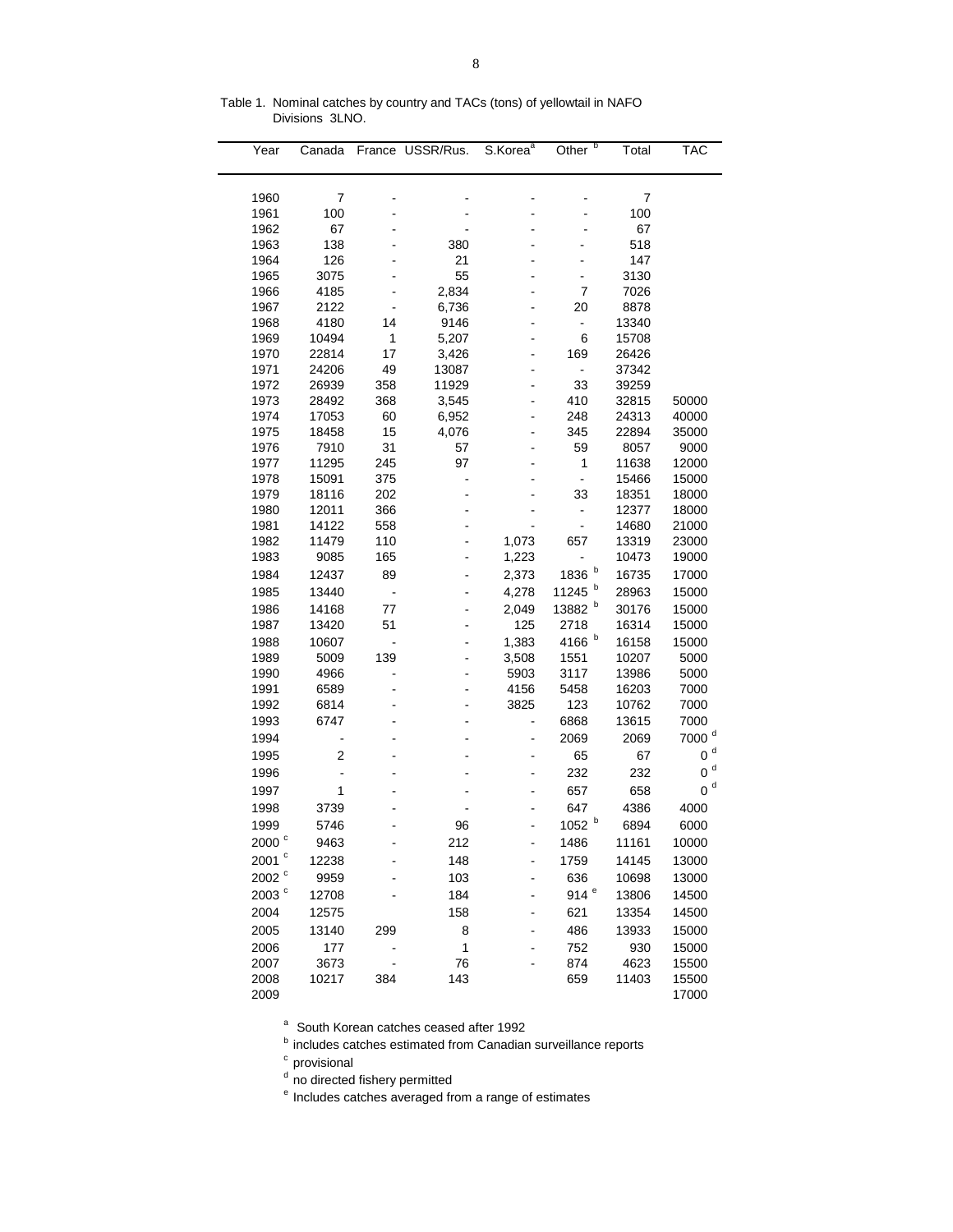| Year              | Canada         |                | France USSR/Rus. | S.Korea <sup>a</sup> | Other <sup>b</sup>   | Total          | <b>TAC</b>        |
|-------------------|----------------|----------------|------------------|----------------------|----------------------|----------------|-------------------|
|                   |                |                |                  |                      |                      |                |                   |
| 1960              | 7              |                |                  |                      |                      | 7              |                   |
| 1961              | 100            |                |                  |                      |                      | 100            |                   |
| 1962              | 67             |                |                  |                      |                      | 67             |                   |
| 1963              | 138            |                | 380              |                      |                      | 518            |                   |
| 1964              | 126            |                | 21               |                      |                      | 147            |                   |
| 1965              | 3075           |                | 55               |                      | ۰                    | 3130           |                   |
| 1966              | 4185           |                | 2,834            |                      | $\overline{7}$       | 7026           |                   |
| 1967              | 2122           |                | 6,736            |                      | 20                   | 8878           |                   |
| 1968              | 4180           | 14             | 9146             |                      | -                    | 13340          |                   |
| 1969              | 10494          | 1              | 5,207            |                      | 6                    | 15708          |                   |
| 1970              | 22814          | 17             | 3,426            |                      | 169                  | 26426          |                   |
| 1971              | 24206          | 49             | 13087            |                      | $\frac{1}{2}$        | 37342          |                   |
| 1972              | 26939          | 358            | 11929            |                      | 33                   | 39259          |                   |
| 1973              | 28492          | 368            | 3,545            |                      | 410                  | 32815          | 50000             |
| 1974              | 17053          | 60             | 6,952            |                      | 248                  | 24313          | 40000             |
| 1975              | 18458          | 15             | 4,076            |                      | 345                  | 22894          | 35000             |
| 1976              | 7910           | 31             | 57               |                      | 59                   | 8057           | 9000              |
| 1977              | 11295          | 245            | 97               |                      | 1                    | 11638          | 12000             |
| 1978              | 15091          | 375            |                  |                      | $\blacksquare$       | 15466          | 15000             |
| 1979<br>1980      | 18116<br>12011 | 202<br>366     |                  |                      | 33<br>$\blacksquare$ | 18351<br>12377 | 18000<br>18000    |
| 1981              | 14122          | 558            |                  |                      | $\blacksquare$       | 14680          | 21000             |
| 1982              | 11479          | 110            | ä,               | 1,073                | 657                  | 13319          | 23000             |
| 1983              | 9085           | 165            | -                | 1,223                |                      | 10473          | 19000             |
| 1984              | 12437          | 89             |                  | 2,373                | b<br>1836            | 16735          | 17000             |
| 1985              | 13440          | $\blacksquare$ |                  | 4,278                | b<br>11245           | 28963          | 15000             |
| 1986              | 14168          | 77             |                  | 2,049                | b<br>13882           | 30176          | 15000             |
| 1987              | 13420          | 51             | -                | 125                  | 2718                 | 16314          | 15000             |
|                   | 10607          |                |                  |                      | b                    |                |                   |
| 1988<br>1989      | 5009           | 139            |                  | 1,383                | 4166<br>1551         | 16158<br>10207 | 15000<br>5000     |
| 1990              | 4966           | $\blacksquare$ | -                | 3,508<br>5903        | 3117                 | 13986          | 5000              |
| 1991              | 6589           |                |                  | 4156                 | 5458                 | 16203          | 7000              |
| 1992              | 6814           |                |                  | 3825                 | 123                  | 10762          | 7000              |
| 1993              | 6747           |                |                  | $\overline{a}$       | 6868                 | 13615          | 7000              |
| 1994              | -              |                |                  | $\overline{a}$       | 2069                 | 2069           | 7000 <sup>d</sup> |
| 1995              | $\overline{2}$ |                |                  |                      | 65                   | 67             | 0 <sup>d</sup>    |
| 1996              |                |                |                  |                      | 232                  | 232            | $0d$              |
| 1997              | 1              |                |                  |                      | 657                  | 658            | $0d$              |
|                   |                |                |                  |                      |                      |                |                   |
| 1998              | 3739           |                |                  |                      | 647<br>b             | 4386           | 4000              |
| 1999              | 5746           |                | 96               |                      | 1052                 | 6894           | 6000              |
| 2000 <sup>c</sup> | 9463           |                | 212              |                      | 1486                 | 11161          | 10000             |
| 2001 $^{\circ}$   | 12238          |                | 148              |                      | 1759                 | 14145          | 13000             |
| 2002 <sup>c</sup> | 9959           |                | 103              |                      | 636                  | 10698          | 13000             |
| 2003 <sup>c</sup> | 12708          |                | 184              |                      | 914e                 | 13806          | 14500             |
| 2004              | 12575          |                | 158              |                      | 621                  | 13354          | 14500             |
| 2005              | 13140          | 299            | 8                |                      | 486                  | 13933          | 15000             |
| 2006              | 177            |                | $\mathbf{1}$     |                      | 752                  | 930            | 15000             |
| 2007              | 3673           |                | 76               |                      | 874                  | 4623           | 15500             |
| 2008              | 10217          | 384            | 143              |                      | 659                  | 11403          | 15500             |
| 2009              |                |                |                  |                      |                      |                | 17000             |

Table 1. Nominal catches by country and TACs (tons) of yellowtail in NAFO Divisions 3LNO.

a South Korean catches ceased after 1992

**b** includes catches estimated from Canadian surveillance reports

<sup>c</sup> provisional

<sup>d</sup> no directed fishery permitted

e Includes catches averaged from a range of estimates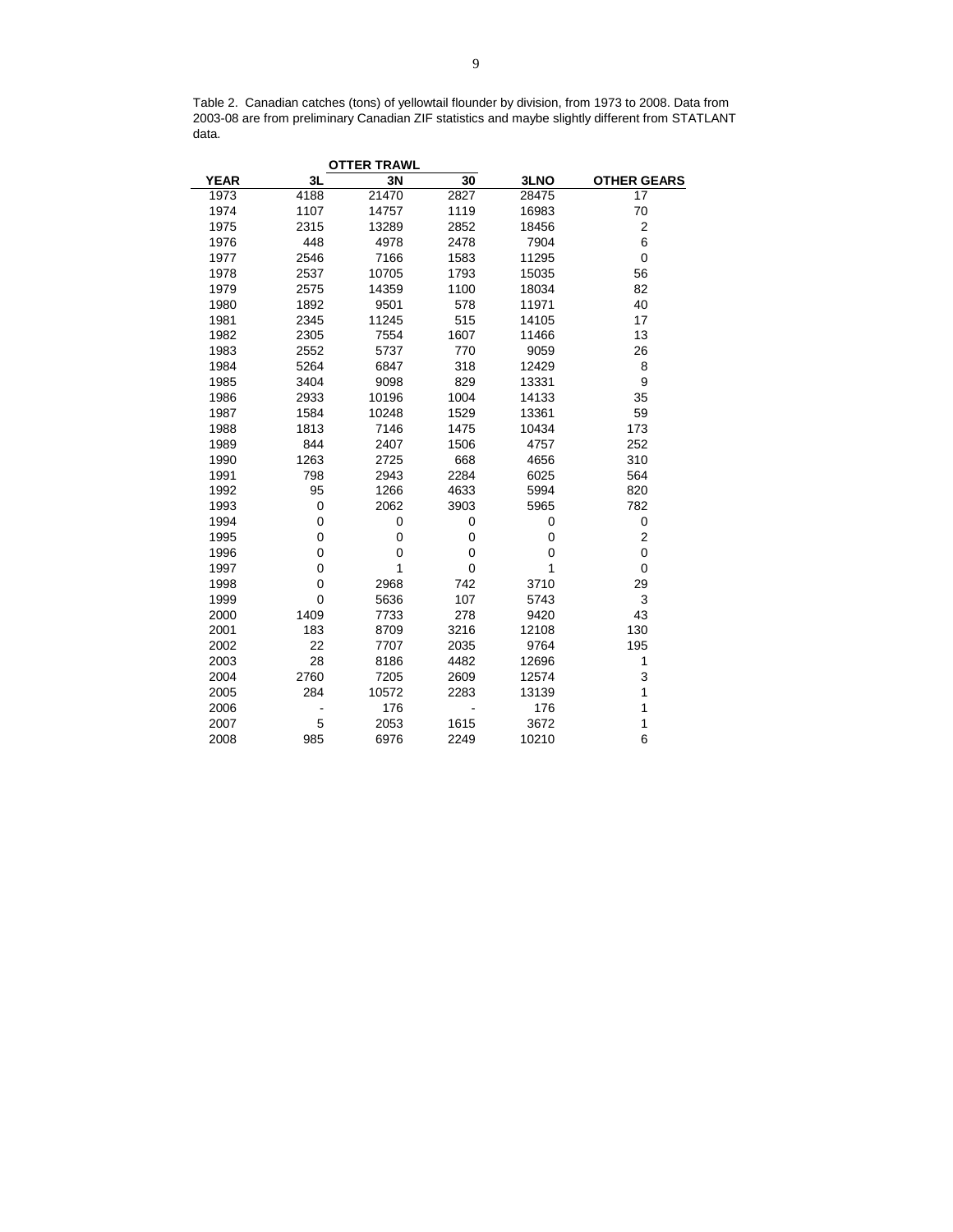Table 2. Canadian catches (tons) of yellowtail flounder by division, from 1973 to 2008. Data from 2003-08 are from preliminary Canadian ZIF statistics and maybe slightly different from STATLANT data.

| 3L   | 3N    | $\overline{30}$    | 3LNO  | <b>OTHER GEARS</b> |
|------|-------|--------------------|-------|--------------------|
| 4188 | 21470 | 2827               | 28475 | 17                 |
| 1107 | 14757 | 1119               | 16983 | 70                 |
| 2315 | 13289 | 2852               | 18456 | $\boldsymbol{2}$   |
| 448  | 4978  | 2478               | 7904  | 6                  |
| 2546 | 7166  | 1583               | 11295 | $\mathbf 0$        |
| 2537 | 10705 | 1793               | 15035 | 56                 |
| 2575 | 14359 |                    | 18034 | 82                 |
| 1892 | 9501  | 578                | 11971 | 40                 |
| 2345 | 11245 | 515                | 14105 | 17                 |
| 2305 | 7554  | 1607               | 11466 | 13                 |
| 2552 | 5737  | 770                | 9059  | 26                 |
| 5264 | 6847  | 318                | 12429 | 8                  |
| 3404 | 9098  | 829                | 13331 | 9                  |
| 2933 | 10196 | 1004               | 14133 | 35                 |
| 1584 | 10248 | 1529               | 13361 | 59                 |
| 1813 | 7146  | 1475               | 10434 | 173                |
| 844  | 2407  | 1506               | 4757  | 252                |
| 1263 | 2725  | 668                | 4656  | 310                |
| 798  | 2943  | 2284               | 6025  | 564                |
| 95   | 1266  | 4633               | 5994  | 820                |
| 0    | 2062  | 3903               | 5965  | 782                |
| 0    | 0     | 0                  | 0     | 0                  |
| 0    | 0     | 0                  | 0     | $\boldsymbol{2}$   |
| 0    | 0     | 0                  | 0     | $\mathbf 0$        |
| 0    | 1     | 0                  | 1     | $\mathbf 0$        |
| 0    | 2968  | 742                | 3710  | 29                 |
| 0    | 5636  | 107                | 5743  | 3                  |
| 1409 | 7733  | 278                | 9420  | 43                 |
| 183  | 8709  | 3216               | 12108 | 130                |
| 22   | 7707  | 2035               | 9764  | 195                |
| 28   | 8186  | 4482               | 12696 | 1                  |
| 2760 | 7205  | 2609               | 12574 | 3                  |
| 284  | 10572 | 2283               | 13139 | 1                  |
|      | 176   |                    | 176   | 1                  |
| 5    | 2053  | 1615               | 3672  | 1                  |
| 985  | 6976  | 2249               | 10210 | 6                  |
|      |       | <b>OTTER TRAWL</b> | 1100  |                    |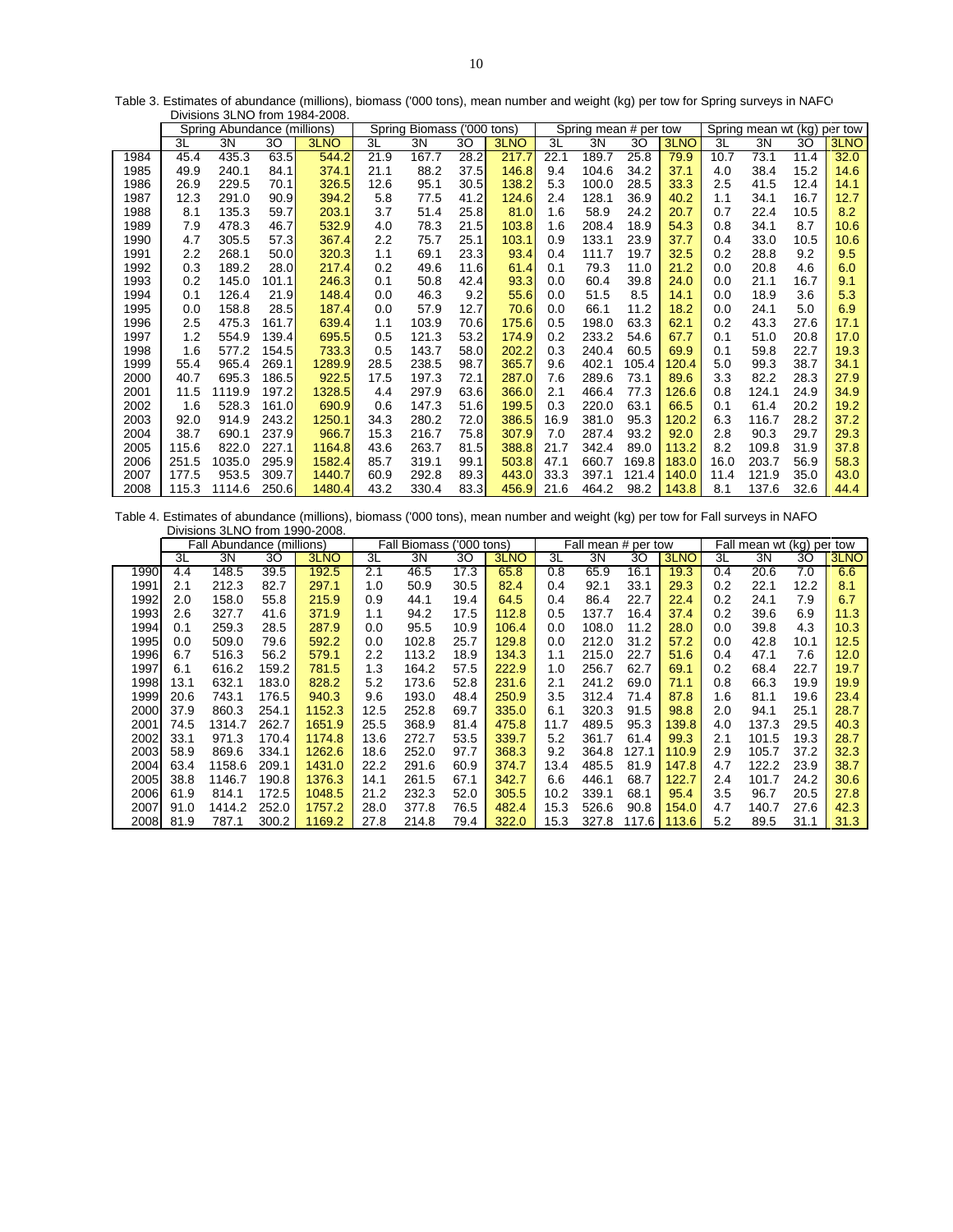|      |       | סטטא דטטוו טווטוויסטומוס    |       |        |        |                     |      |       |      |                       |       |       |                                |       |      |      |
|------|-------|-----------------------------|-------|--------|--------|---------------------|------|-------|------|-----------------------|-------|-------|--------------------------------|-------|------|------|
|      |       | Spring Abundance (millions) |       |        | Spring | Biomass ('000 tons) |      |       |      | Spring mean # per tow |       |       | Spring mean wt (kg)<br>per tow |       |      |      |
|      | 3L    | 3N                          | 30    | 3LNO   | 3L     | 3N                  | 30   | 3LNO  | 3L   | 3N                    | 30    | 3LNO  | 3L                             | 3N    | 30   | 3LNO |
| 1984 | 45.4  | 435.3                       | 63.5  | 544.2  | 21.9   | 167.7               | 28.2 | 217.7 | 22.1 | 189.7                 | 25.8  | 79.9  | 10.7                           | 73.1  | 11.4 | 32.0 |
| 1985 | 49.9  | 240.1                       | 84.1  | 374.1  | 21.1   | 88.2                | 37.5 | 146.8 | 9.4  | 104.6                 | 34.2  | 37.1  | 4.0                            | 38.4  | 15.2 | 14.6 |
| 1986 | 26.9  | 229.5                       | 70.1  | 326.5  | 12.6   | 95.1                | 30.5 | 138.2 | 5.3  | 100.0                 | 28.5  | 33.3  | 2.5                            | 41.5  | 12.4 | 14.1 |
| 1987 | 12.3  | 291.0                       | 90.9  | 394.2  | 5.8    | 77.5                | 41.2 | 124.6 | 2.4  | 128.1                 | 36.9  | 40.2  | 1.1                            | 34.1  | 16.7 | 12.7 |
| 1988 | 8.1   | 135.3                       | 59.7  | 203.1  | 3.7    | 51.4                | 25.8 | 81.0  | 1.6  | 58.9                  | 24.2  | 20.7  | 0.7                            | 22.4  | 10.5 | 8.2  |
| 1989 | 7.9   | 478.3                       | 46.7  | 532.9  | 4.0    | 78.3                | 21.5 | 103.8 | 1.6  | 208.4                 | 18.9  | 54.3  | 0.8                            | 34.1  | 8.7  | 10.6 |
| 1990 | 4.7   | 305.5                       | 57.3  | 367.4  | 2.2    | 75.7                | 25.1 | 103.1 | 0.9  | 133.1                 | 23.9  | 37.7  | 0.4                            | 33.0  | 10.5 | 10.6 |
| 1991 | 2.2   | 268.1                       | 50.0  | 320.3  | 1.1    | 69.1                | 23.3 | 93.4  | 0.4  | 111.7                 | 19.7  | 32.5  | 0.2                            | 28.8  | 9.2  | 9.5  |
| 1992 | 0.3   | 189.2                       | 28.0  | 217.4  | 0.2    | 49.6                | 11.6 | 61.4  | 0.1  | 79.3                  | 11.0  | 21.2  | 0.0                            | 20.8  | 4.6  | 6.0  |
| 1993 | 0.2   | 145.0                       | 101.1 | 246.3  | 0.1    | 50.8                | 42.4 | 93.3  | 0.0  | 60.4                  | 39.8  | 24.0  | 0.0                            | 21.1  | 16.7 | 9.1  |
| 1994 | 0.1   | 126.4                       | 21.9  | 148.4  | 0.0    | 46.3                | 9.2  | 55.6  | 0.0  | 51.5                  | 8.5   | 14.1  | 0.0                            | 18.9  | 3.6  | 5.3  |
| 1995 | 0.0   | 158.8                       | 28.5  | 187.4  | 0.0    | 57.9                | 12.7 | 70.6  | 0.0  | 66.1                  | 11.2  | 18.2  | 0.0                            | 24.1  | 5.0  | 6.9  |
| 1996 | 2.5   | 475.3                       | 161.7 | 639.4  | 1.1    | 103.9               | 70.6 | 175.6 | 0.5  | 198.0                 | 63.3  | 62.1  | 0.2                            | 43.3  | 27.6 | 17.1 |
| 1997 | 1.2   | 554.9                       | 139.4 | 695.5  | 0.5    | 121.3               | 53.2 | 174.9 | 0.2  | 233.2                 | 54.6  | 67.7  | 0.1                            | 51.0  | 20.8 | 17.0 |
| 1998 | 1.6   | 577.2                       | 154.5 | 733.3  | 0.5    | 143.7               | 58.0 | 202.2 | 0.3  | 240.4                 | 60.5  | 69.9  | 0.1                            | 59.8  | 22.7 | 19.3 |
| 1999 | 55.4  | 965.4                       | 269.1 | 1289.9 | 28.5   | 238.5               | 98.7 | 365.7 | 9.6  | 402.1                 | 105.4 | 120.4 | 5.0                            | 99.3  | 38.7 | 34.1 |
| 2000 | 40.7  | 695.3                       | 186.5 | 922.5  | 17.5   | 197.3               | 72.1 | 287.0 | 7.6  | 289.6                 | 73.1  | 89.6  | 3.3                            | 82.2  | 28.3 | 27.9 |
| 2001 | 11.5  | 1119.9                      | 197.2 | 1328.5 | 4.4    | 297.9               | 63.6 | 366.0 | 2.1  | 466.4                 | 77.3  | 126.6 | 0.8                            | 124.1 | 24.9 | 34.9 |
| 2002 | 1.6   | 528.3                       | 161.0 | 690.9  | 0.6    | 147.3               | 51.6 | 199.5 | 0.3  | 220.0                 | 63.1  | 66.5  | 0.1                            | 61.4  | 20.2 | 19.2 |
| 2003 | 92.0  | 914.9                       | 243.2 | 1250.1 | 34.3   | 280.2               | 72.0 | 386.5 | 16.9 | 381.0                 | 95.3  | 120.2 | 6.3                            | 116.7 | 28.2 | 37.2 |
| 2004 | 38.7  | 690.1                       | 237.9 | 966.7  | 15.3   | 216.7               | 75.8 | 307.9 | 7.0  | 287.4                 | 93.2  | 92.0  | 2.8                            | 90.3  | 29.7 | 29.3 |
| 2005 | 115.6 | 822.0                       | 227.1 | 1164.8 | 43.6   | 263.7               | 81.5 | 388.8 | 21.7 | 342.4                 | 89.0  | 113.2 | 8.2                            | 109.8 | 31.9 | 37.8 |
| 2006 | 251.5 | 1035.0                      | 295.9 | 1582.4 | 85.7   | 319.1               | 99.1 | 503.8 | 47.1 | 660.7                 | 169.8 | 183.0 | 16.0                           | 203.7 | 56.9 | 58.3 |
| 2007 | 177.5 | 953.5                       | 309.7 | 1440.7 | 60.9   | 292.8               | 89.3 | 443.0 | 33.3 | 397.1                 | 121.4 | 140.0 | 11.4                           | 121.9 | 35.0 | 43.0 |
| 2008 | 115.3 | 1114.6                      | 250.6 | 1480.4 | 43.2   | 330.4               | 83.3 | 456.9 | 21.6 | 464.2                 | 98.2  | 143.8 | 8.1                            | 137.6 | 32.6 | 44.4 |

Table 3. Estimates of abundance (millions), biomass ('000 tons), mean number and weight (kg) per tow for Spring surveys in NAFO Divisions 3LNO from 1984-2008.

Table 4. Estimates of abundance (millions), biomass ('000 tons), mean number and weight (kg) per tow for Fall surveys in NAFO Divisions 3LNO from 1990-2008.

|       |      | Fall Abundance (millions) |       |        |      | Fall Biomass (<br>('000 tons) |      |       |      | Fall mean # per tow |       |       | Fall mean wt (kg) per tow |       |      |      |
|-------|------|---------------------------|-------|--------|------|-------------------------------|------|-------|------|---------------------|-------|-------|---------------------------|-------|------|------|
|       | 3L   | 3N                        | 30    | 3LNO   | 3L   | 3N                            | 30   | 3LNO  | 3L   | 3N                  | 30    | 3LNO  | 3L                        | 3N    | 30   | 3LNO |
| 1990  | 4.4  | 148.5                     | 39.5  | 192.5  | 2.1  | 46.5                          | 17.3 | 65.8  | 0.8  | 65.9                | 16.1  | 19.3  | 0.4                       | 20.6  | 7.0  | 6.6  |
| 1991  | 2.1  | 212.3                     | 82.7  | 297.1  | 1.0  | 50.9                          | 30.5 | 82.4  | 0.4  | 92.1                | 33.1  | 29.3  | 0.2                       | 22.1  | 12.2 | 8.1  |
| 1992  | 2.0  | 158.0                     | 55.8  | 215.9  | 0.9  | 44.1                          | 19.4 | 64.5  | 0.4  | 86.4                | 22.7  | 22.4  | 0.2                       | 24.1  | 7.9  | 6.7  |
| 1993  | 2.6  | 327.7                     | 41.6  | 371.9  | 1.1  | 94.2                          | 17.5 | 112.8 | 0.5  | 137.7               | 16.4  | 37.4  | 0.2                       | 39.6  | 6.9  | 11.3 |
| 1994  | 0.1  | 259.3                     | 28.5  | 287.9  | 0.0  | 95.5                          | 10.9 | 106.4 | 0.0  | 108.0               | 11.2  | 28.0  | 0.0                       | 39.8  | 4.3  | 10.3 |
| 1995  | 0.0  | 509.0                     | 79.6  | 592.2  | 0.0  | 102.8                         | 25.7 | 129.8 | 0.0  | 212.0               | 31.2  | 57.2  | 0.0                       | 42.8  | 10.1 | 12.5 |
| 1996  | 6.7  | 516.3                     | 56.2  | 579.1  | 2.2  | 113.2                         | 18.9 | 134.3 | 1.1  | 215.0               | 22.7  | 51.6  | 0.4                       | 47.1  | 7.6  | 12.0 |
| 1997  | 6.1  | 616.2                     | 159.2 | 781.5  | 1.3  | 164.2                         | 57.5 | 222.9 | 1.0  | 256.7               | 62.7  | 69.1  | 0.2                       | 68.4  | 22.7 | 19.7 |
| 1998  | 13.1 | 632.1                     | 183.0 | 828.2  | 5.2  | 173.6                         | 52.8 | 231.6 | 2.1  | 241.2               | 69.0  | 71.1  | 0.8                       | 66.3  | 19.9 | 19.9 |
| 1999  | 20.6 | 743.1                     | 176.5 | 940.3  | 9.6  | 193.0                         | 48.4 | 250.9 | 3.5  | 312.4               | 71.4  | 87.8  | 1.6                       | 81.1  | 19.6 | 23.4 |
| 2000l | 37.9 | 860.3                     | 254.1 | 1152.3 | 12.5 | 252.8                         | 69.7 | 335.0 | 6.1  | 320.3               | 91.5  | 98.8  | 2.0                       | 94.1  | 25.1 | 28.7 |
| 2001  | 74.5 | 1314.7                    | 262.7 | 1651.9 | 25.5 | 368.9                         | 81.4 | 475.8 | 11.7 | 489.5               | 95.3  | 139.8 | 4.0                       | 137.3 | 29.5 | 40.3 |
| 2002  | 33.1 | 971.3                     | 170.4 | 1174.8 | 13.6 | 272.7                         | 53.5 | 339.7 | 5.2  | 361.7               | 61.4  | 99.3  | 2.1                       | 101.5 | 19.3 | 28.7 |
| 2003  | 58.9 | 869.6                     | 334.1 | 1262.6 | 18.6 | 252.0                         | 97.7 | 368.3 | 9.2  | 364.8               | 127.1 | 110.9 | 2.9                       | 105.7 | 37.2 | 32.3 |
| 2004  | 63.4 | 1158.6                    | 209.1 | 1431.0 | 22.2 | 291.6                         | 60.9 | 374.7 | 13.4 | 485.5               | 81.9  | 147.8 | 4.7                       | 122.2 | 23.9 | 38.7 |
| 2005  | 38.8 | 1146.7                    | 190.8 | 1376.3 | 14.1 | 261.5                         | 67.1 | 342.7 | 6.6  | 446.1               | 68.7  | 122.7 | 2.4                       | 101.7 | 24.2 | 30.6 |
| 2006  | 61.9 | 814.1                     | 172.5 | 1048.5 | 21.2 | 232.3                         | 52.0 | 305.5 | 10.2 | 339.1               | 68.1  | 95.4  | 3.5                       | 96.7  | 20.5 | 27.8 |
| 2007  | 91.0 | 1414.2                    | 252.0 | 1757.2 | 28.0 | 377.8                         | 76.5 | 482.4 | 15.3 | 526.6               | 90.8  | 154.0 | 4.7                       | 140.7 | 27.6 | 42.3 |
| 2008  | 81.9 | 787.1                     | 300.2 | 1169.2 | 27.8 | 214.8                         | 79.4 | 322.0 | 15.3 | 327.8               | 117.6 | 113.6 | 5.2                       | 89.5  | 31.1 | 31.3 |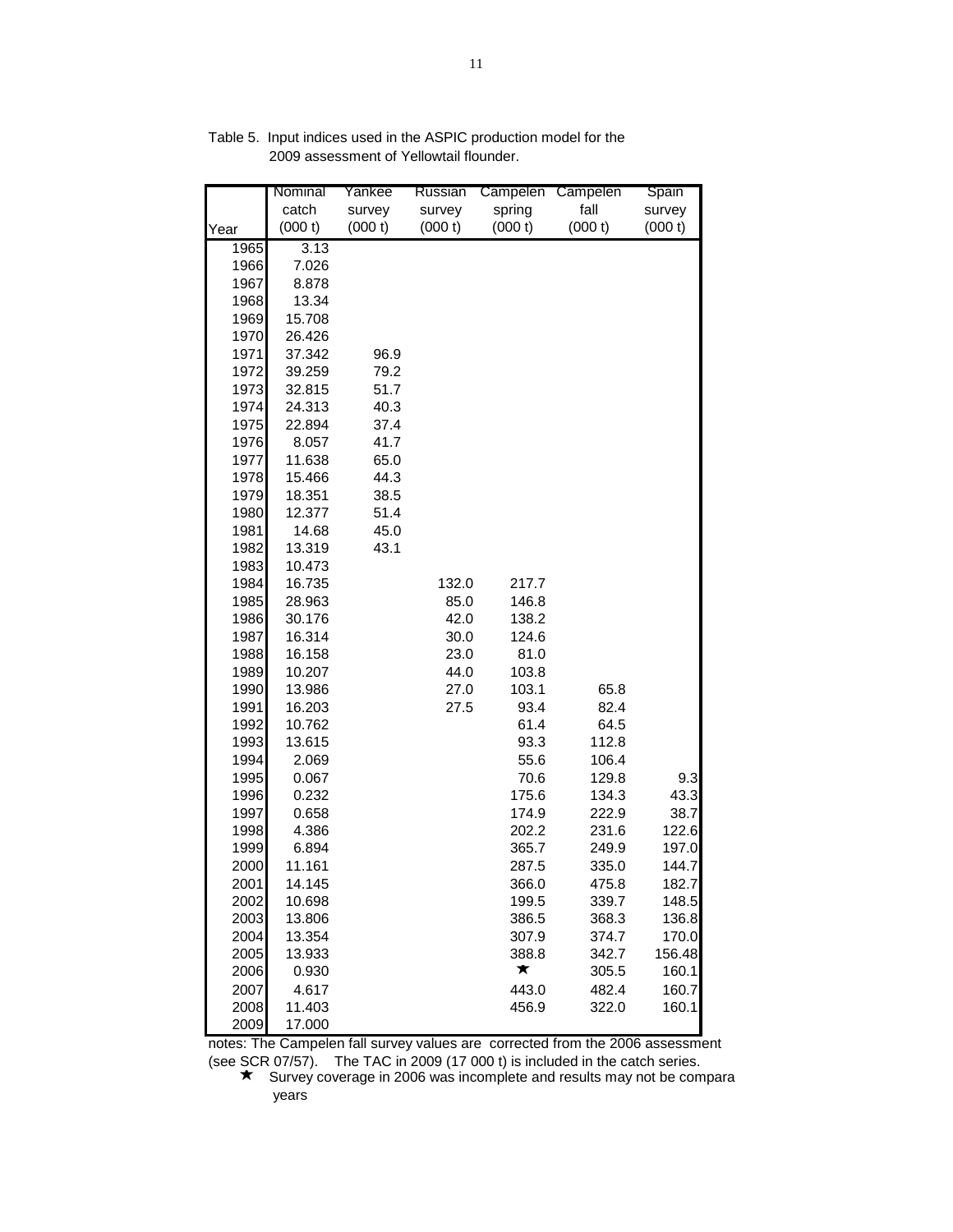|              | Nominal        | Yankee  | Russian | Campelen       | Campelen       | Spain       |
|--------------|----------------|---------|---------|----------------|----------------|-------------|
|              | catch          | survey  | survey  | spring         | fall           | survey      |
| Year         | (000 t)        | (000 t) | (000 t) | (000 t)        | (000 t)        | (000 t)     |
| 1965         | 3.13           |         |         |                |                |             |
| 1966         | 7.026          |         |         |                |                |             |
| 1967         | 8.878          |         |         |                |                |             |
| 1968         | 13.34          |         |         |                |                |             |
| 1969         | 15.708         |         |         |                |                |             |
| 1970         | 26.426         |         |         |                |                |             |
| 1971         | 37.342         | 96.9    |         |                |                |             |
| 1972         | 39.259         | 79.2    |         |                |                |             |
| 1973         | 32.815         | 51.7    |         |                |                |             |
| 1974         | 24.313         | 40.3    |         |                |                |             |
| 1975         | 22.894         | 37.4    |         |                |                |             |
| 1976         | 8.057          | 41.7    |         |                |                |             |
| 1977         | 11.638         | 65.0    |         |                |                |             |
| 1978         | 15.466         | 44.3    |         |                |                |             |
| 1979         | 18.351         | 38.5    |         |                |                |             |
| 1980         | 12.377         | 51.4    |         |                |                |             |
| 1981         | 14.68          | 45.0    |         |                |                |             |
| 1982         | 13.319         | 43.1    |         |                |                |             |
| 1983         | 10.473         |         |         |                |                |             |
| 1984         | 16.735         |         | 132.0   | 217.7          |                |             |
| 1985         | 28.963         |         | 85.0    | 146.8          |                |             |
| 1986         | 30.176         |         | 42.0    | 138.2          |                |             |
| 1987         | 16.314         |         | 30.0    | 124.6          |                |             |
| 1988         | 16.158         |         | 23.0    | 81.0           |                |             |
| 1989         | 10.207         |         | 44.0    | 103.8          |                |             |
| 1990         | 13.986         |         | 27.0    | 103.1          | 65.8           |             |
| 1991         | 16.203         |         | 27.5    | 93.4           | 82.4           |             |
| 1992         | 10.762         |         |         | 61.4           | 64.5           |             |
| 1993         | 13.615         |         |         | 93.3           | 112.8          |             |
| 1994         | 2.069          |         |         | 55.6           | 106.4          |             |
| 1995<br>1996 | 0.067          |         |         | 70.6           | 129.8<br>134.3 | 9.3<br>43.3 |
| 1997         | 0.232<br>0.658 |         |         | 175.6<br>174.9 | 222.9          | 38.7        |
| 1998         | 4.386          |         |         | 202.2          | 231.6          | 122.6       |
| 1999         | 6.894          |         |         | 365.7          | 249.9          | 197.0       |
| 2000         | 11.161         |         |         | 287.5          | 335.0          | 144.7       |
| 2001         | 14.145         |         |         | 366.0          | 475.8          | 182.7       |
| 2002         | 10.698         |         |         | 199.5          | 339.7          | 148.5       |
| 2003         | 13.806         |         |         | 386.5          | 368.3          | 136.8       |
| 2004         | 13.354         |         |         | 307.9          | 374.7          | 170.0       |
| 2005         | 13.933         |         |         | 388.8          | 342.7          | 156.48      |
| 2006         | 0.930          |         |         | ★              | 305.5          | 160.1       |
| 2007         | 4.617          |         |         | 443.0          | 482.4          | 160.7       |
| 2008         | 11.403         |         |         | 456.9          | 322.0          | 160.1       |
| 2009         | 17.000         |         |         |                |                |             |
|              |                |         |         |                |                |             |

Table 5. Input indices used in the ASPIC production model for the 2009 assessment of Yellowtail flounder.

notes: The Campelen fall survey values are corrected from the 2006 assessment

(see SCR 07/57). The TAC in 2009 (17 000 t) is included in the catch series.<br>
★ Survey coverage in 2006 was incomplete and results may not be compara years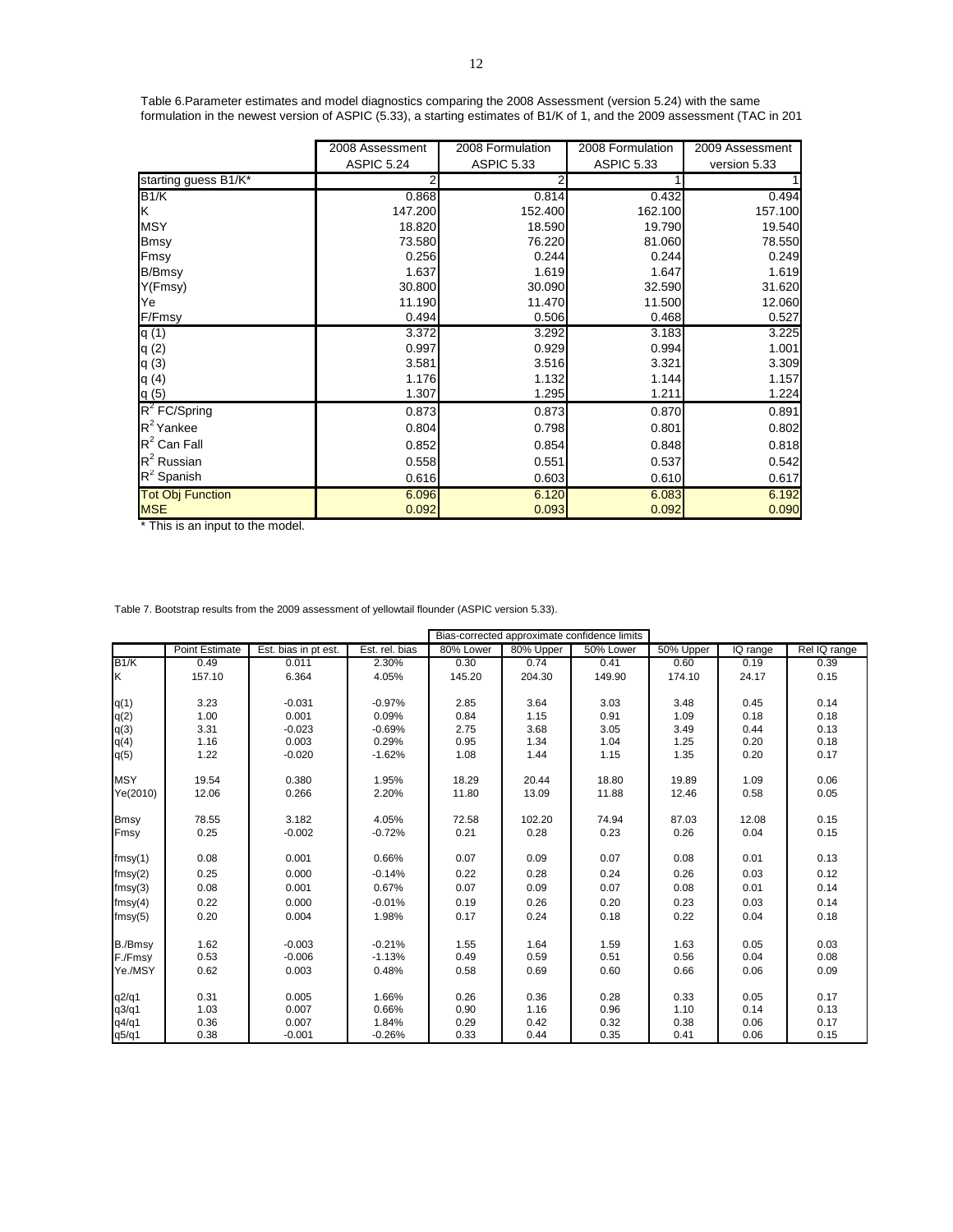|                         | 2008 Assessment | 2008 Formulation  | 2008 Formulation  | 2009 Assessment |
|-------------------------|-----------------|-------------------|-------------------|-----------------|
|                         | ASPIC 5.24      | <b>ASPIC 5.33</b> | <b>ASPIC 5.33</b> | version 5.33    |
| starting guess B1/K*    |                 | 2                 |                   |                 |
| B1/K                    | 0.868           | 0.814             | 0.432             | 0.494           |
| K                       | 147.200         | 152.400           | 162.100           | 157.100         |
| <b>MSY</b>              | 18.820          | 18.590            | 19.790            | 19.540          |
| <b>Bmsy</b>             | 73.580          | 76.220            | 81.060            | 78.550          |
| Fmsy                    | 0.256           | 0.244             | 0.244             | 0.249           |
| B/Bmsy                  | 1.637           | 1.619             | 1.647             | 1.619           |
| Y(Fmsy)                 | 30.800          | 30.090            | 32.590            | 31.620          |
| Ye                      | 11.190          | 11.470            | 11.500            | 12.060          |
| F/Fmsy                  | 0.494           | 0.506             | 0.468             | 0.527           |
| q(1)                    | 3.372           | 3.292             | 3.183             | 3.225           |
| q(2)                    | 0.997           | 0.929             | 0.994             | 1.001           |
| q(3)                    | 3.581           | 3.516             | 3.321             | 3.309           |
| q(4)                    | 1.176           | 1.132             | 1.144             | 1.157           |
| q(5)                    | 1.307           | 1.295             | 1.211             | 1.224           |
| $R^2$ FC/Spring         | 0.873           | 0.873             | 0.870             | 0.891           |
| $R^2$ Yankee            | 0.804           | 0.798             | 0.801             | 0.802           |
| $R^2$ Can Fall          | 0.852           | 0.854             | 0.848             | 0.818           |
| $R^2$ Russian           | 0.558           | 0.551             | 0.537             | 0.542           |
| $R^2$ Spanish           | 0.616           | 0.603             | 0.610             | 0.617           |
| <b>Tot Obj Function</b> | 6.096           | 6.120             | 6.083             | 6.192           |
| <b>MSE</b>              | 0.092           | 0.093             | 0.092             | 0.090           |

Table 6.Parameter estimates and model diagnostics comparing the 2008 Assessment (version 5.24) with the same formulation in the newest version of ASPIC (5.33), a starting estimates of B1/K of 1, and the 2009 assessment (TAC in 201

\* This is an input to the model.

Table 7. Bootstrap results from the 2009 assessment of yellowtail flounder (ASPIC version 5.33).

|             |                |                      |                |           |           | Bias-corrected approximate confidence limits |           |          |              |
|-------------|----------------|----------------------|----------------|-----------|-----------|----------------------------------------------|-----------|----------|--------------|
|             | Point Estimate | Est. bias in pt est. | Est. rel. bias | 80% Lower | 80% Upper | 50% Lower                                    | 50% Upper | IQ range | Rel IQ range |
| B1/K        | 0.49           | 0.011                | 2.30%          | 0.30      | 0.74      | 0.41                                         | 0.60      | 0.19     | 0.39         |
| Κ           | 157.10         | 6.364                | 4.05%          | 145.20    | 204.30    | 149.90                                       | 174.10    | 24.17    | 0.15         |
|             |                |                      |                |           |           |                                              |           |          |              |
| q(1)        | 3.23           | $-0.031$             | $-0.97%$       | 2.85      | 3.64      | 3.03                                         | 3.48      | 0.45     | 0.14         |
| q(2)        | 1.00           | 0.001                | 0.09%          | 0.84      | 1.15      | 0.91                                         | 1.09      | 0.18     | 0.18         |
| q(3)        | 3.31           | $-0.023$             | $-0.69%$       | 2.75      | 3.68      | 3.05                                         | 3.49      | 0.44     | 0.13         |
| q(4)        | 1.16           | 0.003                | 0.29%          | 0.95      | 1.34      | 1.04                                         | 1.25      | 0.20     | 0.18         |
| q(5)        | 1.22           | $-0.020$             | $-1.62%$       | 1.08      | 1.44      | 1.15                                         | 1.35      | 0.20     | 0.17         |
| <b>MSY</b>  | 19.54          | 0.380                | 1.95%          | 18.29     | 20.44     | 18.80                                        | 19.89     | 1.09     | 0.06         |
| Ye(2010)    | 12.06          | 0.266                | 2.20%          | 11.80     | 13.09     | 11.88                                        | 12.46     | 0.58     | 0.05         |
|             |                |                      |                |           |           |                                              |           |          |              |
| <b>Bmsy</b> | 78.55          | 3.182                | 4.05%          | 72.58     | 102.20    | 74.94                                        | 87.03     | 12.08    | 0.15         |
| Fmsy        | 0.25           | $-0.002$             | $-0.72%$       | 0.21      | 0.28      | 0.23                                         | 0.26      | 0.04     | 0.15         |
|             |                |                      |                |           |           |                                              |           |          |              |
| fmsy(1)     | 0.08           | 0.001                | 0.66%          | 0.07      | 0.09      | 0.07                                         | 0.08      | 0.01     | 0.13         |
| fmsy(2)     | 0.25           | 0.000                | $-0.14%$       | 0.22      | 0.28      | 0.24                                         | 0.26      | 0.03     | 0.12         |
| fmsy(3)     | 0.08           | 0.001                | 0.67%          | 0.07      | 0.09      | 0.07                                         | 0.08      | 0.01     | 0.14         |
| fmsy(4)     | 0.22           | 0.000                | $-0.01%$       | 0.19      | 0.26      | 0.20                                         | 0.23      | 0.03     | 0.14         |
| fmsy(5)     | 0.20           | 0.004                | 1.98%          | 0.17      | 0.24      | 0.18                                         | 0.22      | 0.04     | 0.18         |
|             |                |                      |                |           |           |                                              |           |          |              |
| B./Bmsy     | 1.62           | $-0.003$             | $-0.21%$       | 1.55      | 1.64      | 1.59                                         | 1.63      | 0.05     | 0.03         |
| F./Fmsy     | 0.53           | $-0.006$             | $-1.13%$       | 0.49      | 0.59      | 0.51                                         | 0.56      | 0.04     | 0.08         |
| Ye./MSY     | 0.62           | 0.003                | 0.48%          | 0.58      | 0.69      | 0.60                                         | 0.66      | 0.06     | 0.09         |
|             |                |                      |                |           |           |                                              |           |          |              |
| q2/q1       | 0.31           | 0.005                | 1.66%          | 0.26      | 0.36      | 0.28                                         | 0.33      | 0.05     | 0.17         |
| q3/q1       | 1.03           | 0.007                | 0.66%          | 0.90      | 1.16      | 0.96                                         | 1.10      | 0.14     | 0.13         |
| q4/q1       | 0.36           | 0.007                | 1.84%          | 0.29      | 0.42      | 0.32                                         | 0.38      | 0.06     | 0.17         |
| q5/q1       | 0.38           | $-0.001$             | $-0.26%$       | 0.33      | 0.44      | 0.35                                         | 0.41      | 0.06     | 0.15         |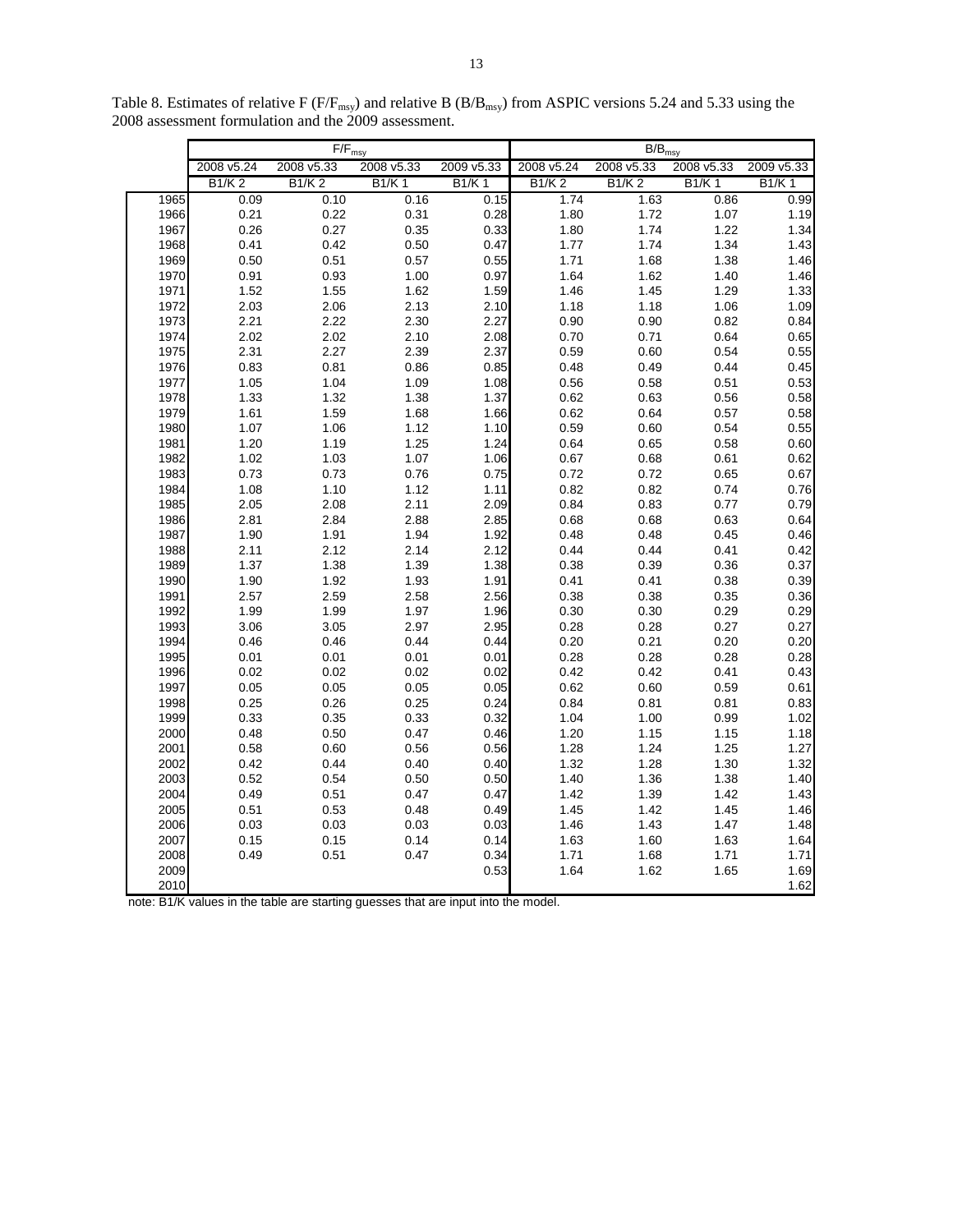|              |              | $\overline{F}/F_{\text{msy}}$ |              |              | $B/B_{msy}$  |              |              |              |  |  |  |
|--------------|--------------|-------------------------------|--------------|--------------|--------------|--------------|--------------|--------------|--|--|--|
|              | 2008 v5.24   | 2008 v5.33                    | 2008 v5.33   | 2009 v5.33   | 2008 v5.24   | 2008 v5.33   | 2008 v5.33   | 2009 v5.33   |  |  |  |
|              | <b>B1/K2</b> | <b>B1/K2</b>                  | <b>B1/K1</b> | <b>B1/K1</b> | <b>B1/K2</b> | <b>B1/K2</b> | <b>B1/K1</b> | <b>B1/K1</b> |  |  |  |
| 1965         | 0.09         | 0.10                          | 0.16         | 0.15         | 1.74         | 1.63         | 0.86         | 0.99         |  |  |  |
| 1966         | 0.21         | 0.22                          | 0.31         | 0.28         | 1.80         | 1.72         | 1.07         | 1.19         |  |  |  |
| 1967         | 0.26         | 0.27                          | 0.35         | 0.33         | 1.80         | 1.74         | 1.22         | 1.34         |  |  |  |
| 1968         | 0.41         | 0.42                          | 0.50         | 0.47         | 1.77         | 1.74         | 1.34         | 1.43         |  |  |  |
| 1969         | 0.50         | 0.51                          | 0.57         | 0.55         | 1.71         | 1.68         | 1.38         | 1.46         |  |  |  |
| 1970         | 0.91         | 0.93                          | 1.00         | 0.97         | 1.64         | 1.62         | 1.40         | 1.46         |  |  |  |
| 1971         | 1.52         | 1.55                          | 1.62         | 1.59         | 1.46         | 1.45         | 1.29         | 1.33         |  |  |  |
| 1972         | 2.03         | 2.06                          | 2.13         | 2.10         | 1.18         | 1.18         | 1.06         | 1.09         |  |  |  |
| 1973         | 2.21         | 2.22                          | 2.30         | 2.27         | 0.90         | 0.90         | 0.82         | 0.84         |  |  |  |
| 1974         | 2.02         | 2.02                          | 2.10         | 2.08         | 0.70         | 0.71         | 0.64         | 0.65         |  |  |  |
| 1975         | 2.31         | 2.27                          | 2.39         | 2.37         | 0.59         | 0.60         | 0.54         | 0.55         |  |  |  |
| 1976         | 0.83         | 0.81                          | 0.86         | 0.85         | 0.48         | 0.49         | 0.44         | 0.45         |  |  |  |
| 1977         | 1.05         | 1.04                          | 1.09         | 1.08         | 0.56         | 0.58         | 0.51         | 0.53         |  |  |  |
| 1978         | 1.33         | 1.32                          | 1.38         | 1.37         | 0.62         | 0.63         | 0.56         | 0.58         |  |  |  |
| 1979         | 1.61         | 1.59                          | 1.68         | 1.66         | 0.62         | 0.64         | 0.57         | 0.58         |  |  |  |
| 1980         | 1.07         | 1.06                          | 1.12         | 1.10         | 0.59         | 0.60         | 0.54         | 0.55         |  |  |  |
| 1981         | 1.20         | 1.19                          | 1.25         | 1.24         | 0.64         | 0.65         | 0.58         | 0.60         |  |  |  |
| 1982         | 1.02         | 1.03                          | 1.07         | 1.06         | 0.67         | 0.68         | 0.61         | 0.62         |  |  |  |
| 1983         | 0.73         | 0.73                          | 0.76         | 0.75         | 0.72         | 0.72         | 0.65         | 0.67         |  |  |  |
| 1984         | 1.08         | 1.10                          | 1.12         | 1.11         | 0.82         | 0.82         | 0.74         | 0.76         |  |  |  |
| 1985         | 2.05         | 2.08                          | 2.11         | 2.09         | 0.84         | 0.83         | 0.77         | 0.79         |  |  |  |
| 1986         | 2.81         | 2.84                          | 2.88         | 2.85         | 0.68         | 0.68         | 0.63         | 0.64         |  |  |  |
| 1987         | 1.90         | 1.91                          | 1.94         | 1.92         | 0.48         | 0.48         | 0.45         | 0.46         |  |  |  |
| 1988         | 2.11         | 2.12                          | 2.14         | 2.12         | 0.44         | 0.44         | 0.41         | 0.42         |  |  |  |
| 1989         | 1.37         | 1.38                          | 1.39         | 1.38         | 0.38         | 0.39         | 0.36         | 0.37         |  |  |  |
| 1990         | 1.90         | 1.92                          | 1.93         | 1.91         | 0.41         | 0.41         | 0.38         | 0.39         |  |  |  |
| 1991         | 2.57         | 2.59                          | 2.58         | 2.56         | 0.38         | 0.38         | 0.35         | 0.36         |  |  |  |
| 1992         | 1.99         | 1.99                          | 1.97         | 1.96         | 0.30         | 0.30         | 0.29         | 0.29         |  |  |  |
| 1993         | 3.06         | 3.05                          | 2.97         | 2.95         | 0.28         | 0.28         | 0.27         | 0.27         |  |  |  |
| 1994         | 0.46         | 0.46                          | 0.44         | 0.44         | 0.20         | 0.21         | 0.20         | 0.20         |  |  |  |
| 1995         | 0.01         | 0.01                          | 0.01         | 0.01         | 0.28         | 0.28         | 0.28         | 0.28         |  |  |  |
| 1996         | 0.02         | 0.02                          | 0.02         | 0.02         | 0.42         | 0.42         | 0.41         | 0.43         |  |  |  |
| 1997<br>1998 | 0.05<br>0.25 | 0.05<br>0.26                  | 0.05<br>0.25 | 0.05<br>0.24 | 0.62<br>0.84 | 0.60         | 0.59         | 0.61         |  |  |  |
|              |              |                               |              |              |              | 0.81         | 0.81         | 0.83         |  |  |  |
| 1999         | 0.33         | 0.35                          | 0.33         | 0.32         | 1.04         | 1.00         | 0.99         | 1.02         |  |  |  |
| 2000         | 0.48         | 0.50                          | 0.47         | 0.46         | 1.20         | 1.15         | 1.15         | 1.18         |  |  |  |
| 2001         | 0.58<br>0.42 | 0.60<br>0.44                  | 0.56<br>0.40 | 0.56<br>0.40 | 1.28<br>1.32 | 1.24         | 1.25<br>1.30 | 1.27<br>1.32 |  |  |  |
| 2002<br>2003 | 0.52         | 0.54                          | 0.50         | 0.50         | 1.40         | 1.28<br>1.36 |              | 1.40         |  |  |  |
| 2004         | 0.49         | 0.51                          | 0.47         | 0.47         | 1.42         | 1.39         | 1.38<br>1.42 | 1.43         |  |  |  |
| 2005         | 0.51         | 0.53                          | 0.48         | 0.49         | 1.45         | 1.42         | 1.45         | 1.46         |  |  |  |
| 2006         | 0.03         | 0.03                          | 0.03         | 0.03         | 1.46         | 1.43         | 1.47         | 1.48         |  |  |  |
| 2007         | 0.15         | 0.15                          | 0.14         | 0.14         | 1.63         | 1.60         | 1.63         | 1.64         |  |  |  |
| 2008         | 0.49         | 0.51                          | 0.47         | 0.34         | 1.71         | 1.68         | 1.71         | 1.71         |  |  |  |
| 2009         |              |                               |              | 0.53         | 1.64         | 1.62         | 1.65         | 1.69         |  |  |  |
| 2010         |              |                               |              |              |              |              |              | 1.62         |  |  |  |
|              |              |                               |              |              |              |              |              |              |  |  |  |

Table 8. Estimates of relative F ( $F/F_{\text{msy}}$ ) and relative B ( $B/B_{\text{msy}}$ ) from ASPIC versions 5.24 and 5.33 using the 2008 assessment formulation and the 2009 assessment.

note: B1/K values in the table are starting guesses that are input into the model.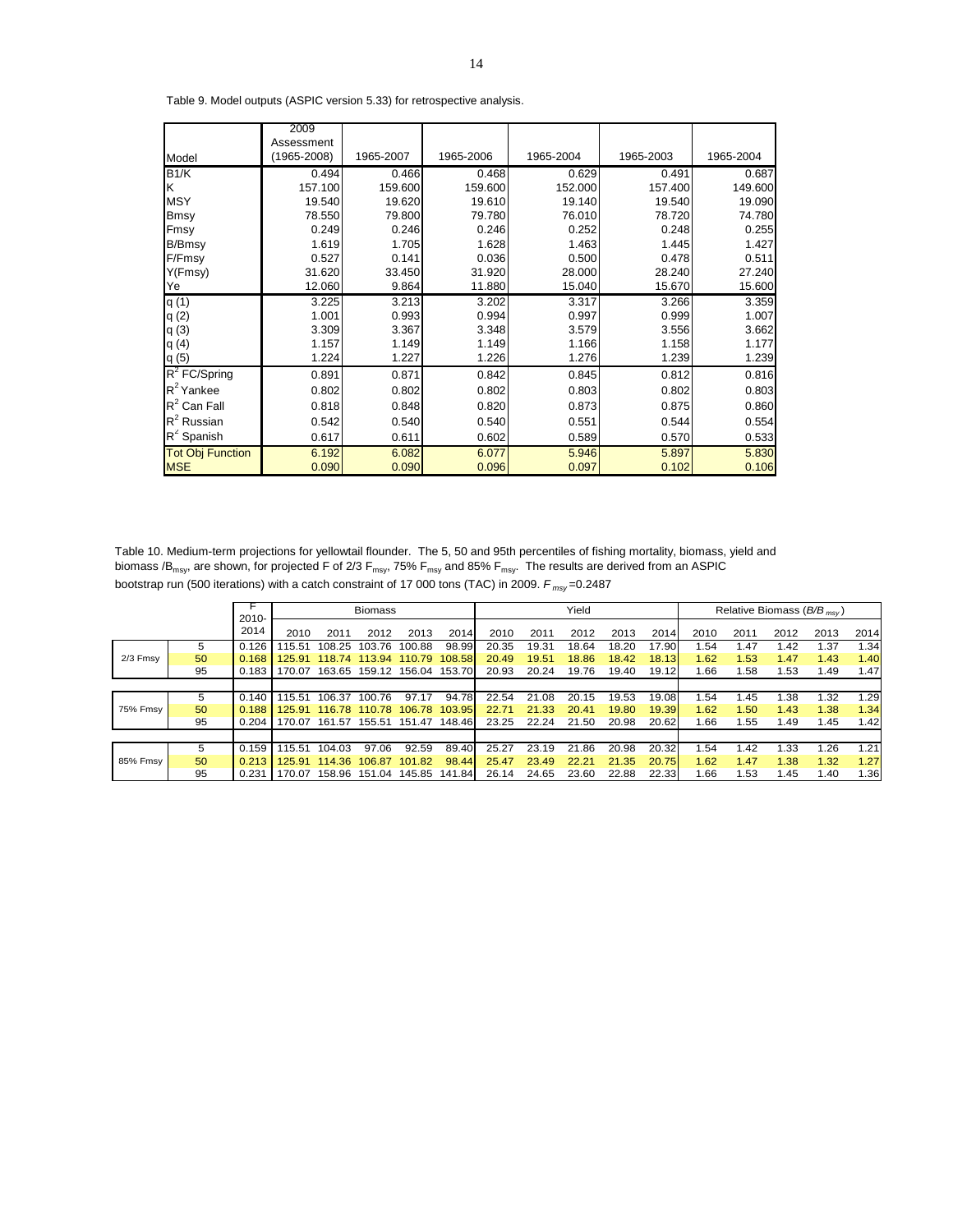|                         | 2009        |           |           |           |           |           |
|-------------------------|-------------|-----------|-----------|-----------|-----------|-----------|
|                         | Assessment  |           |           |           |           |           |
| Model                   | (1965-2008) | 1965-2007 | 1965-2006 | 1965-2004 | 1965-2003 | 1965-2004 |
| B1/K                    | 0.494       | 0.466     | 0.468     | 0.629     | 0.491     | 0.687     |
| K                       | 157.100     | 159.600   | 159.600   | 152.000   | 157.400   | 149.600   |
| <b>MSY</b>              | 19.540      | 19.620    | 19.610    | 19.140    | 19.540    | 19.090    |
| Bmsy                    | 78.550      | 79.800    | 79.780    | 76.010    | 78.720    | 74.780    |
| Fmsy                    | 0.249       | 0.246     | 0.246     | 0.252     | 0.248     | 0.255     |
| B/Bmsy                  | 1.619       | 1.705     | 1.628     | 1.463     | 1.445     | 1.427     |
| F/Fmsy                  | 0.527       | 0.141     | 0.036     | 0.500     | 0.478     | 0.511     |
| Y(Fmsy)                 | 31.620      | 33.450    | 31.920    | 28.000    | 28.240    | 27.240    |
| Ye                      | 12.060      | 9.864     | 11.880    | 15.040    | 15.670    | 15.600    |
| q(1)                    | 3.225       | 3.213     | 3.202     | 3.317     | 3.266     | 3.359     |
| q(2)                    | 1.001       | 0.993     | 0.994     | 0.997     | 0.999     | 1.007     |
| q(3)                    | 3.309       | 3.367     | 3.348     | 3.579     | 3.556     | 3.662     |
| q(4)                    | 1.157       | 1.149     | 1.149     | 1.166     | 1.158     | 1.177     |
| q(5)                    | 1.224       | 1.227     | 1.226     | 1.276     | 1.239     | 1.239     |
| $R^2$ FC/Spring         | 0.891       | 0.871     | 0.842     | 0.845     | 0.812     | 0.816     |
| $R^2$ Yankee            | 0.802       | 0.802     | 0.802     | 0.803     | 0.802     | 0.803     |
| $R^2$ Can Fall          | 0.818       | 0.848     | 0.820     | 0.873     | 0.875     | 0.860     |
| $R^2$ Russian           | 0.542       | 0.540     | 0.540     | 0.551     | 0.544     | 0.554     |
| $R^2$ Spanish           | 0.617       | 0.611     | 0.602     | 0.589     | 0.570     | 0.533     |
| <b>Tot Obj Function</b> | 6.192       | 6.082     | 6.077     | 5.946     | 5.897     | 5.830     |
| <b>MSE</b>              | 0.090       | 0.090     | 0.096     | 0.097     | 0.102     | 0.106     |

Table 9. Model outputs (ASPIC version 5.33) for retrospective analysis.

Table 10. Medium-term projections for yellowtail flounder. The 5, 50 and 95th percentiles of fishing mortality, biomass, yield and biomass /B<sub>msy</sub>, are shown, for projected F of 2/3 F<sub>msy</sub>, 75% F<sub>msy</sub> and 85% F<sub>msy</sub>. The results are derived from an ASPIC bootstrap run (500 iterations) with a catch constraint of 17 000 tons (TAC) in 2009. *F msy* =0.2487

|                 |    |                  |        |        | <b>Biomass</b>              |        |                             | Yield |       |           |       |       | Relative Biomass ( $B/B_{msy}$ ) |      |      |      |      |
|-----------------|----|------------------|--------|--------|-----------------------------|--------|-----------------------------|-------|-------|-----------|-------|-------|----------------------------------|------|------|------|------|
|                 |    | $2010 -$<br>2014 | 2010   | 2011   | 2012                        | 2013   | 2014                        | 2010  | 2011  | 2012      | 2013  | 2014  | 2010                             | 2011 | 2012 | 2013 | 2014 |
|                 | 5  | 0.126            | 15.51  | 108.25 | 103.76                      | 100.88 | 98.99                       | 20.35 | 19.31 | 18.64     | 18.20 | 17.90 | 1.54                             | 1.47 | 1.42 | 1.37 | 1.34 |
| 2/3 Fmsy        | 50 | 0.168            | 125.91 |        | 118.74 113.94 110.79 108.58 |        |                             | 20.49 | 19.51 | 18.86     | 18.42 | 18.13 | 1.62                             | 1.53 | 1.47 | 1.43 | 1.40 |
|                 | 95 | 0.183            | 170.07 |        |                             |        | 163.65 159.12 156.04 153.70 | 20.93 | 20.24 | 19.76     | 19.40 | 19.12 | 1.66                             | 1.58 | 1.53 | 1.49 | 1.47 |
|                 |    |                  |        |        |                             |        |                             |       |       |           |       |       |                                  |      |      |      |      |
|                 | 5  | 0.140            | 15.51  | 106.37 | 100.76                      | 97.17  | 94.78                       | 22.54 | 21.08 | 20.15     | 19.53 | 19.08 | 1.54                             | 1.45 | 1.38 | 1.32 | 1.29 |
| <b>75% Fmsv</b> | 50 | 0.188            | 125.91 | 116.78 | 110.78 106.78 103.95        |        |                             | 22.71 | 21.33 | 20.41     | 19.80 | 19.39 | 1.62                             | 1.50 | 1.43 | 1.38 | 1.34 |
|                 | 95 | 0.204            | 170.07 |        | 161.57 155.51 151.47 148.46 |        |                             | 23.25 | 22.24 | 21.50     | 20.98 | 20.62 | 1.66                             | 1.55 | 1.49 | 1.45 | 1.42 |
|                 |    |                  |        |        |                             |        |                             |       |       |           |       |       |                                  |      |      |      |      |
|                 | 5  | 0.159            | 15.51  | 104.03 | 97.06                       | 92.59  | 89.40                       | 25.27 | 23.19 | .86<br>21 | 20.98 | 20.32 | 1.54                             | 1.42 | 1.33 | 1.26 | 1.21 |
| 85% Fmsv        | 50 | 0.213            | 125.91 | 114.36 | 106.87                      | 101.82 | 98.44                       | 25.47 | 23.49 | 22.21     | 21.35 | 20.75 | 1.62                             | 1.47 | 1.38 | 1.32 | 1.27 |
|                 | 95 | 0.231            | 170.07 | 158.96 | 151.04                      | 145.85 | 141.84                      | 26.14 | 24.65 | 23.60     | 22.88 | 22.33 | 1.66                             | 1.53 | 1.45 | 1.40 | 1.36 |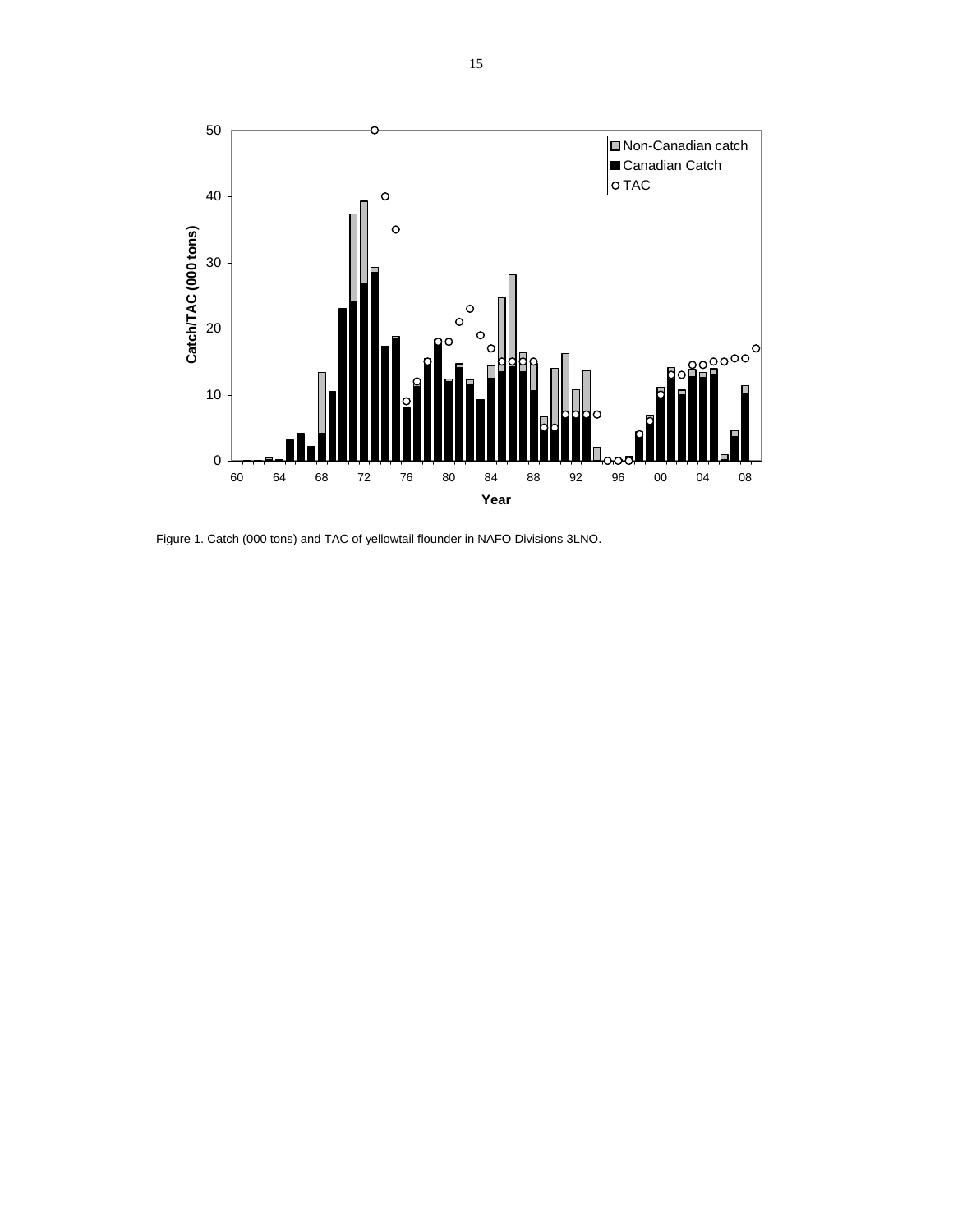

Figure 1. Catch (000 tons) and TAC of yellowtail flounder in NAFO Divisions 3LNO.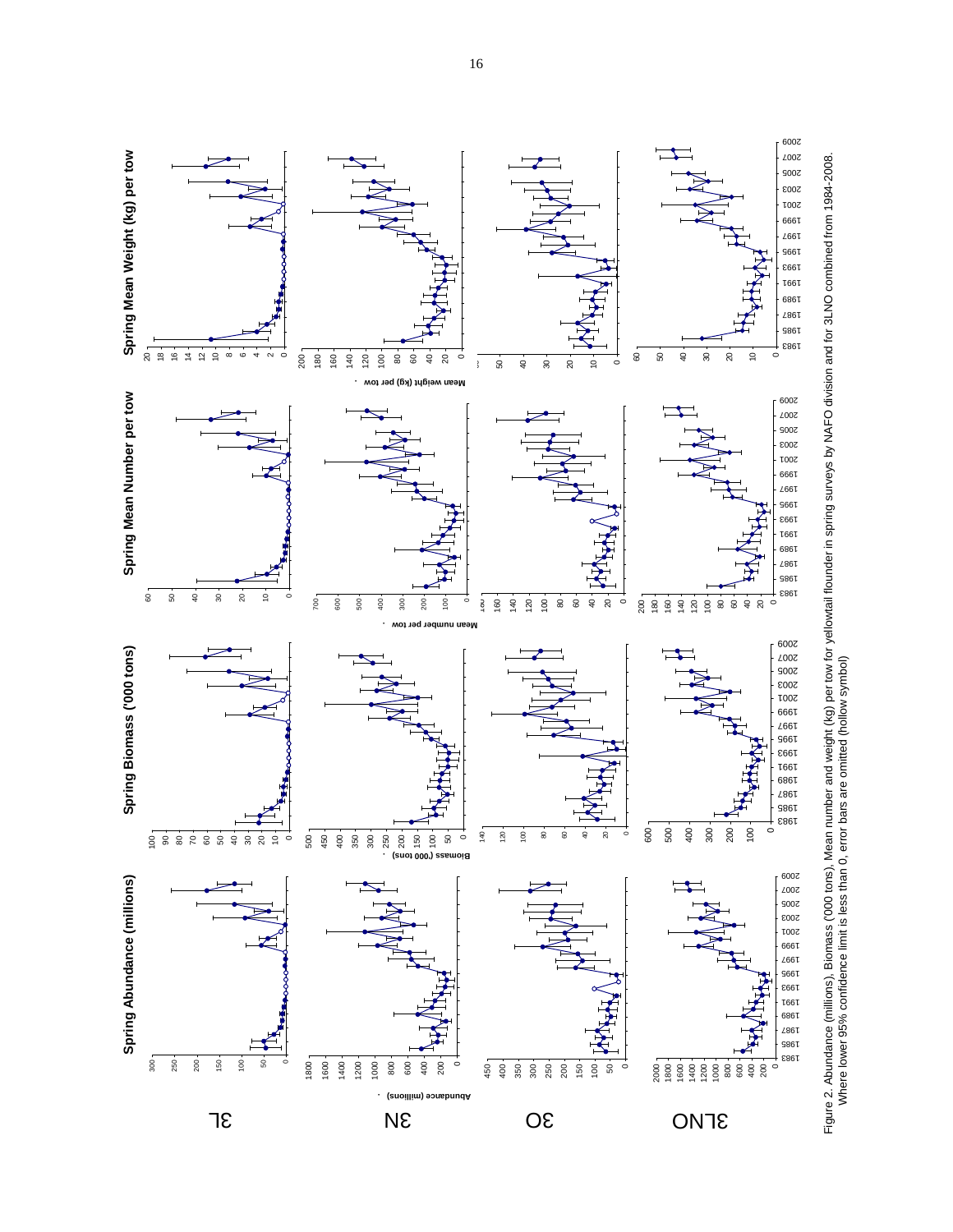

Figure 2. Abundance (millions), Biomass ('000 tons), Mean number and weight (kg) per tow for yellowtail flounder in spring surveys by NAFO division and for 3LNO combined from 1984-2008.<br>Where lower 95% confidence limit is Figure 2. Abundance (millions), Biomass ('000 tons), Mean number and weight (kg) per tow for yellowtail flounder in spring surveys by NAFO division and for 3LNO combined from 1984-2008. Where lower 95% confidence limit is less than 0, error bars are omitted (hollow symbol)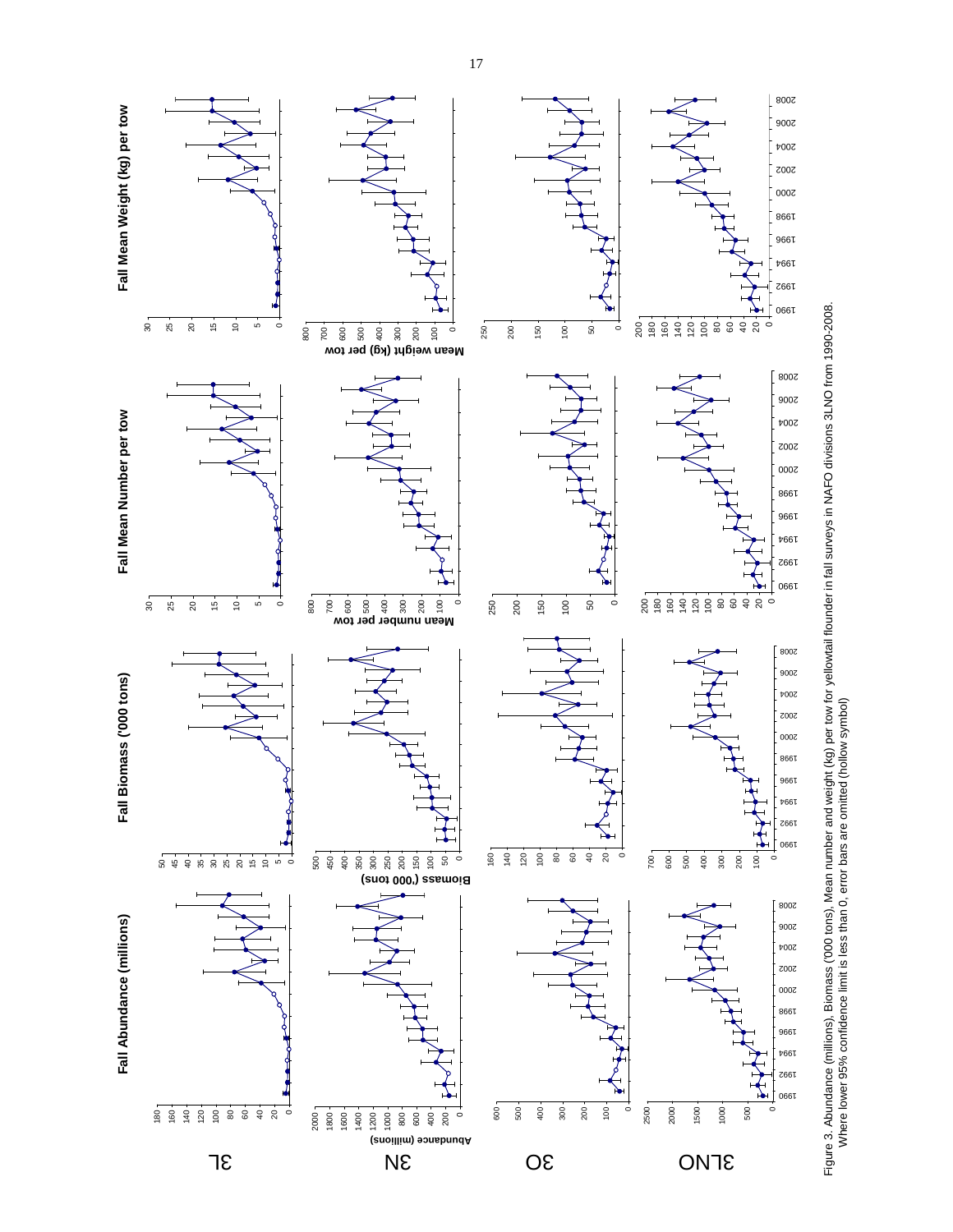

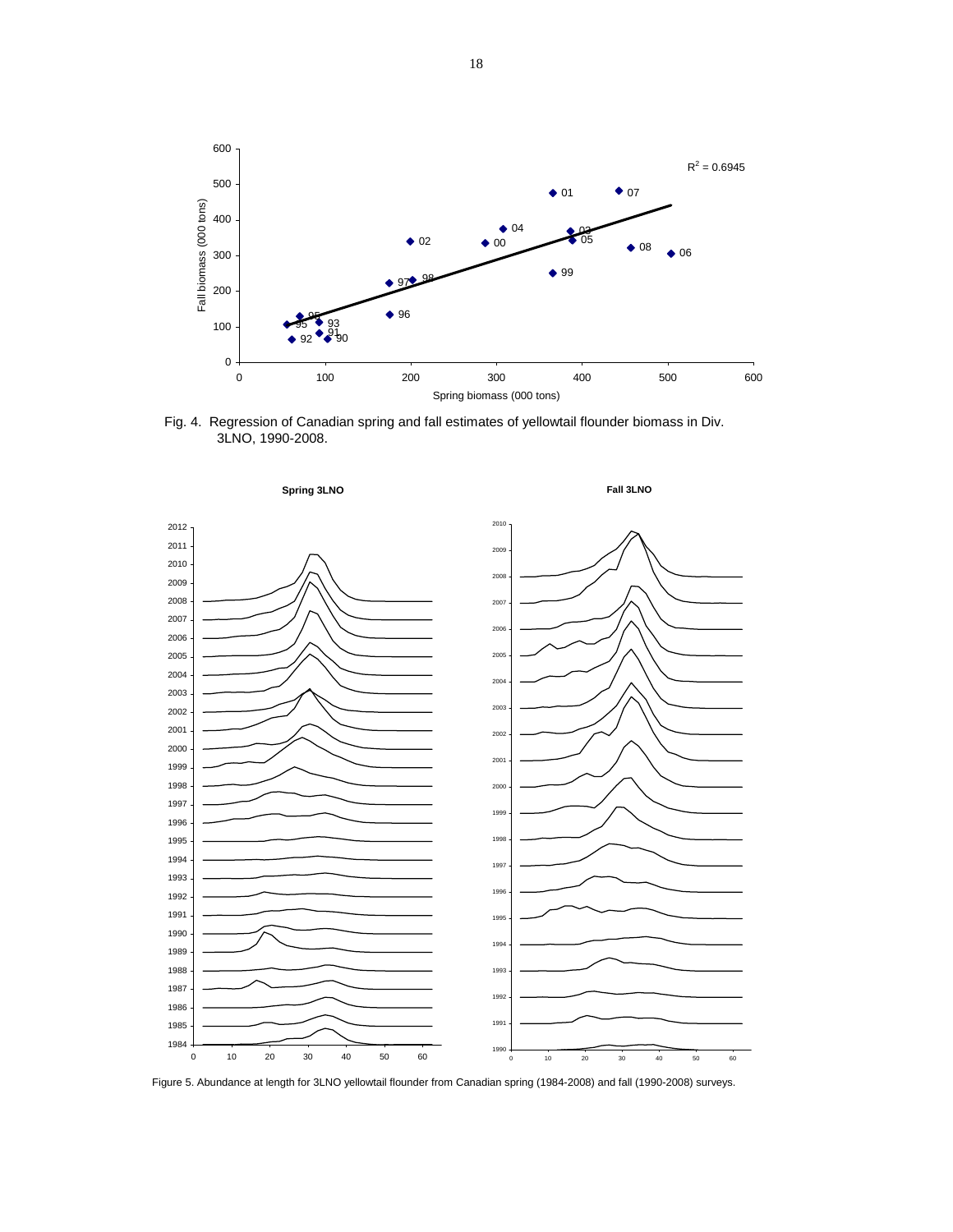

Fig. 4. Regression of Canadian spring and fall estimates of yellowtail flounder biomass in Div. 3LNO, 1990-2008.



Figure 5. Abundance at length for 3LNO yellowtail flounder from Canadian spring (1984-2008) and fall (1990-2008) surveys.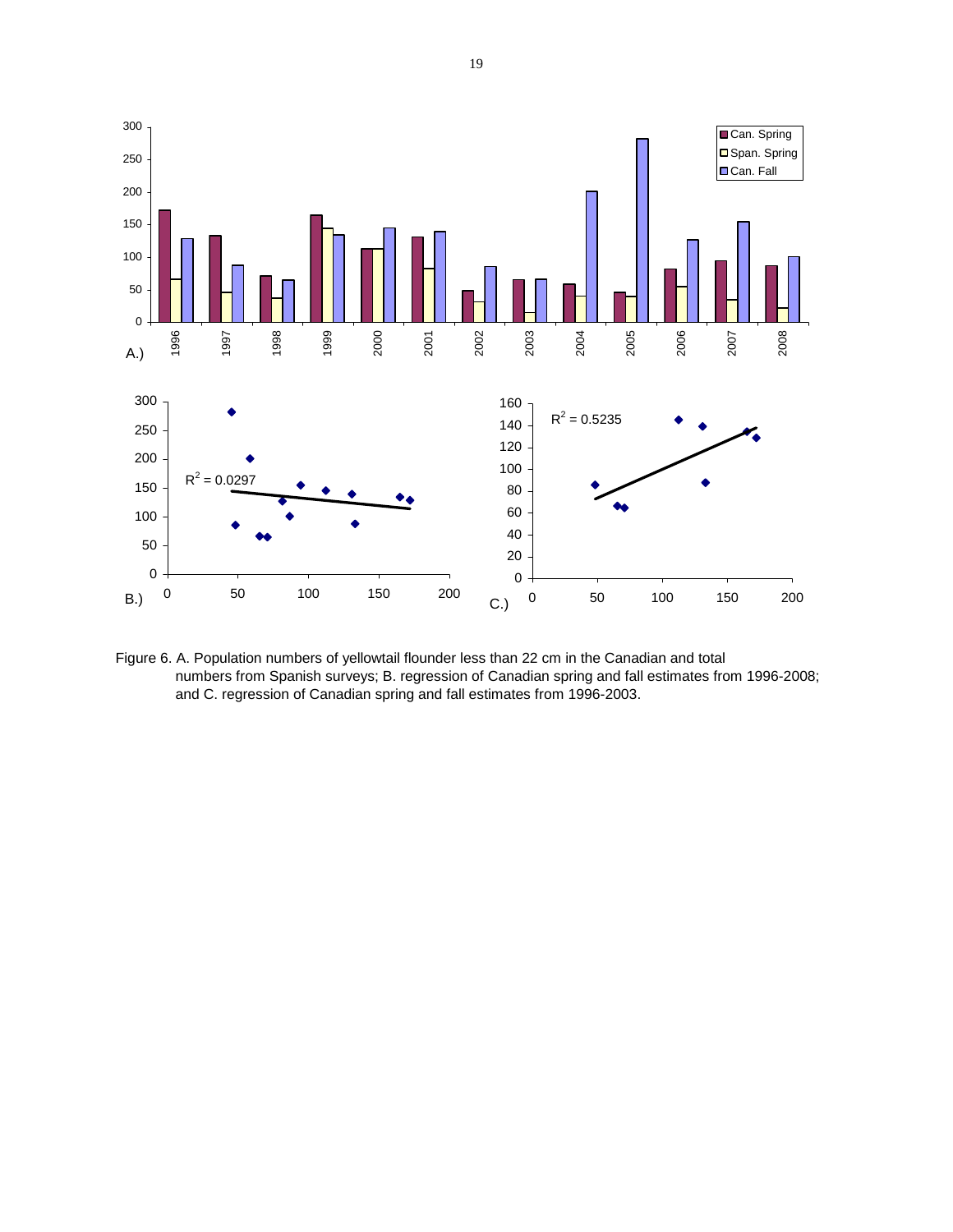

Figure 6. A. Population numbers of yellowtail flounder less than 22 cm in the Canadian and total numbers from Spanish surveys; B. regression of Canadian spring and fall estimates from 1996-2008; and C. regression of Canadian spring and fall estimates from 1996-2003.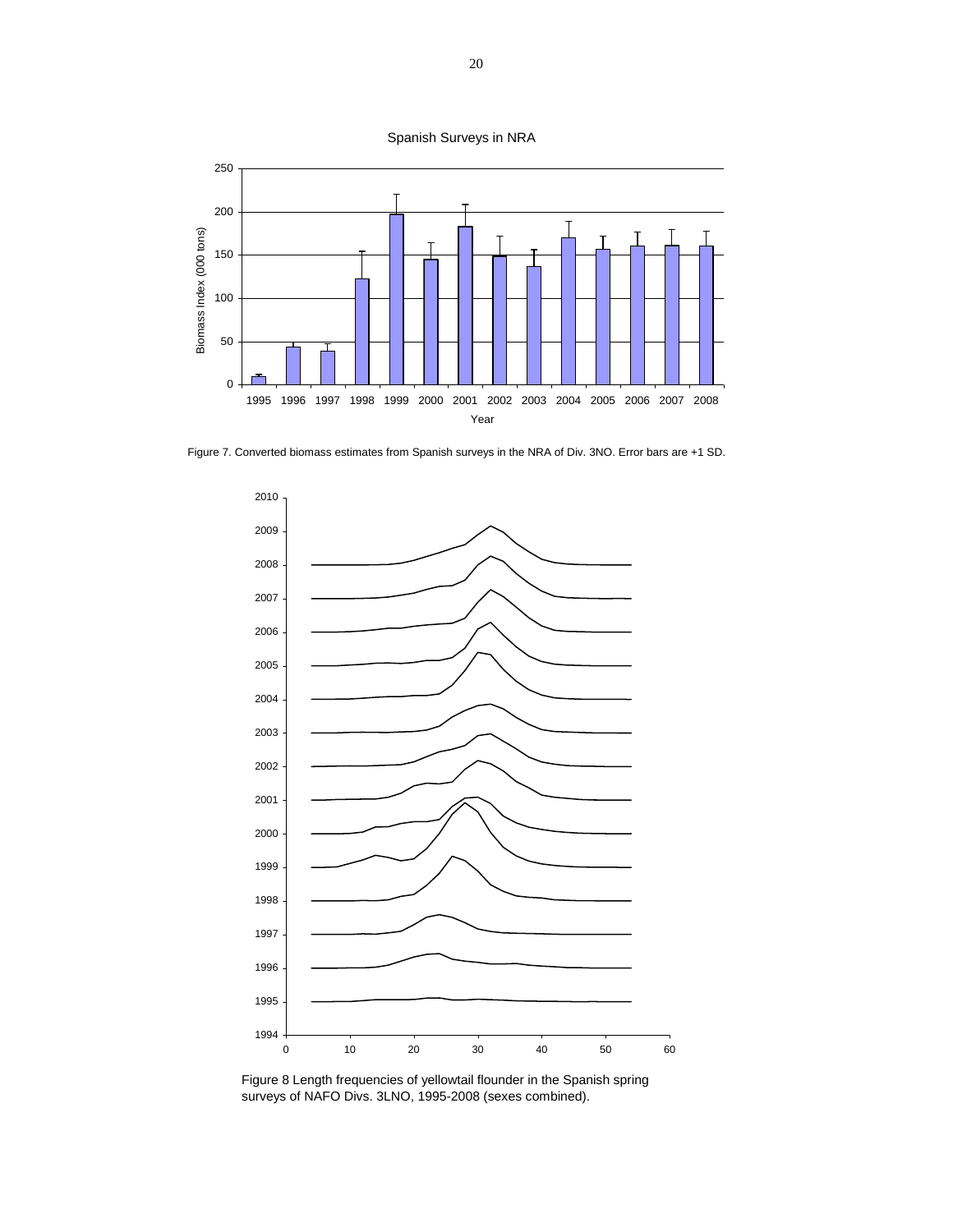



Figure 7. Converted biomass estimates from Spanish surveys in the NRA of Div. 3NO. Error bars are +1 SD.



Figure 8 Length frequencies of yellowtail flounder in the Spanish spring surveys of NAFO Divs. 3LNO, 1995-2008 (sexes combined).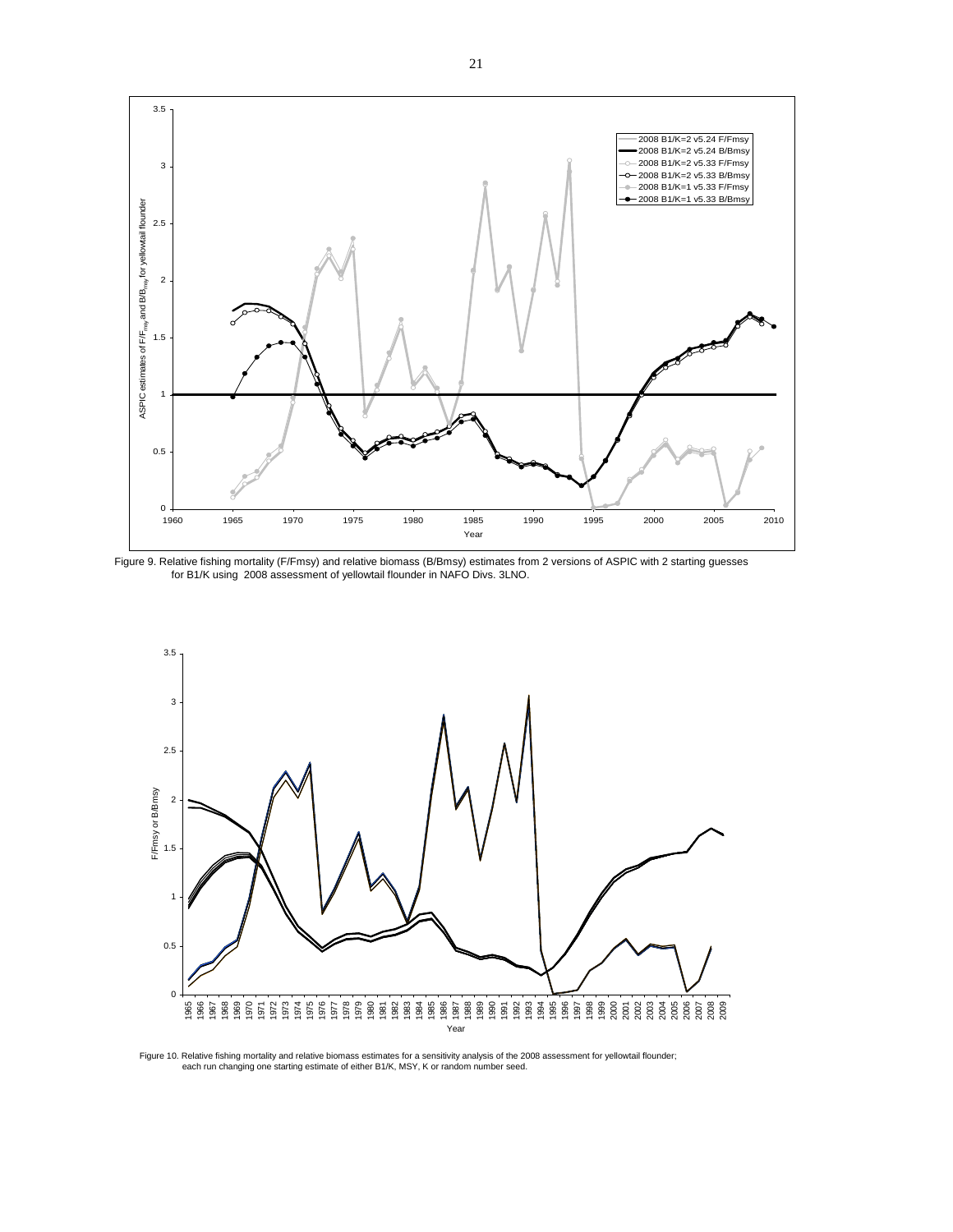

Figure 9. Relative fishing mortality (F/Fmsy) and relative biomass (B/Bmsy) estimates from 2 versions of ASPIC with 2 starting guesses for B1/K using 2008 assessment of yellowtail flounder in NAFO Divs. 3LNO.



Figure 10. Relative fishing mortality and relative biomass estimates for a sensitivity analysis of the 2008 assessment for yellowtail flounder; each run changing one starting estimate of either B1/K, MSY, K or random number seed.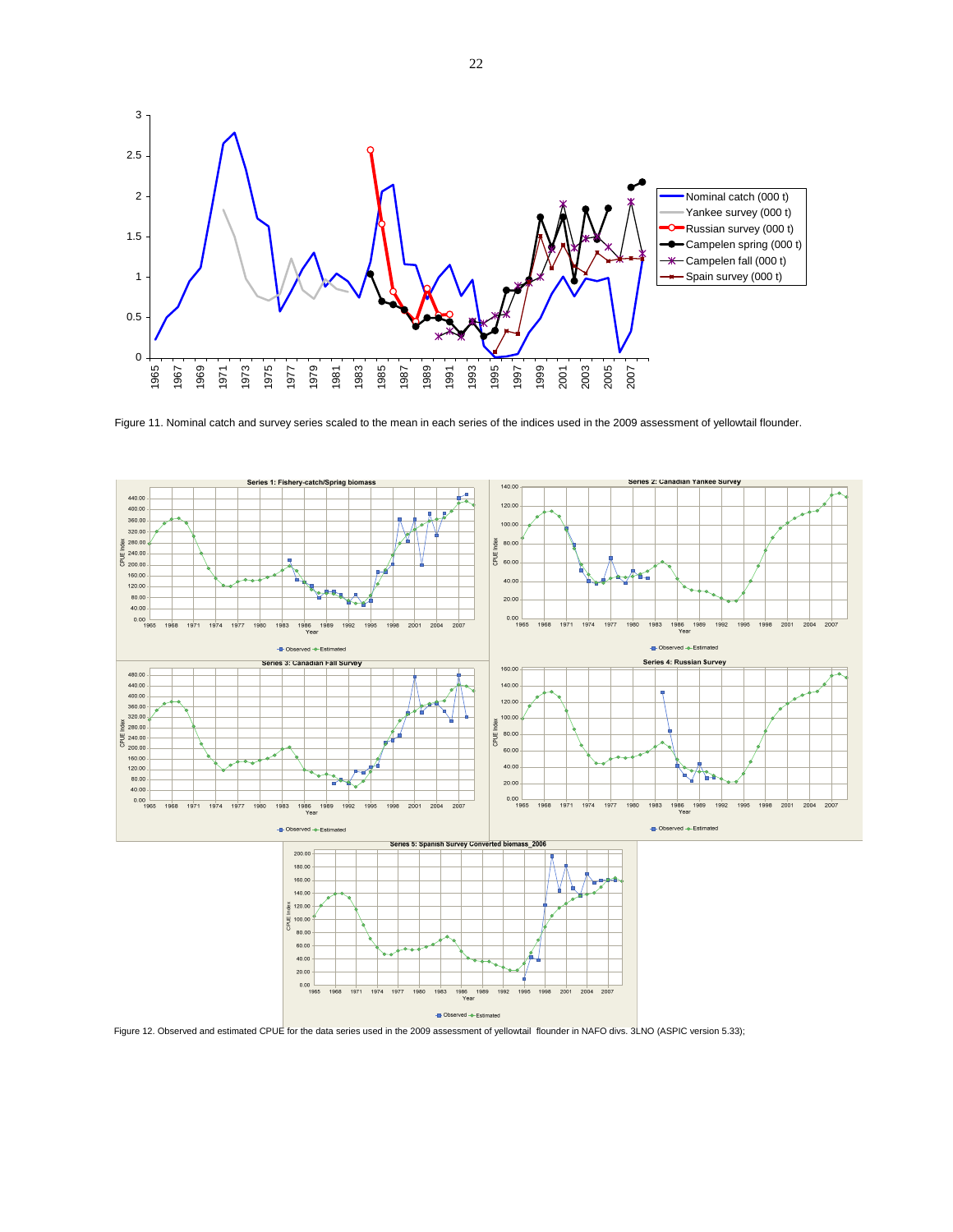

Figure 11. Nominal catch and survey series scaled to the mean in each series of the indices used in the 2009 assessment of yellowtail flounder.

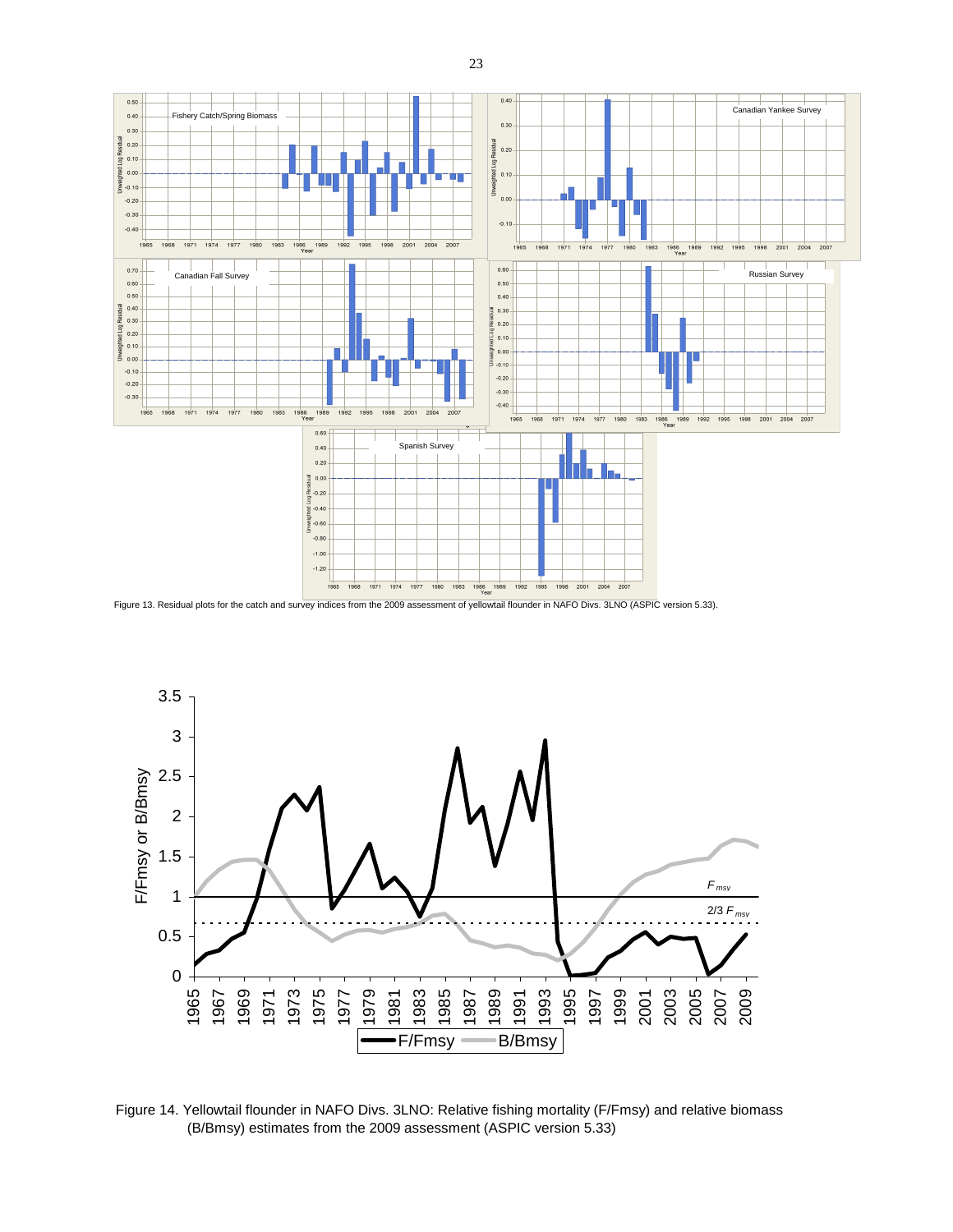



Figure 14. Yellowtail flounder in NAFO Divs. 3LNO: Relative fishing mortality (F/Fmsy) and relative biomass (B/Bmsy) estimates from the 2009 assessment (ASPIC version 5.33)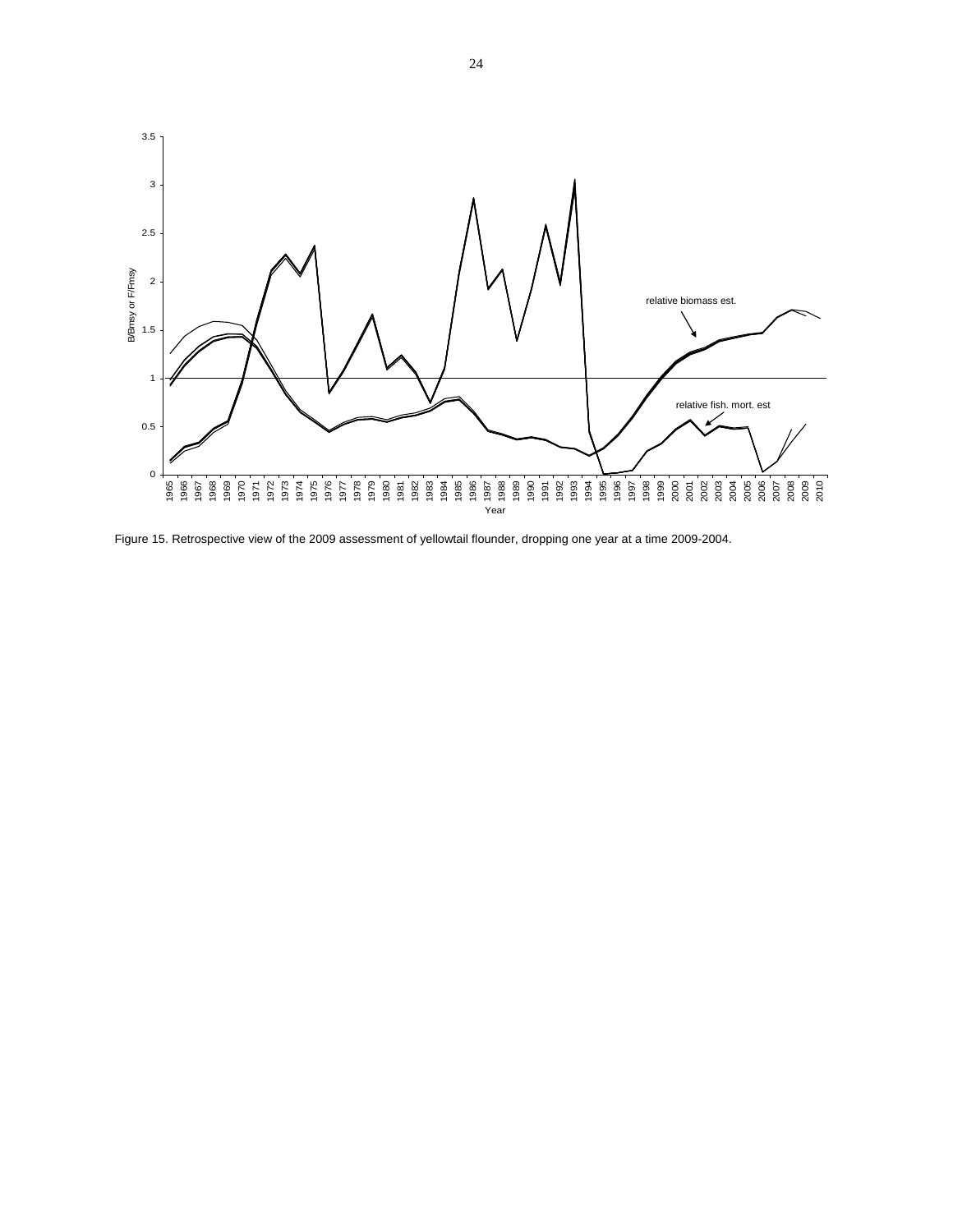

Figure 15. Retrospective view of the 2009 assessment of yellowtail flounder, dropping one year at a time 2009-2004.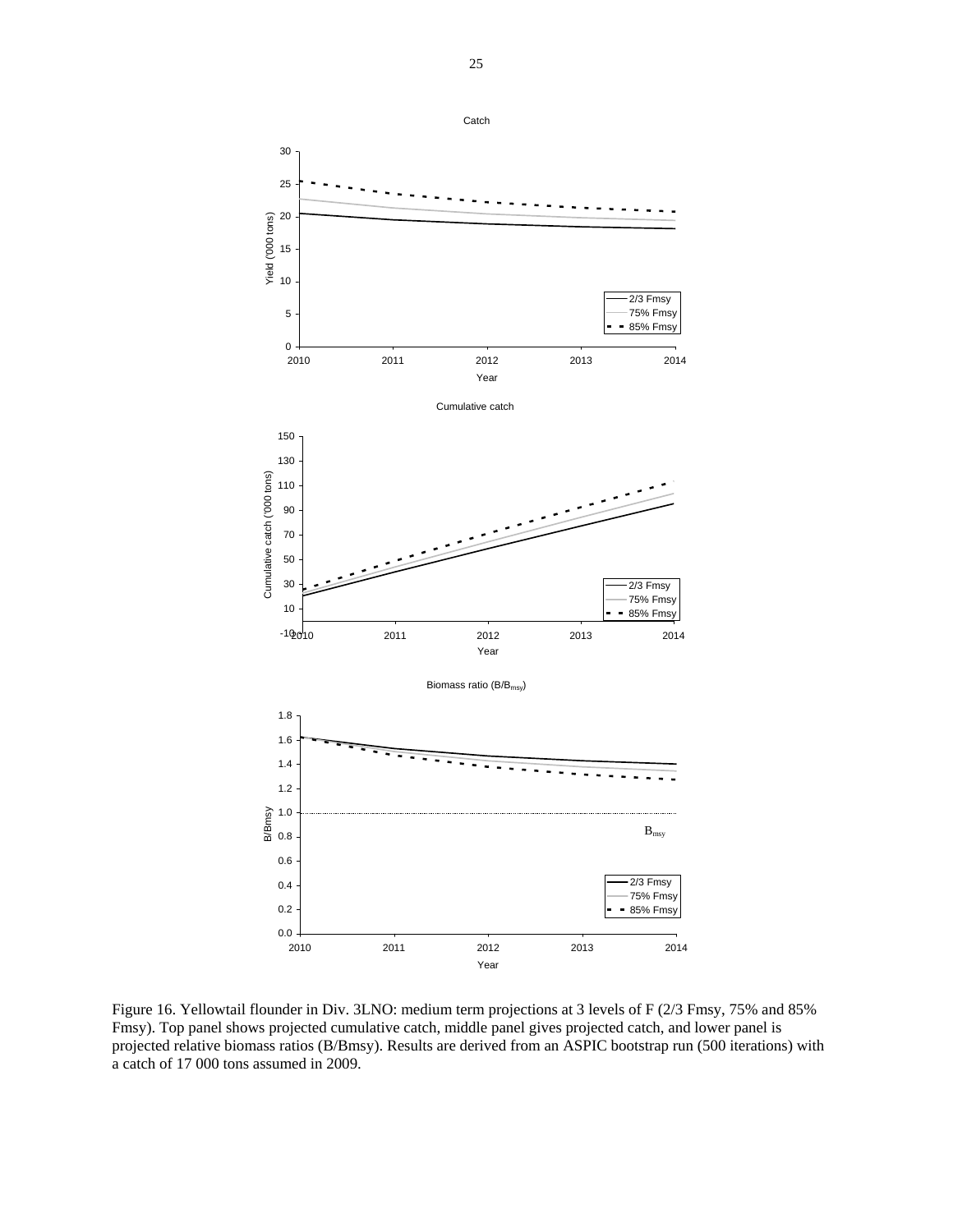

Figure 16. Yellowtail flounder in Div. 3LNO: medium term projections at 3 levels of F (2/3 Fmsy, 75% and 85% Fmsy). Top panel shows projected cumulative catch, middle panel gives projected catch, and lower panel is projected relative biomass ratios (B/Bmsy). Results are derived from an ASPIC bootstrap run (500 iterations) with a catch of 17 000 tons assumed in 2009.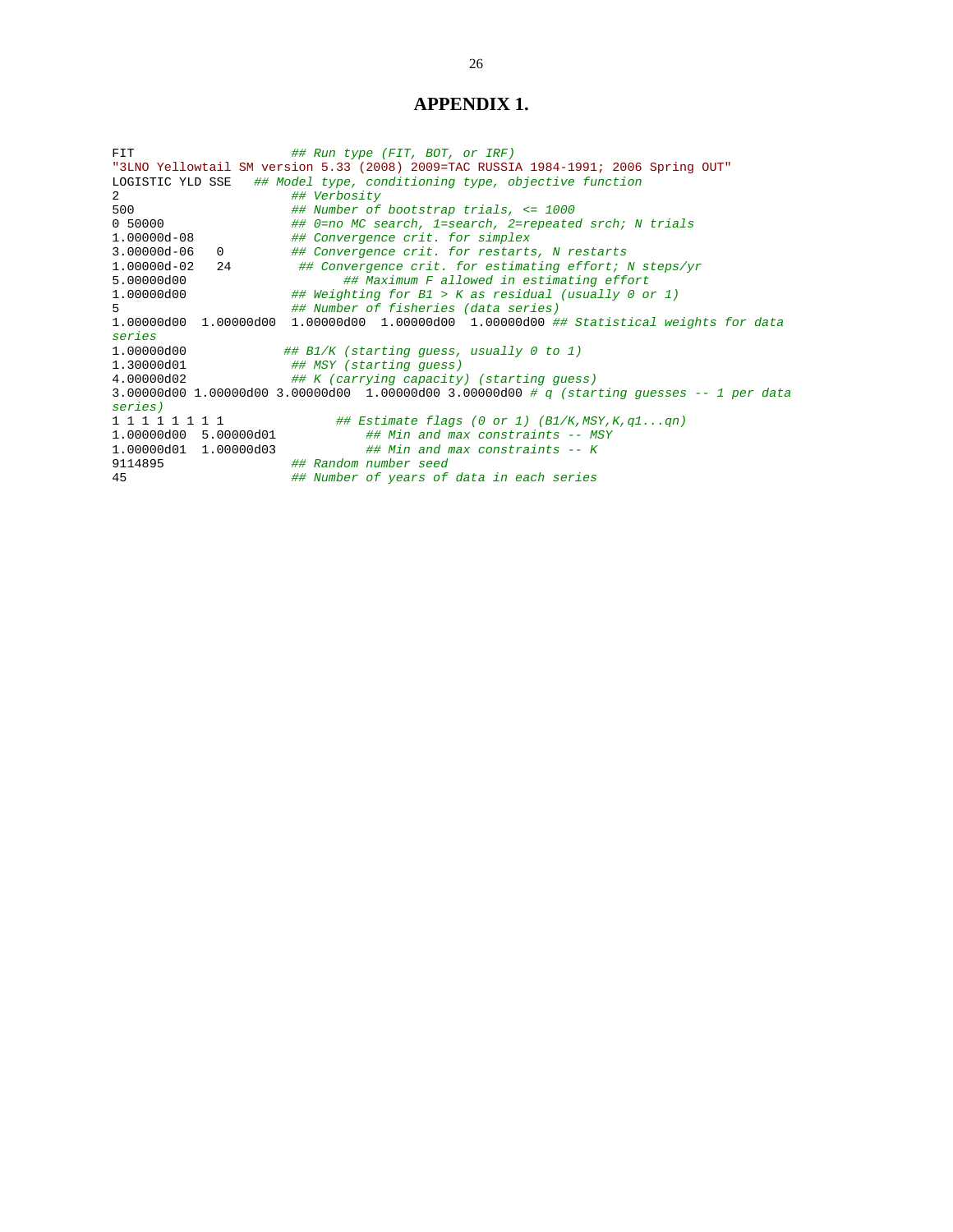## **APPENDIX 1.**

FIT *## Run type (FIT, BOT, or IRF)*  "3LNO Yellowtail SM version 5.33 (2008) 2009=TAC RUSSIA 1984-1991; 2006 Spring OUT" LOGISTIC YLD SSE *## Model type, conditioning type, objective function*  2 *## Verbosity*  500 *## Number of bootstrap trials, <= 1000*  0 50000 *## 0=no MC search, 1=search, 2=repeated srch; N trials*  1.00000d-08 *## Convergence crit. for simplex*  3.00000d-06 0 *## Convergence crit. for restarts, N restarts*  1.00000d-02 24 *## Convergence crit. for estimating effort; N steps/yr*  5.00000d00 *## Maximum F allowed in estimating effort*  1.00000d00 *## Weighting for B1 > K as residual (usually 0 or 1)*  5 *## Number of fisheries (data series)*  1.00000d00 1.00000d00 1.00000d00 1.00000d00 1.00000d00 *## Statistical weights for data series*  1.00000d00 *## B1/K (starting guess, usually 0 to 1)*  1.30000d01 *## MSY (starting guess)*  4.00000d02 *## K (carrying capacity) (starting guess)*  3.00000d00 1.00000d00 3.00000d00 1.00000d00 3.00000d00 *# q (starting guesses -- 1 per data series)*  1 1 1 1 1 1 1 1 *## Estimate flags (0 or 1) (B1/K,MSY,K,q1...qn)*  1.00000d00 5.00000d01 *## Min and max constraints -- MSY*  1.00000d01 1.00000d03 *## Min and max constraints -- K*  9114895 *## Random number seed*  45 *## Number of years of data in each series*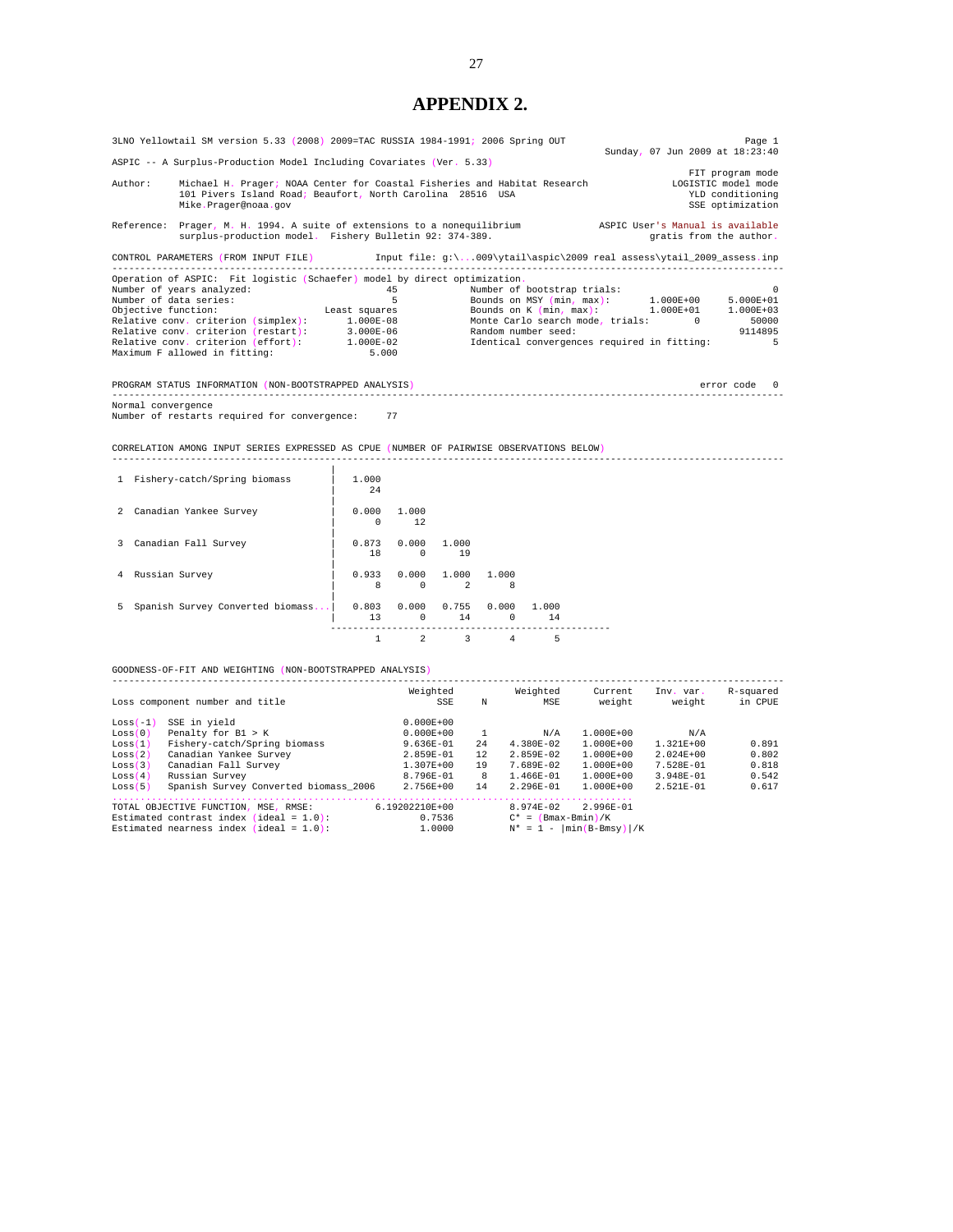# **APPENDIX 2.**

| 3LNO Yellowtail SM version 5.33 (2008) 2009=TAC RUSSIA 1984-1991; 2006 Spring OUT<br>Page 1<br>Sunday, 07 Jun 2009 at 18:23:40                                                                      |                                                                                                          |         |          |                                                                                                                |  |  |                         |                                                                                 |  |  |
|-----------------------------------------------------------------------------------------------------------------------------------------------------------------------------------------------------|----------------------------------------------------------------------------------------------------------|---------|----------|----------------------------------------------------------------------------------------------------------------|--|--|-------------------------|---------------------------------------------------------------------------------|--|--|
| ASPIC -- A Surplus-Production Model Including Covariates (Ver. 5.33)                                                                                                                                |                                                                                                          |         |          |                                                                                                                |  |  |                         |                                                                                 |  |  |
| Author:<br>Michael H. Prager; NOAA Center for Coastal Fisheries and Habitat Research<br>101 Pivers Island Road; Beaufort, North Carolina 28516 USA<br>Mike.Prager@noaa.gov                          |                                                                                                          |         |          |                                                                                                                |  |  |                         | FIT program mode<br>LOGISTIC model mode<br>YLD conditioning<br>SSE optimization |  |  |
| Reference: Prager, M. H. 1994. A suite of extensions to a nonequilibrium ASPIC User's Manual is available<br>surplus-production model. Fishery Bulletin 92: 374-389.                                |                                                                                                          |         |          |                                                                                                                |  |  | gratis from the author. |                                                                                 |  |  |
| CONTROL PARAMETERS (FROM INPUT FILE) [100] Input file: g:\009\ytail\aspic\2009 real assess\ytail_2009_assess.inp                                                                                    |                                                                                                          |         |          |                                                                                                                |  |  |                         |                                                                                 |  |  |
| Operation of ASPIC: Fit logistic (Schaefer) model by direct optimization.<br>Maximum F allowed in fitting:                                                                                          | 5.000                                                                                                    |         |          |                                                                                                                |  |  |                         |                                                                                 |  |  |
| PROGRAM STATUS INFORMATION (NON-BOOTSTRAPPED ANALYSIS)                                                                                                                                              |                                                                                                          |         |          |                                                                                                                |  |  |                         | error code 0                                                                    |  |  |
| Normal convergence<br>Number of restarts required for convergence: 77<br>CORRELATION AMONG INPUT SERIES EXPRESSED AS CPUE (NUMBER OF PAIRWISE OBSERVATIONS BELOW)<br>1 Fishery-catch/Spring biomass | 1.000                                                                                                    |         |          |                                                                                                                |  |  |                         |                                                                                 |  |  |
|                                                                                                                                                                                                     | 24                                                                                                       |         |          |                                                                                                                |  |  |                         |                                                                                 |  |  |
| 2 Canadian Yankee Survey                                                                                                                                                                            | $\begin{array}{ c c c c c c c c } \hline \quad & \quad & 0.000 & \quad & 1.000 \end{array}$<br>$0 \t 12$ |         |          |                                                                                                                |  |  |                         |                                                                                 |  |  |
| 3 Canadian Fall Survey                                                                                                                                                                              | $\begin{array}{cccc} \end{array}$ 0.873 0.000 1.000                                                      | 18 0 19 |          |                                                                                                                |  |  |                         |                                                                                 |  |  |
| 4 Russian Survey                                                                                                                                                                                    | $0.933$ $0.000$ $1.000$ $1.000$                                                                          | 8 0 2   |          | 8                                                                                                              |  |  |                         |                                                                                 |  |  |
| 5 Spanish Survey Converted biomass   0.803 0.000 0.755 0.000 1.000                                                                                                                                  |                                                                                                          |         |          | $\begin{matrix} 13 & \hspace{1.5cm} 0 & \hspace{1.5cm} 14 & \hspace{1.5cm} 0 & \hspace{1.5cm} 14 \end{matrix}$ |  |  |                         |                                                                                 |  |  |
|                                                                                                                                                                                                     |                                                                                                          |         |          | $1 \qquad 2 \qquad 3 \qquad 4 \qquad 5$                                                                        |  |  |                         |                                                                                 |  |  |
| GOODNESS-OF-FIT AND WEIGHTING (NON-BOOTSTRAPPED ANALYSIS)                                                                                                                                           |                                                                                                          |         |          |                                                                                                                |  |  |                         |                                                                                 |  |  |
|                                                                                                                                                                                                     |                                                                                                          |         | Weighted | Weighted                                                                                                       |  |  |                         |                                                                                 |  |  |

| $Loss(-1)$ | SSE in yield                               | $0.000E + 00$  |     |                       |                                         |               |       |
|------------|--------------------------------------------|----------------|-----|-----------------------|-----------------------------------------|---------------|-------|
| Loss(0)    | Penalty for B1 > K                         | $0.000E + 00$  |     | N/A                   | $1.000E + 00$                           | N/A           |       |
| Loss(1)    | Fishery-catch/Spring biomass               | $9.636E - 01$  | 2.4 | $4.380E-02$           | 1.000E+00                               | $1.321E + 00$ | 0.891 |
| Loss(2)    | Canadian Yankee Survey                     | 2.859E-01      | 12  | $2.859E-02$           | 1.000E+00                               | $2.024E + 00$ | 0.802 |
| Loss(3)    | Canadian Fall Survey                       | $1.307E + 00$  | 19  | 7.689E-02             | 1.000E+00                               | 7.528E-01     | 0.818 |
| Loss(4)    | Russian Survey                             | 8.796E-01      | 8   | $1.466E - 01$         | $1.000E + 00$                           | $3.948E - 01$ | 0.542 |
| Loss(5)    | Spanish Survey Converted biomass 2006      | 2.756E+00      | 14  | 2.296E-01             | $1.000E + 00$                           | $2.521E - 01$ | 0.617 |
|            |                                            |                |     |                       |                                         |               |       |
|            | TOTAL OBJECTIVE FUNCTION, MSE, RMSE:       | 6.19202210E+00 |     | $8.974E - 02$         | $2.996E - 01$                           |               |       |
|            | Estimated contrast index (ideal = $1.0$ ): | 0.7536         |     | $C^* = (Bmax-Bmin)/K$ |                                         |               |       |
|            | Estimated nearness index (ideal = $1.0$ ): | 1,0000         |     |                       | $N^* = 1 - \left[\min(B-Bmsy)\right]/K$ |               |       |
|            |                                            |                |     |                       |                                         |               |       |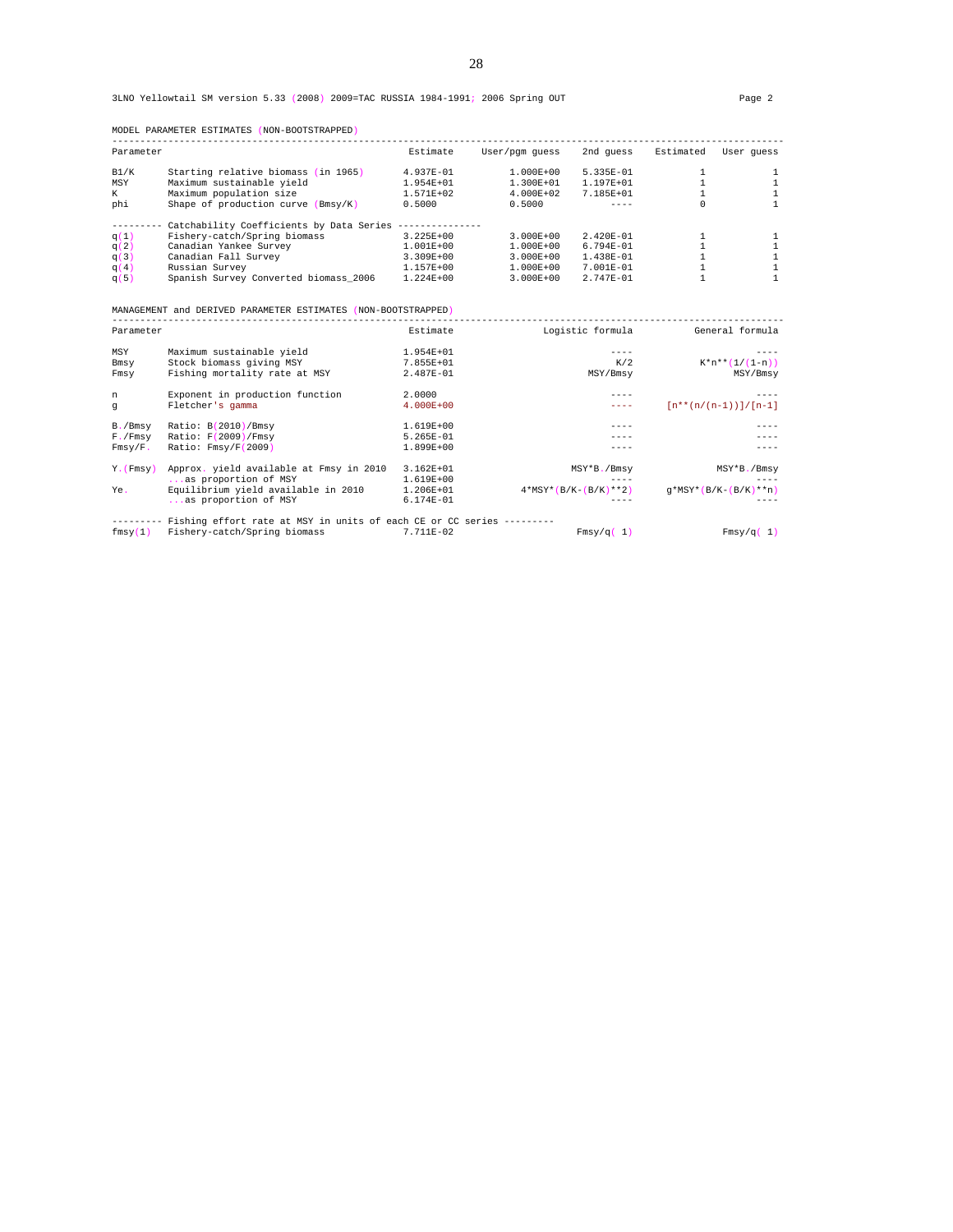| Parameter |                                          | Estimate      | User/pqm quess | 2nd quess     | Estimated | User quess |
|-----------|------------------------------------------|---------------|----------------|---------------|-----------|------------|
| B1/K      | Starting relative biomass (in 1965)      | 4.937E-01     | $1.000E + 00$  | $5.335E - 01$ |           |            |
| MSY       | Maximum sustainable yield                | $1.954E + 01$ | $1.300E + 01$  | $1.197E + 01$ |           |            |
| K         | Maximum population size                  | 1.571E+02     | $4.000E + 02$  | 7.185 $E+01$  |           |            |
| phi       | Shape of production curve (Bmsv/K)       | 0.5000        | 0.5000         | ----          | 0         |            |
|           | Catchability Coefficients by Data Series |               |                |               |           |            |
| q(1)      | Fishery-catch/Spring biomass             | 3.225E+00     | $3.000E + 00$  | $2.420E - 01$ |           |            |
| q(2)      | Canadian Yankee Survey                   | $1.001E + 00$ | $1.000E + 00$  | $6.794E - 01$ |           |            |
| q(3)      | Canadian Fall Survey                     | 3.309E+00     | $3.000E + 00$  | $1.438E - 01$ |           |            |
| q(4)      | Russian Survey                           | $1.157E + 00$ | $1.000E + 00$  | $7.001E - 01$ |           |            |
| q(5)      | Spanish Survey Converted biomass 2006    | $1.224E + 00$ | $3.000E + 00$  | $2.747E - 01$ |           |            |

MODEL PARAMETER ESTIMATES (NON-BOOTSTRAPPED)

MANAGEMENT and DERIVED PARAMETER ESTIMATES (NON-BOOTSTRAPPED)

|               | rrattommar and pontryop fragmeron motificial (non pootbingfrom       |               |                        |                          |
|---------------|----------------------------------------------------------------------|---------------|------------------------|--------------------------|
| Parameter     |                                                                      | Estimate      | Logistic formula       | General formula          |
| MSY           | Maximum sustainable yield                                            | 1.954E+01     |                        |                          |
| Bmsy          | Stock biomass giving MSY                                             | 7.855E+01     | K/2                    | $K^*n^{**}(1/(1-n))$     |
| Fmsy          | Fishing mortality rate at MSY                                        | 2.487E-01     | MSY/Bmsy               | MSY/Bmsy                 |
| n             | Exponent in production function                                      | 2,0000        |                        |                          |
| q             | Fletcher's gamma                                                     | $4.000E + 00$ |                        | $[n**(n/(n-1))] / [n-1]$ |
| B./Bmsy       | Ratio: B(2010)/Bmsy                                                  | 1.619E+00     |                        |                          |
| $F.$ / $Fmsy$ | Ratio: F(2009)/Fmsy                                                  | 5.265E-01     |                        |                          |
| Fmsy/F.       | Ratio: Fmsy/F(2009)                                                  | 1.899E+00     |                        |                          |
| Y. (Fmsv)     | Approx. yield available at Fmsy in 2010                              | $3.162E + 01$ | MSY*B./Bmsy            | MSY*B./Bmsy              |
|               | as proportion of MSY                                                 | 1.619E+00     |                        |                          |
| Ye.           | Equilibrium yield available in 2010                                  | 1.206E+01     | $4*MSY*(B/K-(B/K)**2)$ | $q*MSY*(B/K-(B/K)**n)$   |
|               | as proportion of MSY                                                 | 6.174E-01     |                        |                          |
|               | Fishing effort rate at MSY in units of each CE or CC series -------- |               |                        |                          |
| fmsy(1)       | Fishery-catch/Spring biomass                                         | 7.711E-02     | Fmsy/q(1)              | Fmsy/q(1)                |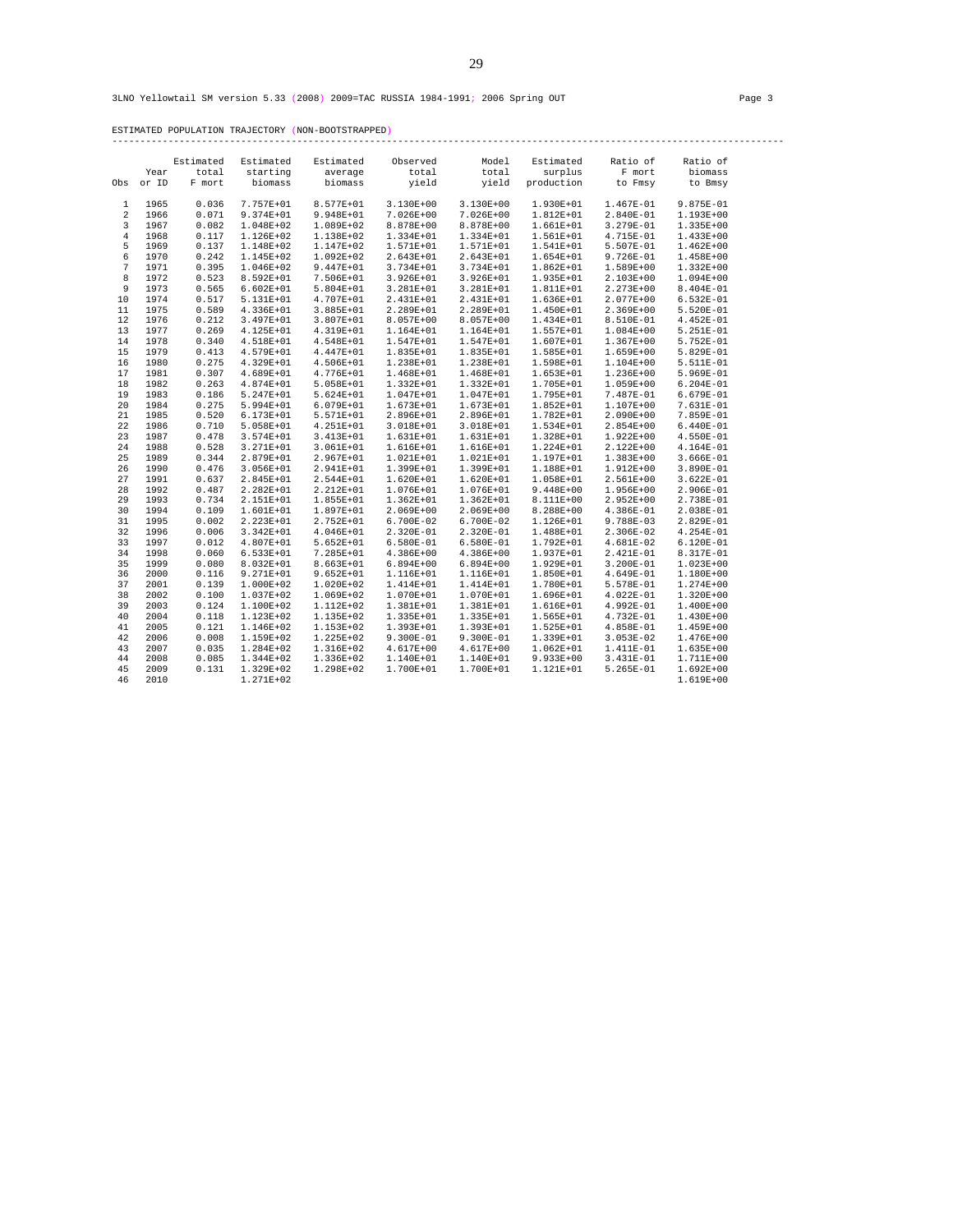ESTIMATED POPULATION TRAJECTORY (NON-BOOTSTRAPPED)

------------------------------------------------------------------------------------------------------------------------

|                |       | Estimated | Estimated     | Estimated     | Observed      | Model         | Estimated     | Ratio of      | Ratio of      |
|----------------|-------|-----------|---------------|---------------|---------------|---------------|---------------|---------------|---------------|
|                | Year  | total     | starting      | average       | total         | total         | surplus       | F mort        | biomass       |
| Obs            | or ID | F mort    | biomass       | biomass       | yield         | yield         | production    | to Fmsy       | to Bmsy       |
|                |       |           |               |               |               |               |               |               |               |
| 1              | 1965  | 0.036     | 7.757E+01     | 8.577E+01     | $3.130E + 00$ | 3.130E+00     | 1.930E+01     | 1.467E-01     | 9.875E-01     |
| 2              | 1966  | 0.071     | 9.374E+01     | 9.948E+01     | 7.026E+00     | 7.026E+00     | $1.812E+01$   | 2.840E-01     | 1.193E+00     |
| 3              | 1967  | 0.082     | 1.048E+02     | 1.089E+02     | 8.878E+00     | 8.878E+00     | $1.661E + 01$ | 3.279E-01     | 1.335E+00     |
| $\overline{4}$ | 1968  | 0.117     | 1.126E+02     | 1.138E+02     | 1.334E+01     | 1.334E+01     | 1.561E+01     | 4.715E-01     | 1.433E+00     |
| 5              | 1969  | 0.137     | 1.148E+02     | 1.147E+02     | 1.571E+01     | 1.571E+01     | 1.541E+01     | 5.507E-01     | $1.462E + 00$ |
| 6              | 1970  | 0.242     | 1.145E+02     | $1.092E + 02$ | 2.643E+01     | 2.643E+01     | 1.654E+01     | 9.726E-01     | 1.458E+00     |
| 7              | 1971  | 0.395     | 1.046E+02     | $9.447E + 01$ | 3.734E+01     | 3.734E+01     | $1.862E + 01$ | 1.589E+00     | 1.332E+00     |
| 8              | 1972  | 0.523     | 8.592E+01     | 7.506E+01     | 3.926E+01     | 3.926E+01     | 1.935E+01     | $2.103E + 00$ | 1.094E+00     |
| 9              | 1973  | 0.565     | $6.602E + 01$ | 5.804E+01     | 3.281E+01     | 3.281E+01     | 1.811E+01     | 2.273E+00     | 8.404E-01     |
| 10             | 1974  | 0.517     | 5.131E+01     | 4.707E+01     | 2.431E+01     | 2.431E+01     | 1.636E+01     | 2.077E+00     | 6.532E-01     |
| 11             | 1975  | 0.589     | 4.336E+01     | 3.885E+01     | 2.289E+01     | 2.289E+01     | 1.450E+01     | 2.369E+00     | 5.520E-01     |
| 12             | 1976  | 0.212     | 3.497E+01     | 3.807E+01     | 8.057E+00     | 8.057E+00     | 1.434E+01     | 8.510E-01     | $4.452E-01$   |
| 13             | 1977  | 0.269     | 4.125E+01     | 4.319E+01     | 1.164E+01     | 1.164E+01     | 1.557E+01     | 1.084E+00     | 5.251E-01     |
| 14             | 1978  | 0.340     | 4.518E+01     | 4.548E+01     | 1.547E+01     | 1.547E+01     | 1.607E+01     | $1.367E+00$   | 5.752E-01     |
| 15             | 1979  | 0.413     | 4.579E+01     | 4.447E+01     | 1.835E+01     | 1.835E+01     | 1.585E+01     | 1.659E+00     | 5.829E-01     |
| 16             | 1980  | 0.275     | 4.329E+01     | 4.506E+01     | 1.238E+01     | 1.238E+01     | 1.598E+01     | 1.104E+00     | 5.511E-01     |
| 17             | 1981  | 0.307     | 4.689E+01     | 4.776E+01     | 1.468E+01     | 1.468E+01     | 1.653E+01     | 1.236E+00     | 5.969E-01     |
| 18             | 1982  | 0.263     | 4.874E+01     | $5.058E + 01$ | 1.332E+01     | 1.332E+01     | 1.705E+01     | 1.059E+00     | $6.204E-01$   |
| 19             | 1983  | 0.186     | 5.247E+01     | $5.624E+01$   | 1.047E+01     | 1.047E+01     | 1.795E+01     | 7.487E-01     | 6.679E-01     |
| 20             | 1984  | 0.275     | 5.994E+01     | $6.079E + 01$ | 1.673E+01     | 1.673E+01     | 1.852E+01     | 1.107E+00     | 7.631E-01     |
| 21             | 1985  | 0.520     | 6.173E+01     | 5.571E+01     | 2.896E+01     | 2.896E+01     | 1.782E+01     | 2.090E+00     | 7.859E-01     |
| 22             | 1986  | 0.710     | 5.058E+01     | 4.251E+01     | 3.018E+01     | 3.018E+01     | 1.534E+01     | 2.854E+00     | $6.440E-01$   |
| 23             | 1987  | 0.478     | 3.574E+01     | 3.413E+01     | 1.631E+01     | 1.631E+01     | 1.328E+01     | $1.922E + 00$ | 4.550E-01     |
| 24             | 1988  | 0.528     | 3.271E+01     | $3.061E + 01$ | 1.616E+01     | 1.616E+01     | 1.224E+01     | 2.122E+00     | 4.164E-01     |
| 25             | 1989  | 0.344     | 2.879E+01     | 2.967E+01     | $1.021E+01$   | 1.021E+01     | 1.197E+01     | $1.383E+00$   | 3.666E-01     |
| 26             | 1990  | 0.476     | $3.056E + 01$ | 2.941E+01     | 1.399E+01     | 1.399E+01     | 1.188E+01     | 1.912E+00     | 3.890E-01     |
| 27             | 1991  | 0.637     | 2.845E+01     | 2.544E+01     | 1.620E+01     | 1.620E+01     | 1.058E+01     | $2.561E+00$   | 3.622E-01     |
| 28             | 1992  | 0.487     | 2.282E+01     | 2.212E+01     | 1.076E+01     | 1.076E+01     | $9.448E + 00$ | 1.956E+00     | 2.906E-01     |
| 29             | 1993  | 0.734     | 2.151E+01     | 1.855E+01     | $1.362E + 01$ | $1.362E + 01$ | 8.111E+00     | $2.952E + 00$ | 2.738E-01     |
| 30             | 1994  | 0.109     | 1.601E+01     | 1.897E+01     | 2.069E+00     | 2.069E+00     | 8.288E+00     | 4.386E-01     | 2.038E-01     |
| 31             | 1995  | 0.002     | 2.223E+01     | 2.752E+01     | 6.700E-02     | 6.700E-02     | 1.126E+01     | 9.788E-03     | 2.829E-01     |
| 32             | 1996  | 0.006     | 3.342E+01     | $4.046E + 01$ | 2.320E-01     | 2.320E-01     | 1.488E+01     | 2.306E-02     | 4.254E-01     |
| 33             | 1997  | 0.012     | 4.807E+01     | $5.652E + 01$ | $6.580E-01$   | 6.580E-01     | 1.792E+01     | 4.681E-02     | 6.120E-01     |
| 34             | 1998  | 0.060     | 6.533E+01     | 7.285E+01     | 4.386E+00     | 4.386E+00     | 1.937E+01     | 2.421E-01     | 8.317E-01     |
| 35             | 1999  | 0.080     | 8.032E+01     | 8.663E+01     | $6.894E+00$   | $6.894E + 00$ | 1.929E+01     | $3.200E-01$   | 1.023E+00     |
| 36             | 2000  | 0.116     | 9.271E+01     | $9.652E + 01$ | 1.116E+01     | 1.116E+01     | 1.850E+01     | 4.649E-01     | 1.180E+00     |
| 37             | 2001  | 0.139     | 1.000E+02     | $1.020E + 02$ | 1.414E+01     | 1.414E+01     | 1.780E+01     | 5.578E-01     | 1.274E+00     |
| 38             | 2002  | 0.100     | 1.037E+02     | 1.069E+02     | 1.070E+01     | 1.070E+01     | 1.696E+01     | 4.022E-01     | 1.320E+00     |
| 39             | 2003  | 0.124     | 1.100E+02     | 1.112E+02     | 1.381E+01     | 1.381E+01     | 1.616E+01     | 4.992E-01     | 1.400E+00     |
| 40             |       |           |               |               |               |               |               |               |               |
|                | 2004  | 0.118     | 1.123E+02     | 1.135E+02     | 1.335E+01     | 1.335E+01     | 1.565E+01     | 4.732E-01     | 1.430E+00     |
| 41             | 2005  | 0.121     | 1.146E+02     | 1.153E+02     | 1.393E+01     | 1.393E+01     | 1.525E+01     | 4.858E-01     | 1.459E+00     |
| 42             | 2006  | 0.008     | 1.159E+02     | 1.225E+02     | $9.300E - 01$ | 9.300E-01     | 1.339E+01     | $3.053E-02$   | 1.476E+00     |
| 43             | 2007  | 0.035     | 1.284E+02     | 1.316E+02     | 4.617E+00     | 4.617E+00     | $1.062E + 01$ | 1.411E-01     | 1.635E+00     |
| 44             | 2008  | 0.085     | 1.344E+02     | 1.336E+02     | 1.140E+01     | 1.140E+01     | $9.933E+00$   | 3.431E-01     | 1.711E+00     |
| 45             | 2009  | 0.131     | 1.329E+02     | 1.298E+02     | 1.700E+01     | 1.700E+01     | 1.121E+01     | 5.265E-01     | $1.692E + 00$ |
| 46             | 2010  |           | 1.271E+02     |               |               |               |               |               | 1.619E+00     |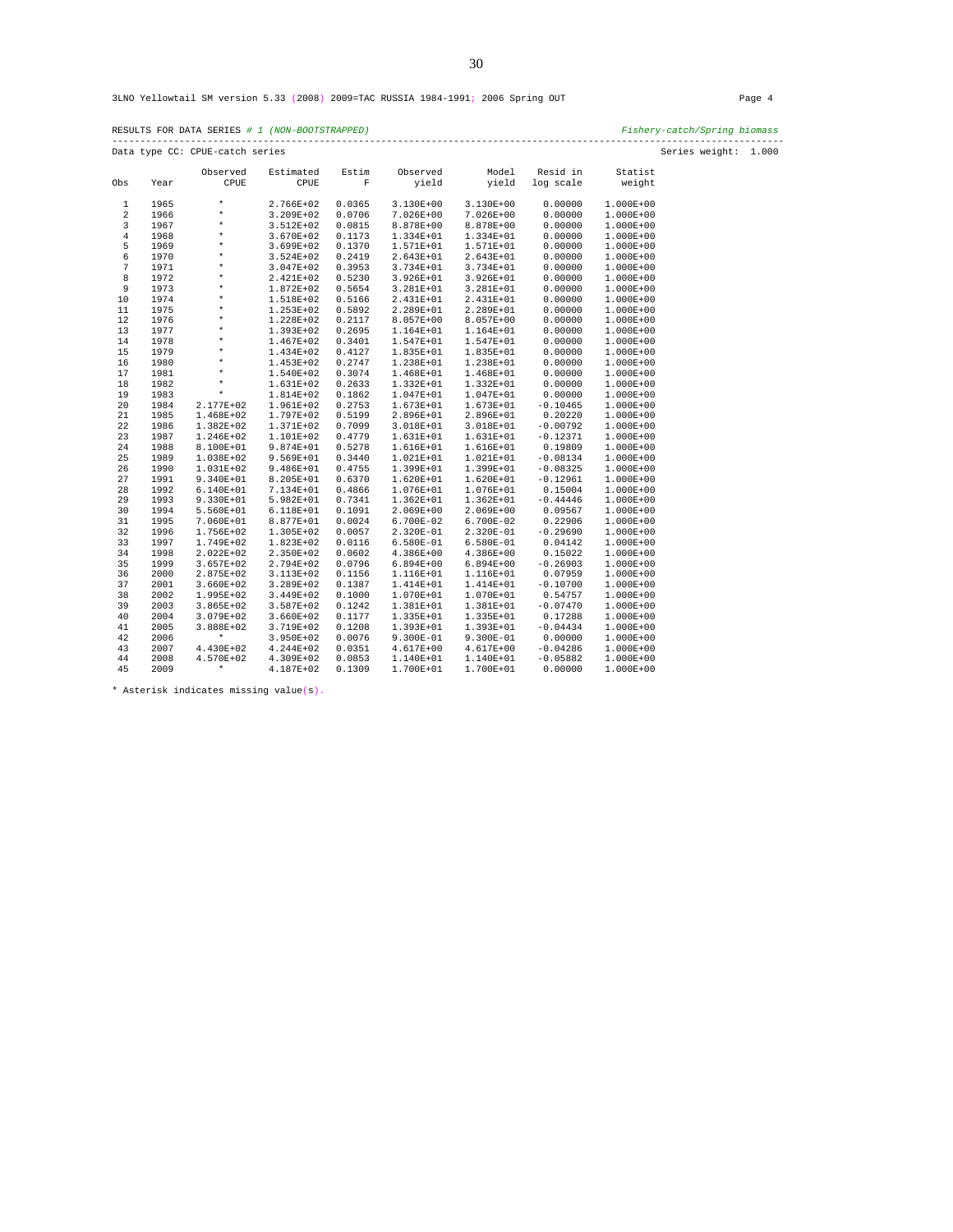|                | RESULTS FOR DATA SERIES # 1 (NON-BOOTSTRAPPED)<br>Fishery-catch/Spring biomass<br>---------------------------------- |                                 |             |             |               |             |            |               |                      |  |  |  |  |  |
|----------------|----------------------------------------------------------------------------------------------------------------------|---------------------------------|-------------|-------------|---------------|-------------|------------|---------------|----------------------|--|--|--|--|--|
|                |                                                                                                                      | Data type CC: CPUE-catch series |             |             |               |             |            |               | Series weight: 1.000 |  |  |  |  |  |
|                |                                                                                                                      | Observed                        | Estimated   | Estim       | Observed      | Model       | Resid in   | Statist       |                      |  |  |  |  |  |
| Obs            | Year                                                                                                                 | CPUE                            | CPUE        | $\mathbf F$ | yield         | yield       | log scale  | weight        |                      |  |  |  |  |  |
| 1              | 1965                                                                                                                 | $\star$                         | 2.766E+02   | 0.0365      | 3.130E+00     | 3.130E+00   | 0.00000    | 1.000E+00     |                      |  |  |  |  |  |
| $\overline{2}$ | 1966                                                                                                                 | $\star$                         | 3.209E+02   | 0.0706      | 7.026E+00     | 7.026E+00   | 0.00000    | $1.000E + 00$ |                      |  |  |  |  |  |
| 3              | 1967                                                                                                                 | $\star$                         | 3.512E+02   | 0.0815      | 8.878E+00     | 8.878E+00   | 0.00000    | 1.000E+00     |                      |  |  |  |  |  |
| $\bf 4$        | 1968                                                                                                                 | $\star$                         | 3.670E+02   | 0.1173      | 1.334E+01     | 1.334E+01   | 0.00000    | $1.000E + 00$ |                      |  |  |  |  |  |
| 5              | 1969                                                                                                                 | $\star$                         | 3.699E+02   | 0.1370      | 1.571E+01     | 1.571E+01   | 0.00000    | 1.000E+00     |                      |  |  |  |  |  |
| 6              | 1970                                                                                                                 | $\star$                         | $3.524E+02$ | 0.2419      | 2.643E+01     | 2.643E+01   | 0.00000    | $1.000E + 00$ |                      |  |  |  |  |  |
| 7              | 1971                                                                                                                 | $\star$                         | 3.047E+02   | 0.3953      | 3.734E+01     | 3.734E+01   | 0.00000    | 1.000E+00     |                      |  |  |  |  |  |
| 8              | 1972                                                                                                                 | $\star$                         | 2.421E+02   | 0.5230      | 3.926E+01     | 3.926E+01   | 0.00000    | 1.000E+00     |                      |  |  |  |  |  |
| 9              | 1973                                                                                                                 | $\star$                         | 1.872E+02   | 0.5654      | 3.281E+01     | 3.281E+01   | 0.00000    | $1.000E + 00$ |                      |  |  |  |  |  |
| 10             | 1974                                                                                                                 | $\star$                         | 1.518E+02   | 0.5166      | 2.431E+01     | 2.431E+01   | 0.00000    | 1.000E+00     |                      |  |  |  |  |  |
| 11             | 1975                                                                                                                 | $\star$                         | 1.253E+02   | 0.5892      | 2.289E+01     | 2.289E+01   | 0.00000    | $1.000E + 00$ |                      |  |  |  |  |  |
| 12             | 1976                                                                                                                 | $\star$                         | 1.228E+02   | 0.2117      | 8.057E+00     | 8.057E+00   | 0.00000    | 1.000E+00     |                      |  |  |  |  |  |
| 13             | 1977                                                                                                                 | $\star$                         | 1.393E+02   | 0.2695      | 1.164E+01     | 1.164E+01   | 0.00000    | $1.000E + 00$ |                      |  |  |  |  |  |
| 14             | 1978                                                                                                                 | $\star$                         | 1.467E+02   | 0.3401      | 1.547E+01     | 1.547E+01   | 0.00000    | $1.000E + 00$ |                      |  |  |  |  |  |
| 15             | 1979                                                                                                                 | $\star$                         | 1.434E+02   | 0.4127      | 1.835E+01     | 1.835E+01   | 0.00000    | 1.000E+00     |                      |  |  |  |  |  |
| 16             | 1980                                                                                                                 | $\star$                         | 1.453E+02   | 0.2747      | 1.238E+01     | 1.238E+01   | 0.00000    | 1.000E+00     |                      |  |  |  |  |  |
| 17             | 1981                                                                                                                 | $\star$                         | 1.540E+02   | 0.3074      | 1.468E+01     | 1.468E+01   | 0.00000    | $1.000E + 00$ |                      |  |  |  |  |  |
| 18             | 1982                                                                                                                 | $\star$                         | 1.631E+02   | 0.2633      | 1.332E+01     | 1.332E+01   | 0.00000    | $1.000E + 00$ |                      |  |  |  |  |  |
| 19             | 1983                                                                                                                 | $\star$                         | 1.814E+02   | 0.1862      | 1.047E+01     | 1.047E+01   | 0.00000    | $1.000E + 00$ |                      |  |  |  |  |  |
| 20             | 1984                                                                                                                 | 2.177E+02                       | 1.961E+02   | 0.2753      | 1.673E+01     | 1.673E+01   | $-0.10465$ | $1.000E + 00$ |                      |  |  |  |  |  |
| 21             | 1985                                                                                                                 | 1.468E+02                       | 1.797E+02   | 0.5199      | 2.896E+01     | 2.896E+01   | 0.20220    | $1.000E + 00$ |                      |  |  |  |  |  |
| 22             | 1986                                                                                                                 | 1.382E+02                       | 1.371E+02   | 0.7099      | 3.018E+01     | 3.018E+01   | $-0.00792$ | 1.000E+00     |                      |  |  |  |  |  |
| 23             | 1987                                                                                                                 | 1.246E+02                       | 1.101E+02   | 0.4779      | 1.631E+01     | 1.631E+01   | $-0.12371$ | 1.000E+00     |                      |  |  |  |  |  |
| 24             | 1988                                                                                                                 | 8.100E+01                       | 9.874E+01   | 0.5278      | 1.616E+01     | 1.616E+01   | 0.19809    | 1.000E+00     |                      |  |  |  |  |  |
| 25             | 1989                                                                                                                 | 1.038E+02                       | 9.569E+01   | 0.3440      | 1.021E+01     | 1.021E+01   | $-0.08134$ | $1.000E + 00$ |                      |  |  |  |  |  |
| 26             | 1990                                                                                                                 | 1.031E+02                       | 9.486E+01   | 0.4755      | 1.399E+01     | 1.399E+01   | $-0.08325$ | $1.000E + 00$ |                      |  |  |  |  |  |
| 27             | 1991                                                                                                                 | 9.340E+01                       | 8.205E+01   | 0.6370      | 1.620E+01     | 1.620E+01   | $-0.12961$ | $1.000E + 00$ |                      |  |  |  |  |  |
| 28             | 1992                                                                                                                 | 6.140E+01                       | 7.134E+01   | 0.4866      | 1.076E+01     | 1.076E+01   | 0.15004    | $1.000E + 00$ |                      |  |  |  |  |  |
| 29             | 1993                                                                                                                 | $9.330E + 01$                   | 5.982E+01   | 0.7341      | $1.362E + 01$ | 1.362E+01   | $-0.44446$ | $1.000E + 00$ |                      |  |  |  |  |  |
| 30             | 1994                                                                                                                 | 5.560E+01                       | 6.118E+01   | 0.1091      | 2.069E+00     | 2.069E+00   | 0.09567    | 1.000E+00     |                      |  |  |  |  |  |
| 31             | 1995                                                                                                                 | 7.060E+01                       | 8.877E+01   | 0.0024      | 6.700E-02     | 6.700E-02   | 0.22906    | 1.000E+00     |                      |  |  |  |  |  |
| 32             | 1996                                                                                                                 | 1.756E+02                       | 1.305E+02   | 0.0057      | 2.320E-01     | 2.320E-01   | $-0.29690$ | 1.000E+00     |                      |  |  |  |  |  |
| 33             | 1997                                                                                                                 | 1.749E+02                       | 1.823E+02   | 0.0116      | 6.580E-01     | $6.580E-01$ | 0.04142    | $1.000E + 00$ |                      |  |  |  |  |  |
| 34             | 1998                                                                                                                 | 2.022E+02                       | 2.350E+02   | 0.0602      | $4.386E+00$   | 4.386E+00   | 0.15022    | $1.000E + 00$ |                      |  |  |  |  |  |
| 35             | 1999                                                                                                                 | $3.657E + 02$                   | 2.794E+02   | 0.0796      | $6.894E+00$   | $6.894E+00$ | $-0.26903$ | 1.000E+00     |                      |  |  |  |  |  |
| 36             | 2000                                                                                                                 | 2.875E+02                       | 3.113E+02   | 0.1156      | 1.116E+01     | 1.116E+01   | 0.07959    | $1.000E + 00$ |                      |  |  |  |  |  |
| 37             | 2001                                                                                                                 | 3.660E+02                       | 3.289E+02   | 0.1387      | 1.414E+01     | 1.414E+01   | $-0.10700$ | 1.000E+00     |                      |  |  |  |  |  |
| 38             | 2002                                                                                                                 | 1.995E+02                       | 3.449E+02   | 0.1000      | 1.070E+01     | 1.070E+01   | 0.54757    | 1.000E+00     |                      |  |  |  |  |  |
| 39             | 2003                                                                                                                 | 3.865E+02                       | 3.587E+02   | 0.1242      | 1.381E+01     | 1.381E+01   | $-0.07470$ | 1.000E+00     |                      |  |  |  |  |  |
| 40             | 2004                                                                                                                 | 3.079E+02                       | 3.660E+02   | 0.1177      | 1.335E+01     | 1.335E+01   | 0.17288    | 1.000E+00     |                      |  |  |  |  |  |
| 41             | 2005                                                                                                                 | 3.888E+02                       | 3.719E+02   | 0.1208      | 1.393E+01     | 1.393E+01   | $-0.04434$ | 1.000E+00     |                      |  |  |  |  |  |
| 42             | 2006                                                                                                                 | $\star$                         | 3.950E+02   | 0.0076      | $9.300E-01$   | 9.300E-01   | 0.00000    | $1.000E + 00$ |                      |  |  |  |  |  |
| 43             | 2007                                                                                                                 | 4.430E+02                       | 4.244E+02   | 0.0351      | $4.617E+00$   | 4.617E+00   | $-0.04286$ | $1.000E + 00$ |                      |  |  |  |  |  |
| 44             | 2008                                                                                                                 | 4.570E+02                       | 4.309E+02   | 0.0853      | 1.140E+01     | 1.140E+01   | $-0.05882$ | $1.000E + 00$ |                      |  |  |  |  |  |
| 45             | 2009                                                                                                                 | $\star$                         | 4.187E+02   | 0.1309      | 1.700E+01     | 1.700E+01   | 0.00000    | $1.000E + 00$ |                      |  |  |  |  |  |

\* Asterisk indicates missing value(s).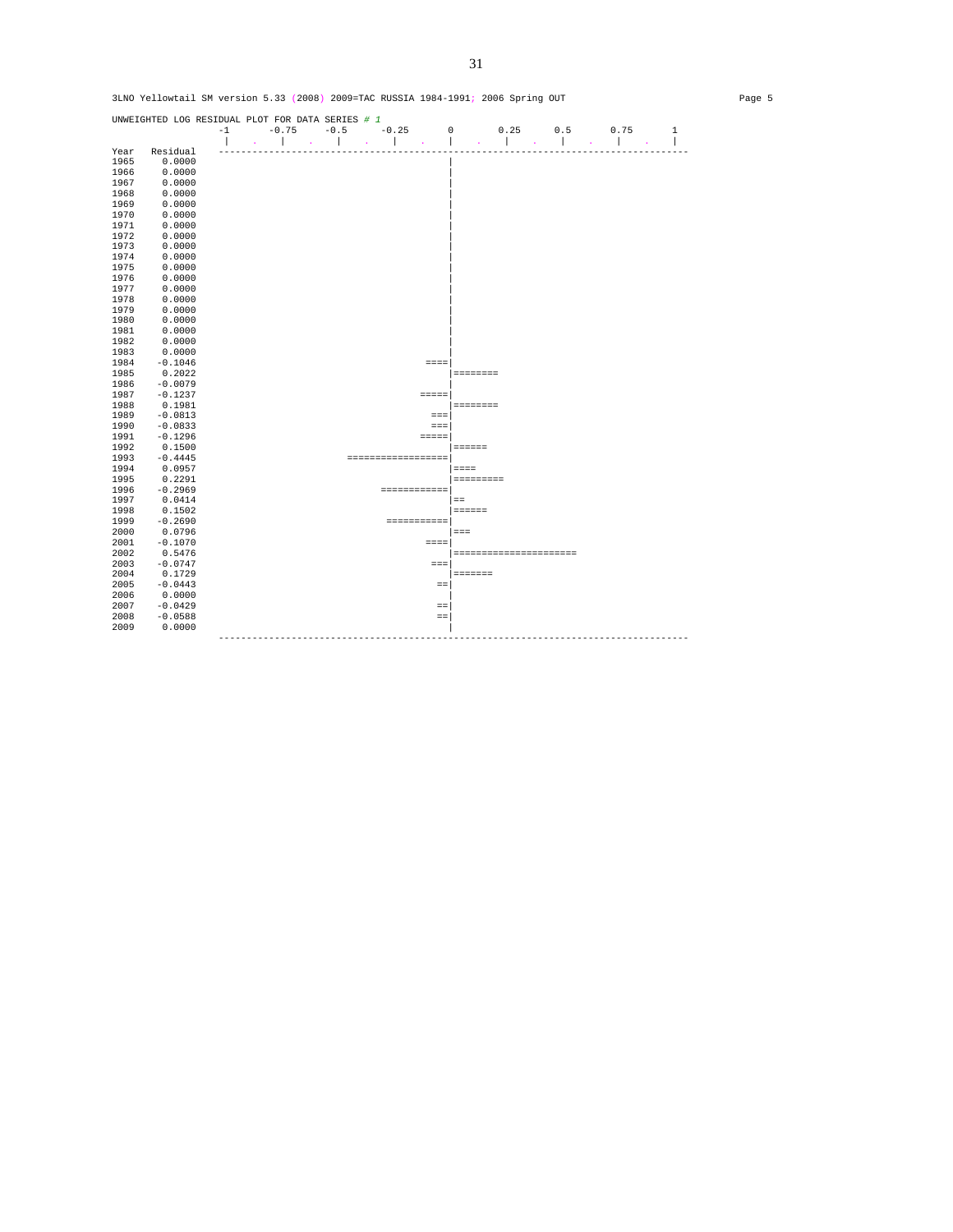|      | UNWEIGHTED LOG RESIDUAL PLOT FOR DATA SERIES # 1 |      |                               |        |        |         |                    |                 |                        |          |     |                               |              |
|------|--------------------------------------------------|------|-------------------------------|--------|--------|---------|--------------------|-----------------|------------------------|----------|-----|-------------------------------|--------------|
|      |                                                  | $-1$ | $-0.75$                       | $-0.5$ |        | $-0.25$ |                    | $\mathbf 0$     |                        | 0.25     | 0.5 | 0.75                          | $\mathbf{1}$ |
| Year | Residual                                         |      | $\mathbf{r}$                  |        | $\sim$ |         | $\sim$             |                 | ×,                     | $\Delta$ |     | ×                             |              |
| 1965 | 0.0000                                           |      |                               |        |        |         |                    |                 |                        |          |     |                               |              |
| 1966 | 0.0000                                           |      |                               |        |        |         |                    |                 |                        |          |     |                               |              |
| 1967 | 0.0000                                           |      |                               |        |        |         |                    |                 |                        |          |     |                               |              |
| 1968 | 0.0000                                           |      |                               |        |        |         |                    |                 |                        |          |     |                               |              |
| 1969 | 0.0000                                           |      |                               |        |        |         |                    |                 |                        |          |     |                               |              |
| 1970 | 0.0000                                           |      |                               |        |        |         |                    |                 |                        |          |     |                               |              |
| 1971 | 0.0000                                           |      |                               |        |        |         |                    |                 |                        |          |     |                               |              |
| 1972 | 0.0000                                           |      |                               |        |        |         |                    |                 |                        |          |     |                               |              |
| 1973 | 0.0000                                           |      |                               |        |        |         |                    |                 |                        |          |     |                               |              |
| 1974 | 0.0000                                           |      |                               |        |        |         |                    |                 |                        |          |     |                               |              |
| 1975 | 0.0000                                           |      |                               |        |        |         |                    |                 |                        |          |     |                               |              |
| 1976 | 0.0000                                           |      |                               |        |        |         |                    |                 |                        |          |     |                               |              |
| 1977 | 0.0000                                           |      |                               |        |        |         |                    |                 |                        |          |     |                               |              |
| 1978 | 0.0000                                           |      |                               |        |        |         |                    |                 |                        |          |     |                               |              |
| 1979 | 0.0000                                           |      |                               |        |        |         |                    |                 |                        |          |     |                               |              |
| 1980 | 0.0000                                           |      |                               |        |        |         |                    |                 |                        |          |     |                               |              |
| 1981 | 0.0000                                           |      |                               |        |        |         |                    |                 |                        |          |     |                               |              |
| 1982 | 0.0000                                           |      |                               |        |        |         |                    |                 |                        |          |     |                               |              |
| 1983 | 0.0000                                           |      |                               |        |        |         |                    |                 |                        |          |     |                               |              |
| 1984 | $-0.1046$                                        |      |                               |        |        |         |                    | $= = = =$       |                        |          |     |                               |              |
| 1985 | 0.2022                                           |      |                               |        |        |         |                    |                 | <b>SESSESSE</b>        |          |     |                               |              |
| 1986 | $-0.0079$                                        |      |                               |        |        |         |                    |                 |                        |          |     |                               |              |
| 1987 | $-0.1237$                                        |      |                               |        |        |         |                    | $=$ $=$ $=$ $=$ |                        |          |     |                               |              |
| 1988 | 0.1981                                           |      |                               |        |        |         |                    |                 | <b>BEBEDEED</b>        |          |     |                               |              |
| 1989 | $-0.0813$                                        |      |                               |        |        |         |                    | $= = =$         |                        |          |     |                               |              |
| 1990 | $-0.0833$                                        |      |                               |        |        |         |                    | $= = =$         |                        |          |     |                               |              |
| 1991 | $-0.1296$                                        |      |                               |        |        |         |                    | $=$ $=$ $=$ $=$ |                        |          |     |                               |              |
| 1992 | 0.1500                                           |      |                               |        |        |         |                    |                 | $=$ = = = = =          |          |     |                               |              |
| 1993 | $-0.4445$                                        |      |                               |        |        |         | ================== |                 |                        |          |     |                               |              |
| 1994 | 0.0957                                           |      |                               |        |        |         |                    |                 | $=$ $=$ $=$            |          |     |                               |              |
| 1995 | 0.2291                                           |      |                               |        |        |         |                    |                 | =========              |          |     |                               |              |
| 1996 | $-0.2969$                                        |      |                               |        |        |         | ============       |                 |                        |          |     |                               |              |
| 1997 | 0.0414                                           |      |                               |        |        |         |                    |                 | $=$                    |          |     |                               |              |
| 1998 | 0.1502                                           |      |                               |        |        |         |                    |                 | $= 12222222$           |          |     |                               |              |
| 1999 | $-0.2690$                                        |      |                               |        |        |         | <b>COOCCOOCCO</b>  |                 |                        |          |     |                               |              |
| 2000 | 0.0796                                           |      |                               |        |        |         |                    |                 | $=$ $=$ $=$            |          |     |                               |              |
| 2001 | $-0.1070$                                        |      |                               |        |        |         |                    | $= = = =$       |                        |          |     |                               |              |
| 2002 | 0.5476                                           |      |                               |        |        |         |                    |                 | ====================== |          |     |                               |              |
| 2003 | $-0.0747$                                        |      |                               |        |        |         |                    | $=$ $=$ $=$     |                        |          |     |                               |              |
| 2004 | 0.1729                                           |      |                               |        |        |         |                    |                 | <b>SEESSEE</b>         |          |     |                               |              |
| 2005 | $-0.0443$                                        |      |                               |        |        |         |                    | $=$             |                        |          |     |                               |              |
| 2006 | 0.0000                                           |      |                               |        |        |         |                    |                 |                        |          |     |                               |              |
| 2007 | $-0.0429$                                        |      |                               |        |        |         |                    | $=$             |                        |          |     |                               |              |
| 2008 | $-0.0588$                                        |      |                               |        |        |         |                    | $=$             |                        |          |     |                               |              |
| 2009 | 0.0000                                           |      |                               |        |        |         |                    |                 |                        |          |     |                               |              |
|      |                                                  |      | ----------------------------- |        |        |         |                    |                 |                        |          |     | ----------------------------- |              |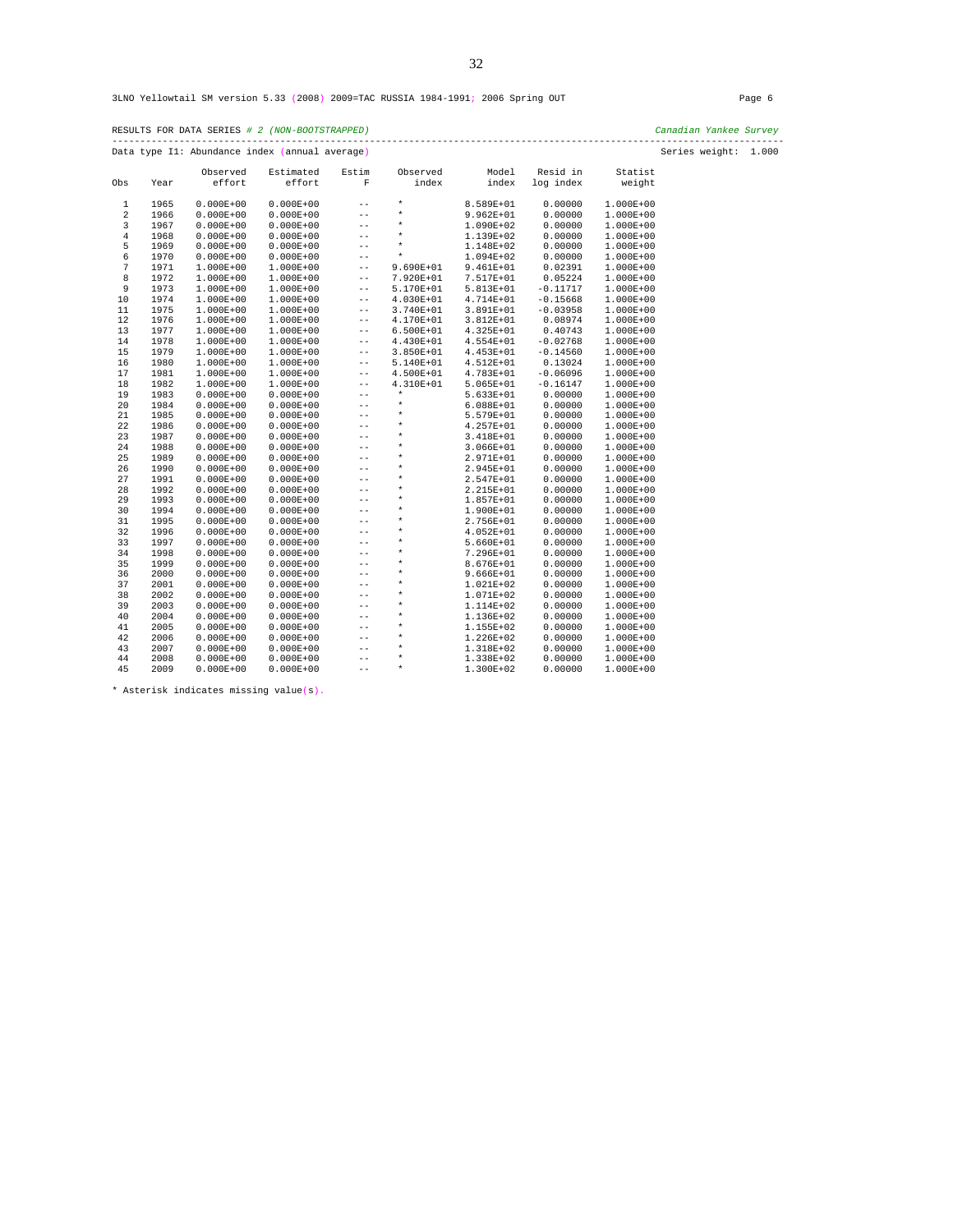|                |      |               | RESULTS FOR DATA SERIES # 2 (NON-BOOTSTRAPPED) |                   |             |               |            |               | Canadian Yankee Survey<br>------------ |  |
|----------------|------|---------------|------------------------------------------------|-------------------|-------------|---------------|------------|---------------|----------------------------------------|--|
|                |      |               | Data type I1: Abundance index (annual average) |                   |             |               |            |               | Series weight: 1.000                   |  |
|                |      | Observed      | Estimated                                      | Estim             | Observed    | Model         | Resid in   | Statist       |                                        |  |
| Obs            | Year | effort        | effort                                         | F                 | index       | index         | log index  | weight        |                                        |  |
| $\mathbf{1}$   | 1965 | $0.000E + 00$ | $0.000E + 00$                                  | $- -$             | $\star$     | 8.589E+01     | 0.00000    | 1.000E+00     |                                        |  |
| $\overline{2}$ | 1966 | $0.000E + 00$ | $0.000E + 00$                                  | $- -$             | $\star$     | $9.962E + 01$ | 0.00000    | 1.000E+00     |                                        |  |
| 3              | 1967 | $0.000E + 00$ | $0.000E + 00$                                  | $ -$              | $\star$     | 1.090E+02     | 0.00000    | 1.000E+00     |                                        |  |
| 4              | 1968 | $0.000E + 00$ | $0.000E + 00$                                  | $- -$             | $\star$     | 1.139E+02     | 0.00000    | 1.000E+00     |                                        |  |
| 5              | 1969 | $0.000E + 00$ | $0.000E + 00$                                  | $\qquad \qquad -$ | $\star$     | 1.148E+02     | 0.00000    | 1.000E+00     |                                        |  |
| 6              | 1970 | $0.000E + 00$ | $0.000E + 00$                                  | $- -$             | $\star$     | 1.094E+02     | 0.00000    | 1.000E+00     |                                        |  |
| 7              | 1971 | 1.000E+00     | 1.000E+00                                      | $- -$             | 9.690E+01   | 9.461E+01     | 0.02391    | $1.000E + 00$ |                                        |  |
| 8              | 1972 | $1.000E + 00$ | $1.000E + 00$                                  | $- \, -$          | 7.920E+01   | 7.517E+01     | 0.05224    | 1.000E+00     |                                        |  |
| 9              | 1973 | $1.000E + 00$ | $1.000E + 00$                                  | $- -$             | 5.170E+01   | 5.813E+01     | $-0.11717$ | 1.000E+00     |                                        |  |
| 10             | 1974 | $1.000E + 00$ | $1.000E + 00$                                  | $- -$             | 4.030E+01   | 4.714E+01     | $-0.15668$ | $1.000E + 00$ |                                        |  |
| 11             | 1975 | $1.000E + 00$ | $1.000E + 00$                                  | $- -$             | 3.740E+01   | 3.891E+01     | $-0.03958$ | 1.000E+00     |                                        |  |
| 12             | 1976 | $1.000E + 00$ | 1.000E+00                                      | $- -$             | 4.170E+01   | 3.812E+01     | 0.08974    | 1.000E+00     |                                        |  |
| 13             | 1977 | $1.000E + 00$ | $1.000E + 00$                                  | $\qquad \qquad -$ | $6.500E+01$ | 4.325E+01     | 0.40743    | 1.000E+00     |                                        |  |
| 14             | 1978 | $1.000E + 00$ | $1.000E + 00$                                  | $- -$             | 4.430E+01   | 4.554E+01     | $-0.02768$ | 1.000E+00     |                                        |  |
| 15             | 1979 | $1.000E + 00$ | $1.000E + 00$                                  | $- -$             | 3.850E+01   | 4.453E+01     | $-0.14560$ | $1.000E + 00$ |                                        |  |
| 16             | 1980 | $1.000E + 00$ | $1.000E + 00$                                  | $- -$             | 5.140E+01   | 4.512E+01     | 0.13024    | $1.000E + 00$ |                                        |  |
| 17             | 1981 | $1.000E + 00$ | 1.000E+00                                      | $- -$             | 4.500E+01   | 4.783E+01     | $-0.06096$ | 1.000E+00     |                                        |  |
| 18             | 1982 | $1.000E + 00$ | 1.000E+00                                      | $\qquad \qquad -$ | 4.310E+01   | $5.065E+01$   | $-0.16147$ | 1.000E+00     |                                        |  |
| 19             | 1983 |               |                                                | $- -$             | $\star$     |               |            |               |                                        |  |
|                |      | $0.000E + 00$ | $0.000E + 00$                                  | $- -$             | $\star$     | 5.633E+01     | 0.00000    | 1.000E+00     |                                        |  |
| 20             | 1984 | $0.000E + 00$ | $0.000E + 00$                                  |                   | $\star$     | $6.088E + 01$ | 0.00000    | $1.000E + 00$ |                                        |  |
| 21<br>22       | 1985 | $0.000E + 00$ | $0.000E + 00$                                  | $- -$             | $\star$     | 5.579E+01     | 0.00000    | 1.000E+00     |                                        |  |
|                | 1986 | $0.000E + 00$ | $0.000E + 00$                                  | $- -$             | $\star$     | 4.257E+01     | 0.00000    | 1.000E+00     |                                        |  |
| 23             | 1987 | $0.000E + 00$ | $0.000E + 00$                                  | $-\,-$            | $\star$     | 3.418E+01     | 0.00000    | 1.000E+00     |                                        |  |
| 24             | 1988 | $0.000E + 00$ | $0.000E + 00$                                  | $- -$             |             | 3.066E+01     | 0.00000    | 1.000E+00     |                                        |  |
| 25             | 1989 | $0.000E + 00$ | $0.000E + 00$                                  | $- -$             | $\star$     | 2.971E+01     | 0.00000    | 1.000E+00     |                                        |  |
| 26             | 1990 | $0.000E + 00$ | $0.000E + 00$                                  | $\qquad \qquad -$ | $\star$     | 2.945E+01     | 0.00000    | 1.000E+00     |                                        |  |
| 27             | 1991 | $0.000E + 00$ | $0.000E + 00$                                  | $- -$             | $\star$     | 2.547E+01     | 0.00000    | 1.000E+00     |                                        |  |
| 28             | 1992 | $0.000E + 00$ | $0.000E + 00$                                  | $ -$              | $\star$     | 2.215E+01     | 0.00000    | 1.000E+00     |                                        |  |
| 29             | 1993 | $0.000E + 00$ | $0.000E + 00$                                  | $- -$             | $\star$     | 1.857E+01     | 0.00000    | 1.000E+00     |                                        |  |
| 30             | 1994 | $0.000E + 00$ | $0.000E + 00$                                  | $- -$             | $\star$     | 1.900E+01     | 0.00000    | 1.000E+00     |                                        |  |
| 31             | 1995 | $0.000E + 00$ | $0.000E + 00$                                  | $- -$             | $\star$     | 2.756E+01     | 0.00000    | 1.000E+00     |                                        |  |
| 32             | 1996 | $0.000E + 00$ | $0.000E + 00$                                  | $- -$             | $\star$     | 4.052E+01     | 0.00000    | 1.000E+00     |                                        |  |
| 33             | 1997 | $0.000E + 00$ | $0.000E + 00$                                  | $- -$             | $\star$     | 5.660E+01     | 0.00000    | 1.000E+00     |                                        |  |
| 34             | 1998 | $0.000E + 00$ | $0.000E + 00$                                  | $- -$             | $\star$     | 7.296E+01     | 0.00000    | $1.000E + 00$ |                                        |  |
| 35             | 1999 | $0.000E + 00$ | $0.000E + 00$                                  | $ -$              | $\star$     | 8.676E+01     | 0.00000    | 1.000E+00     |                                        |  |
| 36             | 2000 | $0.000E + 00$ | $0.000E + 00$                                  | $- -$             | $\star$     | $9.666E + 01$ | 0.00000    | 1.000E+00     |                                        |  |
| 37             | 2001 | $0.000E + 00$ | $0.000E + 00$                                  | $- -$             | $\star$     | 1.021E+02     | 0.00000    | 1.000E+00     |                                        |  |
| 38             | 2002 | $0.000E + 00$ | $0.000E + 00$                                  | $- -$             | $\star$     | 1.071E+02     | 0.00000    | $1.000E + 00$ |                                        |  |
| 39             | 2003 | $0.000E + 00$ | $0.000E + 00$                                  | $- -$             | $\star$     | 1.114E+02     | 0.00000    | 1.000E+00     |                                        |  |
| 40             | 2004 | $0.000E + 00$ | $0.000E + 00$                                  | $\qquad \qquad -$ | $\star$     | 1.136E+02     | 0.00000    | 1.000E+00     |                                        |  |
| 41             | 2005 | $0.000E + 00$ | $0.000E + 00$                                  | $\qquad \qquad -$ | $\star$     | 1.155E+02     | 0.00000    | 1.000E+00     |                                        |  |
| 42             | 2006 | $0.000E + 00$ | $0.000E + 00$                                  | $- -$             | $\star$     | 1.226E+02     | 0.00000    | 1.000E+00     |                                        |  |
| 43             | 2007 | $0.000E + 00$ | $0.000E + 00$                                  | $- -$             | $\star$     | 1.318E+02     | 0.00000    | 1.000E+00     |                                        |  |
| 44             | 2008 | $0.000E + 00$ | $0.000E + 00$                                  | $- -$             | $\star$     | 1.338E+02     | 0.00000    | 1.000E+00     |                                        |  |
| 45             | 2009 | $0.000E + 00$ | $0.000E + 00$                                  | $- -$             | $\star$     | 1.300E+02     | 0.00000    | 1.000E+00     |                                        |  |

\* Asterisk indicates missing value(s).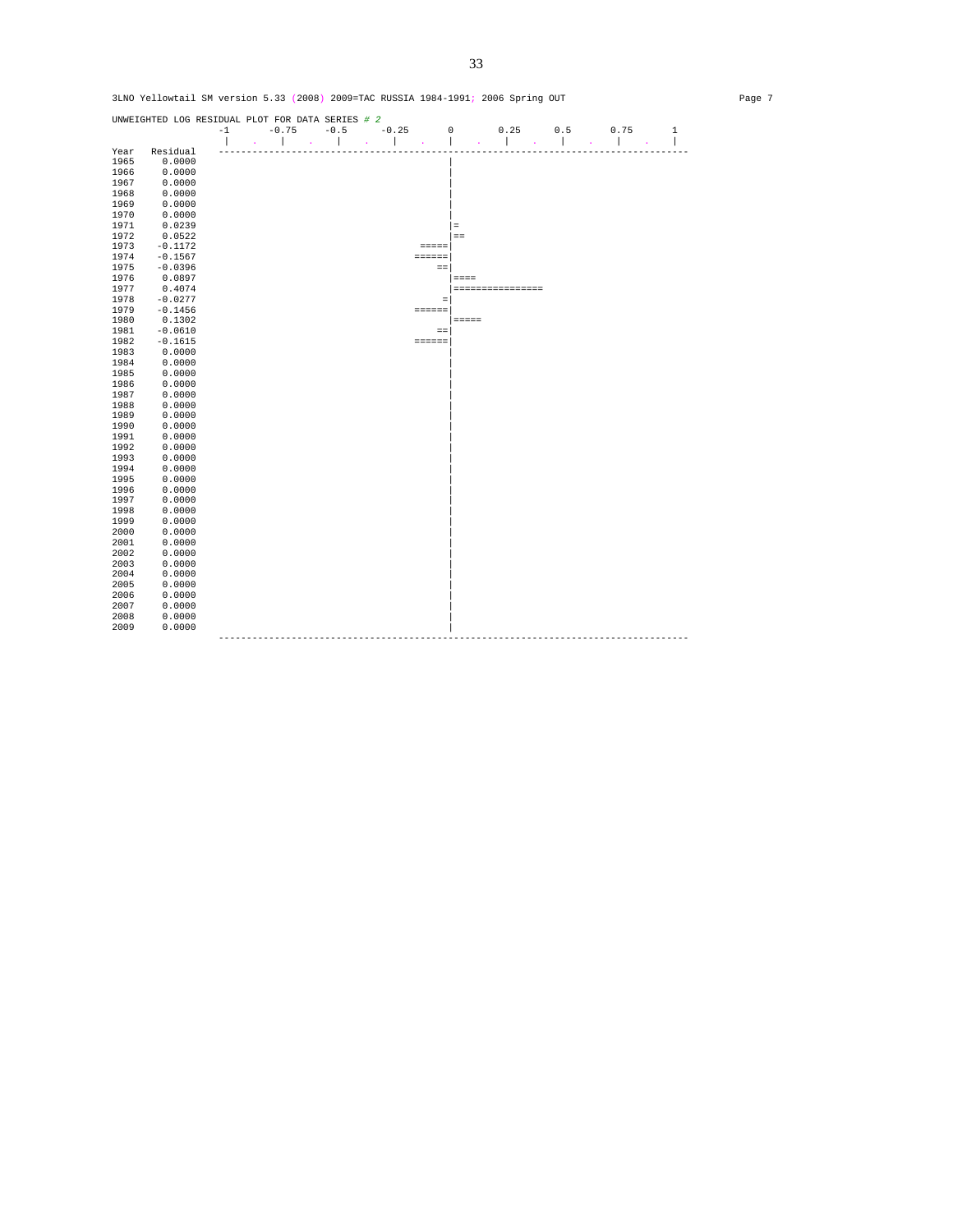

33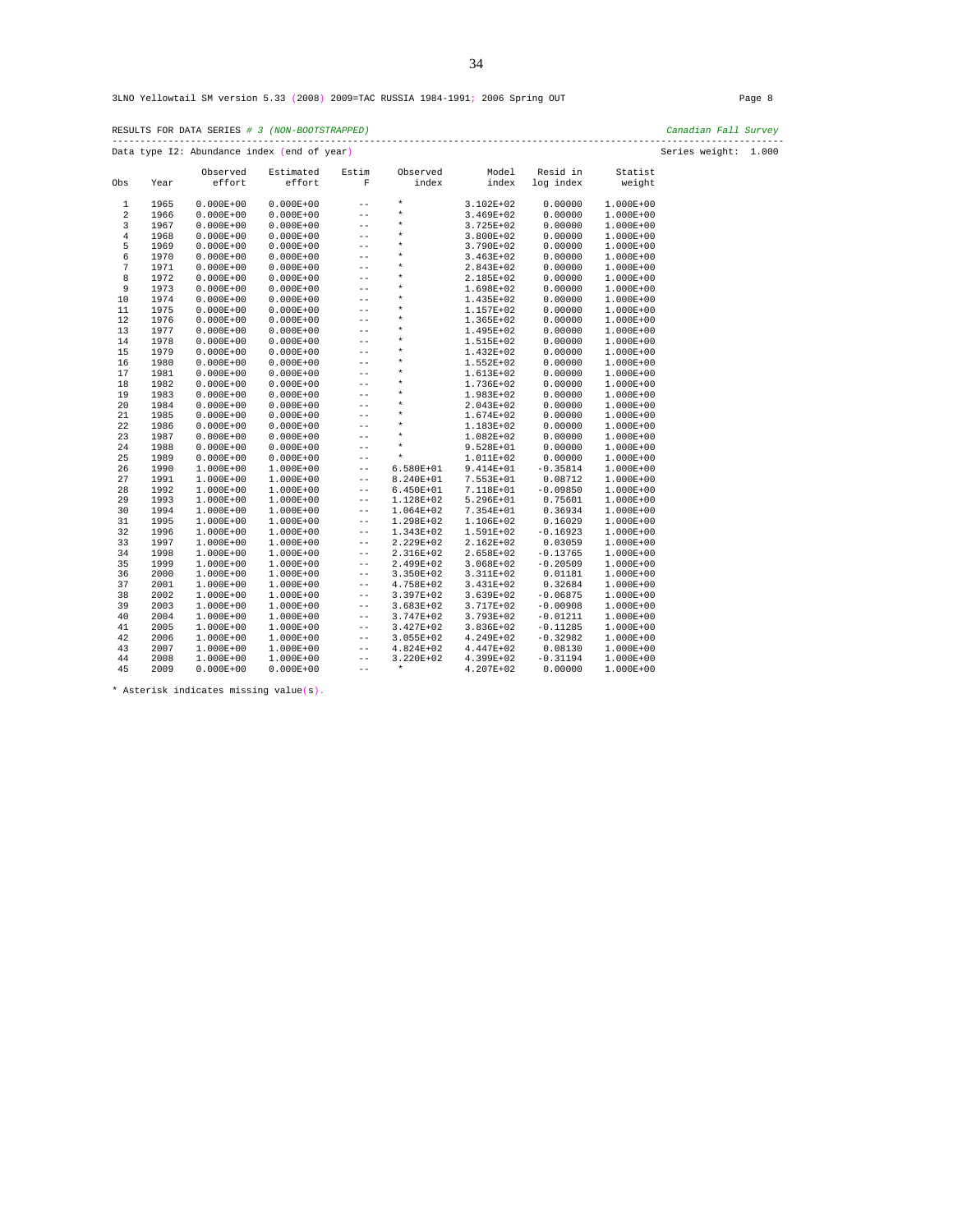| RESULTS FOR DATA SERIES # 3 (NON-BOOTSTRAPPED) | Canadian Fall Survey |
|------------------------------------------------|----------------------|
| Data type I2: Abundance index (end of year)    | Series weight: 1.000 |

|                |              | Observed                       | Estimated                      | Estim                      | Observed                   | Model                  | Resid in                 | Statist                        |
|----------------|--------------|--------------------------------|--------------------------------|----------------------------|----------------------------|------------------------|--------------------------|--------------------------------|
| Obs            | Year         | effort                         | effort                         | F                          | index                      | index                  | log index                | weight                         |
| 1              | 1965         | $0.000E + 00$                  | $0.000E + 00$                  | $-$                        | $\star$                    | 3.102E+02              | 0.00000                  | 1.000E+00                      |
| 2              | 1966         | $0.000E + 00$                  | $0.000E + 00$                  | $- -$                      | $\star$                    | 3.469E+02              | 0.00000                  | $1.000E + 00$                  |
| 3              | 1967         | $0.000E + 00$                  | $0.000E + 00$                  | $- -$                      | $^\star$                   | 3.725E+02              | 0.00000                  | 1.000E+00                      |
| $\overline{4}$ | 1968         | $0.000E + 00$                  | $0.000E + 00$                  | $-$                        | $^\star$                   | 3.800E+02              | 0.00000                  | $1.000E + 00$                  |
| 5              | 1969         | $0.000E + 00$                  | $0.000E + 00$                  | $- -$                      | $\star$                    | 3.790E+02              | 0.00000                  | $1.000E + 00$                  |
| 6              | 1970         | $0.000E + 00$                  | $0.000E + 00$                  | $ -$                       | $\star$                    | 3.463E+02              | 0.00000                  | $1.000E + 00$                  |
| 7              | 1971         | $0.000E + 00$                  | $0.000E + 00$                  | $- -$                      | $\star$                    | 2.843E+02              | 0.00000                  | $1.000E + 00$                  |
| 8              | 1972         | $0.000E + 00$                  | $0.000E + 00$                  | $-$                        | $\star$                    | 2.185E+02              | 0.00000                  | $1.000E + 00$                  |
| 9              | 1973         | $0.000E + 00$                  | $0.000E + 00$                  | $- -$                      | $\star$                    | 1.698E+02              | 0.00000                  | $1.000E + 00$                  |
| 10             | 1974         | $0.000E + 00$                  | $0.000E + 00$                  | $- -$                      | $\star$                    |                        |                          |                                |
|                | 1975         |                                |                                | $ -$                       | $\star$                    | 1.435E+02              | 0.00000<br>0.00000       | $1.000E + 00$                  |
| 11             | 1976         | $0.000E + 00$                  | $0.000E + 00$                  | $- -$                      | $\star$                    | 1.157E+02              | 0.00000                  | $1.000E + 00$                  |
| 12             |              | $0.000E + 00$                  | $0.000E + 00$                  | $-$                        | $\star$                    | 1.365E+02              | 0.00000                  | $1.000E + 00$                  |
| 13<br>14       | 1977<br>1978 | $0.000E + 00$<br>$0.000E + 00$ | $0.000E + 00$                  | $- -$                      | $\star$                    | 1.495E+02              | 0.00000                  | $1.000E + 00$                  |
| 15             | 1979         | $0.000E + 00$                  | $0.000E + 00$<br>$0.000E + 00$ | $- -$                      | $\star$                    | 1.515E+02<br>1.432E+02 | 0.00000                  | $1.000E + 00$<br>$1.000E + 00$ |
| 16             | 1980         | $0.000E + 00$                  | $0.000E + 00$                  | $- -$                      | $\star$                    | 1.552E+02              | 0.00000                  | $1.000E + 00$                  |
| 17             | 1981         | $0.000E + 00$                  | $0.000E + 00$                  | $- -$                      | $^\star$                   | 1.613E+02              | 0.00000                  | $1.000E + 00$                  |
|                |              |                                |                                | $ -$                       | $\star$                    |                        | 0.00000                  |                                |
| 18<br>19       | 1982<br>1983 | $0.000E + 00$<br>$0.000E + 00$ | $0.000E + 00$<br>$0.000E + 00$ |                            | $\star$                    | 1.736E+02<br>1.983E+02 | 0.00000                  | $1.000E + 00$                  |
|                | 1984         |                                |                                | $- -$<br>$- -$             | $\star$                    |                        |                          | $1.000E + 00$                  |
| 20<br>21       | 1985         | $0.000E + 00$<br>$0.000E + 00$ | $0.000E + 00$<br>$0.000E + 00$ |                            | $^\star$                   | 2.043E+02              | 0.00000<br>0.00000       | $1.000E + 00$                  |
| 22             |              |                                |                                | $- -$<br>$- -$             | $^\star$                   | 1.674E+02              | 0.00000                  | $1.000E + 00$                  |
| 23             | 1986         | $0.000E + 00$                  | $0.000E + 00$                  | $- -$                      | $\star$                    | 1.183E+02              | 0.00000                  | $1.000E + 00$                  |
|                | 1987         | $0.000E + 00$                  | $0.000E + 00$                  | $ -$                       | $\star$                    | 1.082E+02              |                          | $1.000E + 00$                  |
| 24             | 1988         | $0.000E + 00$                  | $0.000E + 00$                  | $- -$                      | $\star$                    | 9.528E+01              | 0.00000                  | 1.000E+00                      |
| 25<br>26       | 1989<br>1990 | $0.000E + 00$<br>$1.000E + 00$ | $0.000E + 00$<br>1.000E+00     | $- -$                      | $6.580E + 01$              | 1.011E+02<br>9.414E+01 | 0.00000<br>$-0.35814$    | $1.000E + 00$<br>$1.000E + 00$ |
|                | 1991         |                                |                                |                            |                            |                        |                          |                                |
| 27             |              | 1.000E+00                      | 1.000E+00                      | $- -$                      | 8.240E+01                  | 7.553E+01              | 0.08712                  | $1.000E + 00$                  |
| 28             | 1992         | $1.000E + 00$                  | 1.000E+00                      | $- -$                      | $6.450E + 01$              | 7.118E+01              | $-0.09850$               | 1.000E+00                      |
| 29             | 1993         | $1.000E + 00$                  | 1.000E+00                      | $\qquad \qquad -$          | 1.128E+02                  | 5.296E+01              | 0.75601                  | $1.000E + 00$                  |
| 30             | 1994         | $1.000E + 00$                  | 1.000E+00                      | $- -$<br>$\qquad \qquad -$ | 1.064E+02                  | 7.354E+01              | 0.36934                  | $1.000E + 00$                  |
| 31<br>32       | 1995         | 1.000E+00                      | 1.000E+00                      |                            | 1.298E+02                  | 1.106E+02              | 0.16029                  | $1.000E + 00$                  |
|                | 1996         | $1.000E + 00$                  | 1.000E+00                      | $- -$                      | 1.343E+02                  | 1.591E+02              | $-0.16923$               | $1.000E + 00$                  |
| 33             | 1997         | $1.000E + 00$                  | 1.000E+00                      | $- -$                      | 2.229E+02                  | 2.162E+02              | 0.03059                  | $1.000E + 00$                  |
| 34             | 1998         | $1.000E + 00$                  | 1.000E+00                      | $- -$                      | 2.316E+02                  | 2.658E+02              | $-0.13765$               | $1.000E + 00$                  |
| 35             | 1999         | $1.000E + 00$                  | 1.000E+00                      | $\qquad \qquad -$          | 2.499E+02                  | 3.068E+02              | $-0.20509$               | $1.000E + 00$                  |
| 36             | 2000         | 1.000E+00                      | 1.000E+00                      | $- -$                      | 3.350E+02                  | 3.311E+02              | 0.01181                  | $1.000E + 00$                  |
| 37             | 2001         | $1.000E + 00$                  | 1.000E+00                      | $- -$                      | 4.758E+02                  | 3.431E+02              | 0.32684                  | $1.000E + 00$                  |
| 38<br>39       | 2002<br>2003 | $1.000E + 00$                  | 1.000E+00                      | $- -$                      | 3.397E+02<br>$3.683E + 02$ | 3.639E+02<br>3.717E+02 | $-0.06875$<br>$-0.00908$ | $1.000E + 00$                  |
|                |              | $1.000E + 00$                  | 1.000E+00                      | $- -$                      |                            |                        |                          | $1.000E + 00$                  |
| 40             | 2004<br>2005 | $1.000E + 00$                  | 1.000E+00                      | $- -$                      | 3.747E+02                  | 3.793E+02              | $-0.01211$               | 1.000E+00                      |
| 41             |              | $1.000E + 00$                  | 1.000E+00                      | $- -$                      | 3.427E+02                  | 3.836E+02              | $-0.11285$               | $1.000E + 00$                  |
| 42             | 2006         | $1.000E + 00$                  | 1.000E+00                      | $\qquad \qquad -$          | $3.055E + 02$              | 4.249E+02              | $-0.32982$               | $1.000E + 00$                  |
| 43<br>44       | 2007<br>2008 | $1.000E + 00$                  | 1.000E+00                      | $- -$                      | 4.824E+02<br>3.220E+02     | 4.447E+02              | 0.08130                  | $1.000E + 00$                  |
| 45             |              | $1.000E + 00$                  | $1.000E + 00$                  | $- -$<br>$ -$              | $\star$                    | 4.399E+02              | $-0.31194$               | $1.000E + 00$                  |
|                | 2009         | $0.000E + 00$                  | $0.000E + 00$                  |                            |                            | 4.207E+02              | 0.00000                  | $1.000E + 00$                  |

\* Asterisk indicates missing value(s).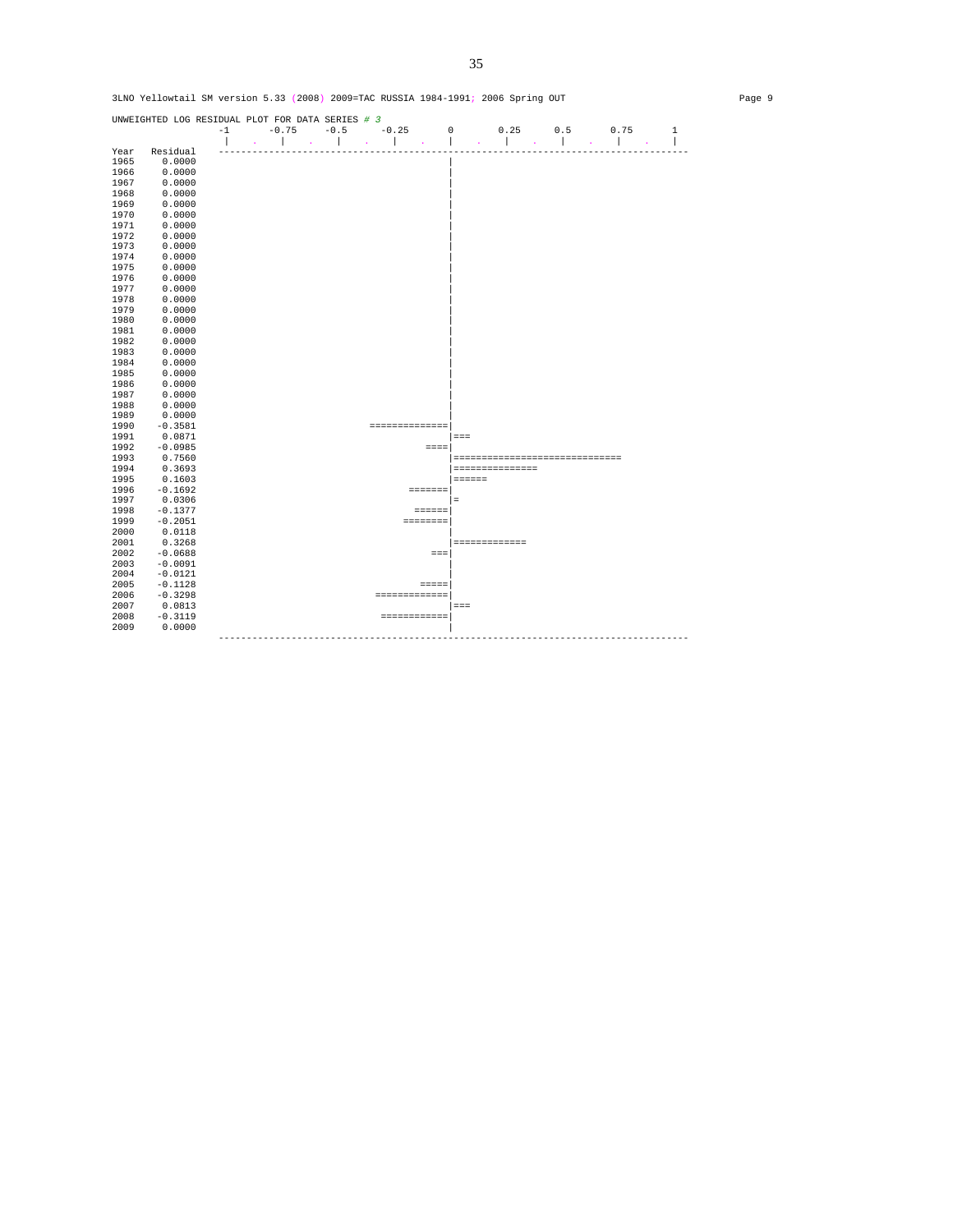UNWEIGHTED LOG RESIDUAL PLOT FOR DATA SERIES *# 3*  -1 -0.75 -0.5 -0.25 0 0.25 0.5 0.75 1 | . | . | . | . | . | . | . | . | Year Residual ------------------------------------------------------------------------------------ 1965 Residual<br>1965 0.0000<br>1966 0.0000 1966 0.0000<br>1967 0.0000<br>1968 0.0000 1967 0.0000 | 1968 0.0000 | 1969 0.0000<br>1970 0.0000 1970 0.0000 | 1971 0.0000 |  $1972$  0.0000  $\blacksquare$ 1973 0.0000<br>1974 0.0000<br>1975 0.0000 1974 0.0000 | 1975 0.0000 | 1976 0.0000 | 1977 0.0000 | 1978 0.0000<br>1979 0.0000  $1979$  0.0000 | 1980 0.0000<br>1981 0.0000 1981 0.0000 | 1982 0.0000<br>1983 0.0000  $0.0000$  $\begin{array}{ccc} 1984 & \quad & 0.0000 \\ 1985 & \quad & 0.0000 \end{array}$ 1985 0.0000<br>1986 0.0000  $1986$  0.0000 | 1987 0.0000<br>1988 0.0000<br>1989 0.0000 1988 0.0000 | 1989 0.0000 | 1990 -0.3581 ===============|<br>1991 0.0871 =======================| 1991 0.0871 |=== 1992 -0.0985<br>1992 -0.0985 ====<br>1993 0.7560 1993 0.7560 |============================== 1994 0.3693 |=============== 1995 0.1603 |====== 1996 -0.1692 =======| 1997 0.0306 |= 1998 -0.1377 ======| 1999 -0.2051 ========| 2000 0.0118<br>2001 0.3268 2001 0.3268 |=============  $2002$  -0.0688 ===|<br>2003 -0.0091  $2004$  -0.0121<br>2005 -0.1128 =====  $2005$   $-0.1128$ <br> $2006$   $-0.3298$ 2006 -0.3298 =============| 2007 0.0813 |=== 2008 -0.3119 ============|  $2009$  0.0000  $\blacksquare$ ------------------------------------------------------------------------------------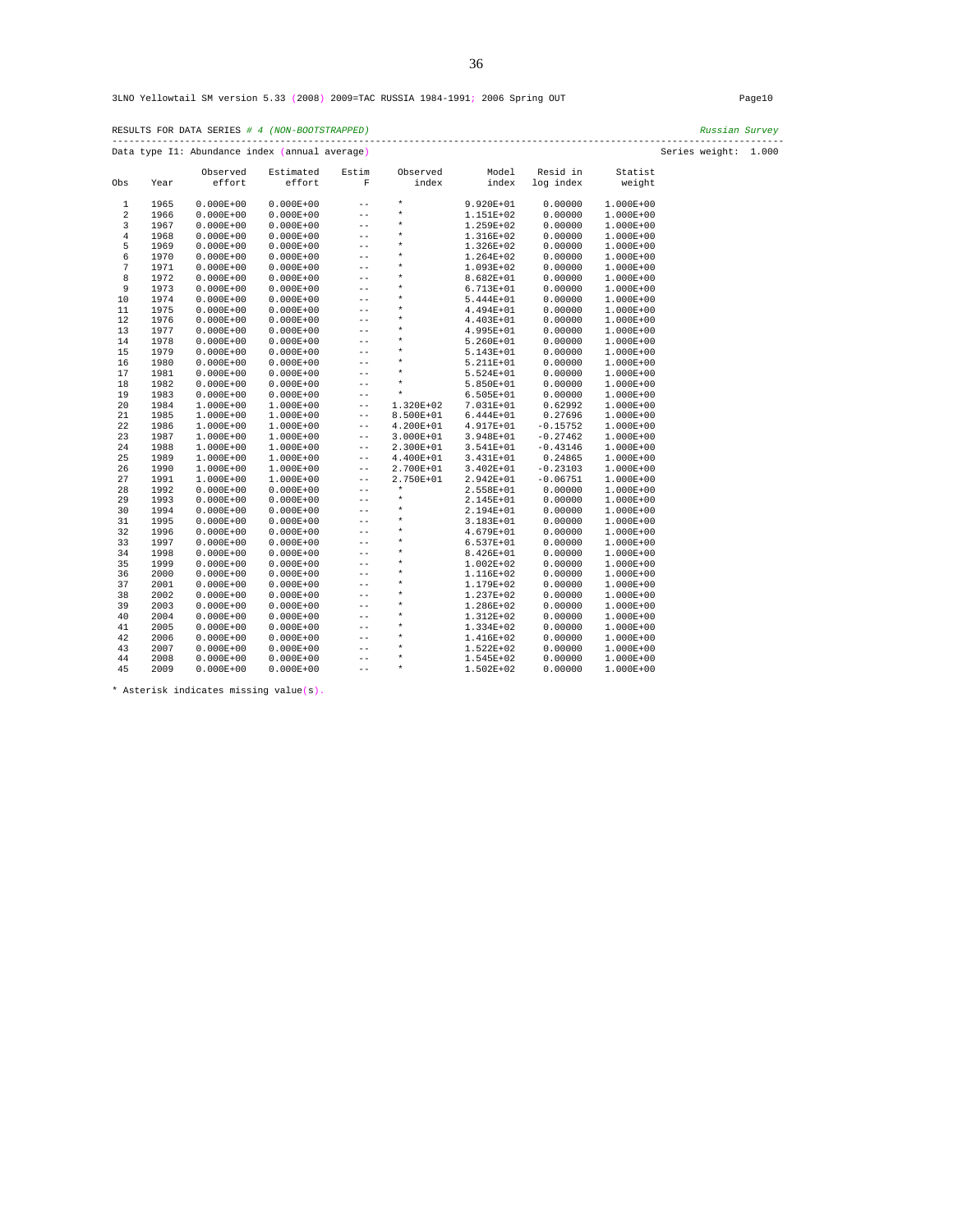| RESULTS FOR DATA SERIES # 4 (NON-BOOTSTRAPPED) | Russian Survev       |
|------------------------------------------------|----------------------|
| Data type I1: Abundance index (annual average) | Series weight: 1.000 |

|                |      | Observed      | Estimated     | Estim          | Observed  | Model         | Resid in   | Statist       |
|----------------|------|---------------|---------------|----------------|-----------|---------------|------------|---------------|
| Obs            | Year | effort        | effort        | F              | index     | index         | log index  | weight        |
| $\mathbf{1}$   | 1965 | $0.000E + 00$ | $0.000E + 00$ | $-$            | $\star$   | 9.920E+01     | 0.00000    | $1.000E + 00$ |
| 2              | 1966 | $0.000E + 00$ | $0.000E + 00$ | $- -$          | $^\star$  | 1.151E+02     | 0.00000    | $1.000E + 00$ |
| 3              | 1967 | $0.000E + 00$ | $0.000E + 00$ | $-$            | *         | 1.259E+02     | 0.00000    | $1.000E + 00$ |
| $\overline{4}$ | 1968 | $0.000E + 00$ | $0.000E + 00$ | $-$            | *         | 1.316E+02     | 0.00000    | 1.000E+00     |
| 5              | 1969 | $0.000E + 00$ | $0.000E + 00$ | $-$            | *         | 1.326E+02     | 0.00000    | $1.000E + 00$ |
| 6              | 1970 | $0.000E + 00$ | $0.000E + 00$ | $-$            | *         | 1.264E+02     | 0.00000    | 1.000E+00     |
| 7              | 1971 | $0.000E + 00$ | $0.000E + 00$ | $-$            | *         | 1.093E+02     | 0.00000    | $1.000E + 00$ |
| 8              | 1972 | $0.000E + 00$ | $0.000E + 00$ | $-$            | *         | 8.682E+01     | 0.00000    | $1.000E + 00$ |
| 9              | 1973 | $0.000E + 00$ | $0.000E + 00$ | --             | $\star$   | 6.713E+01     | 0.00000    | $1.000E + 00$ |
| 10             | 1974 | $0.000E + 00$ | $0.000E + 00$ | $-$            | $\star$   | 5.444E+01     | 0.00000    | $1.000E + 00$ |
| 11             | 1975 | $0.000E + 00$ | $0.000E + 00$ | $-$            | *         | 4.494E+01     | 0.00000    | $1.000E + 00$ |
| 12             | 1976 | $0.000E + 00$ | $0.000E + 00$ | --             | *         | 4.403E+01     | 0.00000    | $1.000E + 00$ |
| 13             | 1977 | $0.000E + 00$ | $0.000E + 00$ | --             | $^\star$  | 4.995E+01     | 0.00000    | $1.000E + 00$ |
| 14             | 1978 | $0.000E + 00$ | $0.000E + 00$ | $-$            | *         | 5.260E+01     | 0.00000    | $1.000E + 00$ |
| 15             | 1979 | $0.000E + 00$ | $0.000E + 00$ | $-$            | *         | 5.143E+01     | 0.00000    | $1.000E + 00$ |
| 16             | 1980 | $0.000E + 00$ | $0.000E + 00$ | $-$            | *         | 5.211E+01     | 0.00000    | $1.000E + 00$ |
| 17             | 1981 | $0.000E + 00$ | $0.000E + 00$ | $- -$          | *         | 5.524E+01     | 0.00000    | 1.000E+00     |
| 18             | 1982 | $0.000E + 00$ | $0.000E + 00$ | $-$            | $^\star$  | 5.850E+01     | 0.00000    | 1.000E+00     |
| 19             | 1983 | $0.000E + 00$ | $0.000E + 00$ | $- -$          | $\star$   | 6.505E+01     | 0.00000    | 1.000E+00     |
| 20             | 1984 | 1.000E+00     | 1.000E+00     | $- -$          | 1.320E+02 | 7.031E+01     | 0.62992    | $1.000E + 00$ |
| 21             | 1985 | $1.000E + 00$ | 1.000E+00     | $-$            | 8.500E+01 | $6.444E + 01$ | 0.27696    | 1.000E+00     |
| 22             | 1986 | 1.000E+00     | 1.000E+00     | $- -$          | 4.200E+01 | 4.917E+01     | $-0.15752$ | $1.000E + 00$ |
| 23             | 1987 | 1.000E+00     | 1.000E+00     | $- -$          | 3.000E+01 | 3.948E+01     | $-0.27462$ | $1.000E + 00$ |
| 24             | 1988 | $1.000E + 00$ | 1.000E+00     | $- -$          | 2.300E+01 | 3.541E+01     | $-0.43146$ | $1.000E + 00$ |
| 25             | 1989 | 1.000E+00     | 1.000E+00     | $- -$          | 4.400E+01 | 3.431E+01     | 0.24865    | $1.000E + 00$ |
| 26             | 1990 | 1.000E+00     | 1.000E+00     | $- -$          | 2.700E+01 | $3.402E + 01$ | $-0.23103$ | 1.000E+00     |
| 27             | 1991 | $1.000E + 00$ | 1.000E+00     | $- -$          | 2.750E+01 | 2.942E+01     | $-0.06751$ | $1.000E + 00$ |
| 28             | 1992 | $0.000E + 00$ | $0.000E + 00$ | $-$            | $\star$   | 2.558E+01     | 0.00000    | $1.000E + 00$ |
| 29             | 1993 | $0.000E + 00$ | $0.000E + 00$ | --             | $\star$   | 2.145E+01     | 0.00000    | $1.000E + 00$ |
| 30             | 1994 | $0.000E + 00$ | $0.000E + 00$ | $-$            | $\star$   | 2.194E+01     | 0.00000    | 1.000E+00     |
| 31             | 1995 | $0.000E + 00$ | $0.000E + 00$ | $-$            | *         | 3.183E+01     | 0.00000    | $1.000E + 00$ |
| 32             | 1996 | $0.000E + 00$ | $0.000E + 00$ | $- -$          | $\star$   | 4.679E+01     | 0.00000    | $1.000E + 00$ |
| 33             | 1997 | $0.000E + 00$ | $0.000E + 00$ | $-$            | *         | $6.537E + 01$ | 0.00000    | $1.000E + 00$ |
| 34             | 1998 | $0.000E + 00$ | $0.000E + 00$ | $-$            | *         | 8.426E+01     | 0.00000    | $1.000E + 00$ |
| 35             | 1999 | $0.000E + 00$ | $0.000E + 00$ | $-$            | *         | $1.002E + 02$ | 0.00000    | 1.000E+00     |
| 36             | 2000 | $0.000E + 00$ | $0.000E + 00$ | $-$            | *         | 1.116E+02     | 0.00000    | $1.000E + 00$ |
| 37             | 2001 | $0.000E + 00$ | $0.000E + 00$ | $-$            | *         | 1.179E+02     | 0.00000    | 1.000E+00     |
| 38             | 2002 | $0.000E + 00$ | $0.000E + 00$ | $ -$           | *         | 1.237E+02     | 0.00000    | $1.000E + 00$ |
| 39             | 2003 | $0.000E + 00$ | $0.000E + 00$ | $-$            | *         | 1.286E+02     | 0.00000    | $1.000E + 00$ |
| 40             | 2004 | $0.000E + 00$ | $0.000E + 00$ | --             | $\star$   | 1.312E+02     | 0.00000    | $1.000E + 00$ |
| 41             | 2005 | $0.000E + 00$ | $0.000E + 00$ | --             | $\star$   | 1.334E+02     | 0.00000    | 1.000E+00     |
| 42             | 2006 | $0.000E + 00$ | $0.000E + 00$ |                | *         | 1.416E+02     | 0.00000    | $1.000E + 00$ |
| 43             | 2007 | $0.000E + 00$ | $0.000E + 00$ | --             | *         | 1.522E+02     | 0.00000    | $1.000E + 00$ |
| 44             | 2008 | $0.000E + 00$ | $0.000E + 00$ | --             | $\ast$    | 1.545E+02     | 0.00000    | 1.000E+00     |
| 45             | 2009 | $0.000E + 00$ | $0.000E + 00$ | $- -$<br>$- -$ | $\star$   | 1.502E+02     | 0.00000    | 1.000E+00     |
|                |      |               |               |                |           |               |            |               |

\* Asterisk indicates missing value(s).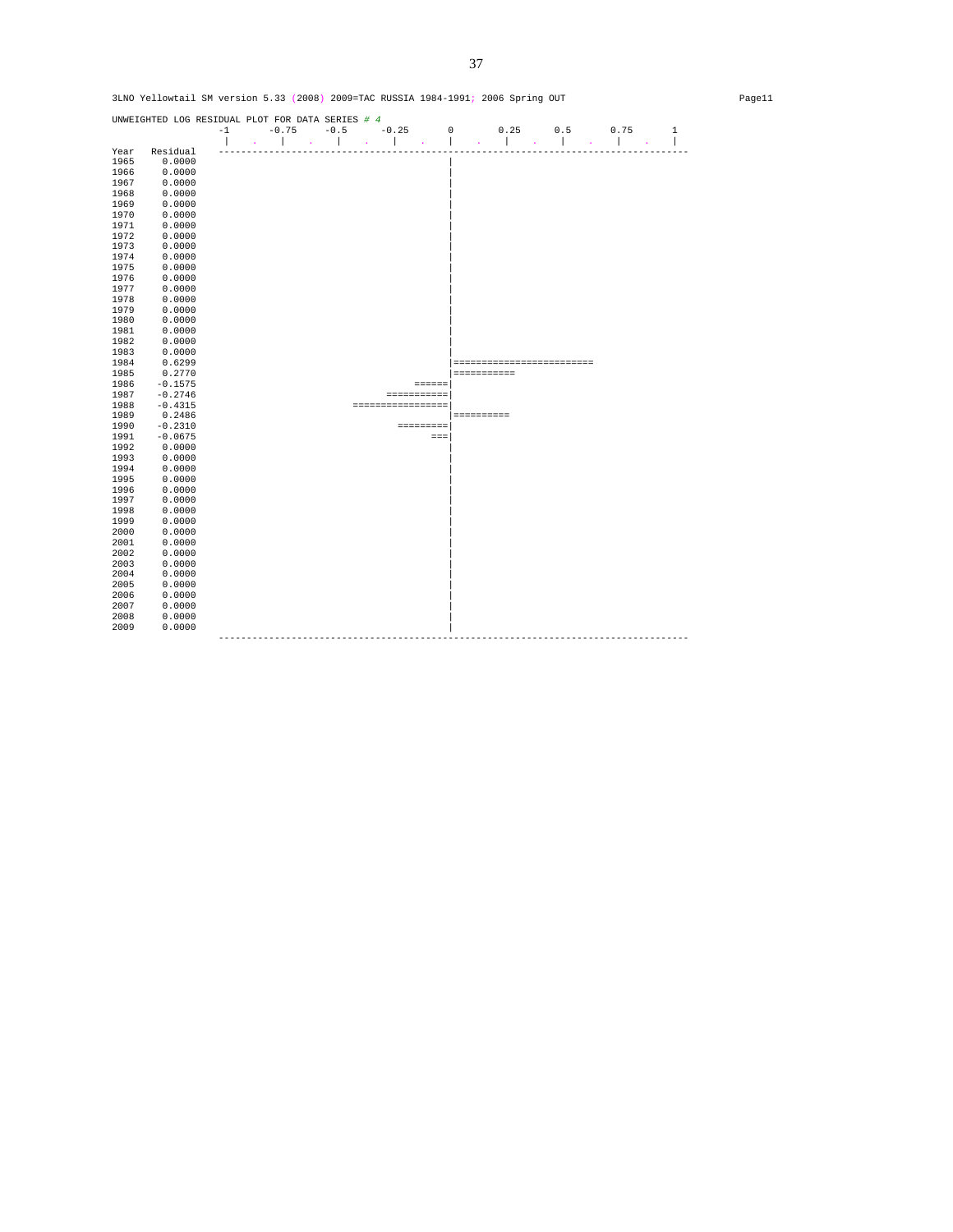UNWEIGHTED LOG RESIDUAL PLOT FOR DATA SERIES *# 4*  -1 -0.75 -0.5 -0.25 0 0.25 0.5 0.75 1 | . | . | . | . | . | . | . | . | Year Residual ------------------------------------------------------------------------------------ 1965 Residual<br>1965 0.0000<br>1966 0.0000 1966 0.0000<br>1967 0.0000<br>1968 0.0000 1967 0.0000 | 1968 0.0000 | 1969 0.0000<br>1970 0.0000 1970 0.0000 | 1971 0.0000 |  $1972$  0.0000  $\blacksquare$ 1973 0.0000<br>1974 0.0000<br>1975 0.0000 1974 0.0000 | 1975 0.0000 | 1976 0.0000 | 1977 0.0000 | 1978 0.0000<br>1979 0.0000  $1979$  0.0000 | 1980 0.0000<br>1981 0.0000 1981 0.0000 | 1982 0.0000<br>1983 0.0000<br>1983 0.0000 0.0000<br>0.6299<br>0.2770 1984 0.6299 |========================= 1985 0.2770 |=========== 1986 -0.1575<br>1987 -0.2746 1987 -0.2746 ===========| 1988 -0.4315 =================| 1989 0.2486 |========== 1990 -0.2310 =========| 1991 -0.0675 ===| 1992 0.0000<br>1993 0.0000 1993 0.0000 | 1994 0.0000<br>1995 0.0000 1995 0.0000 | 1996 0.0000 | 1997 0.0000<br>1998 0.0000  $1998$  0.0000  $\blacksquare$  $1999$  0.0000<br>  $2000$  0.0000<br>  $2001$  0.0000 2000 0.0000 | 2001 0.0000 | 2002 0.0000 | 2003 0.0000 | 2004 0.0000<br>2005 0.0000  $2005$  0.0000  $\blacksquare$ 2006 0.0000<br>2007 0.0000 2007 0.0000 | 2008 0.0000 | 2009 0.0000 | ------------------------------------------------------------------------------------

3LNO Yellowtail SM version 5.33 (2008) 2009=TAC RUSSIA 1984-1991; 2006 Spring OUT Page11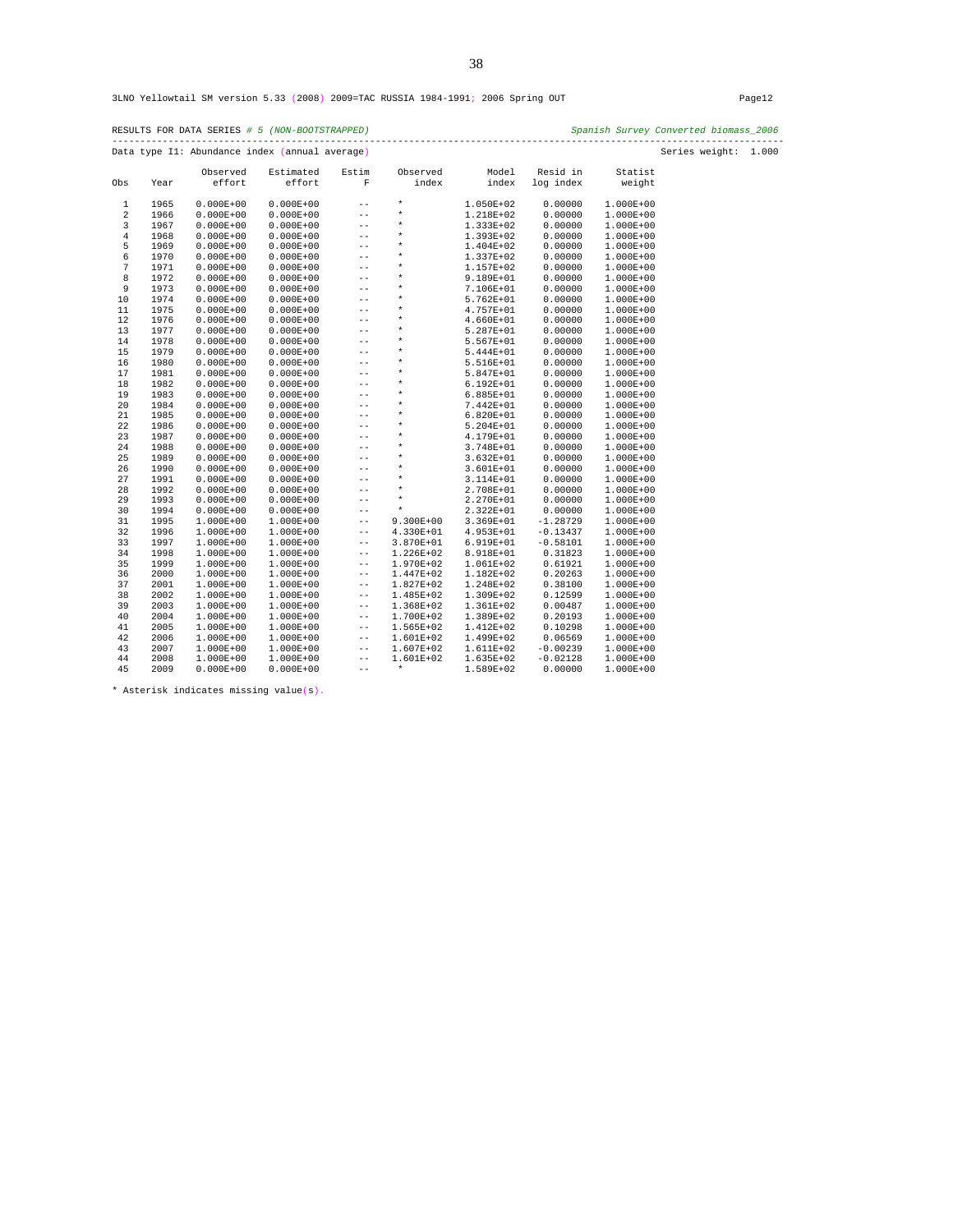|                |      |               | Data type I1: Abundance index (annual average) |                   |               |               |            |               | Series weight: 1.000 |  |
|----------------|------|---------------|------------------------------------------------|-------------------|---------------|---------------|------------|---------------|----------------------|--|
|                |      | Observed      | Estimated                                      | Estim             | Observed      | Model         | Resid in   | Statist       |                      |  |
| Obs            | Year | effort        | effort                                         | $\mathbf F$       | index         | index         | log index  | weight        |                      |  |
| 1              | 1965 | $0.000E + 00$ | $0.000E + 00$                                  | $ -$              | $\star$       | 1.050E+02     | 0.00000    | 1.000E+00     |                      |  |
| $\overline{2}$ | 1966 | $0.000E + 00$ | $0.000E + 00$                                  | $\qquad \qquad -$ | $\star$       | 1.218E+02     | 0.00000    | $1.000E + 00$ |                      |  |
| 3              | 1967 | $0.000E + 00$ | $0.000E + 00$                                  | $ -$              | $\star$       | 1.333E+02     | 0.00000    | 1.000E+00     |                      |  |
| $\bf 4$        | 1968 | $0.000E + 00$ | $0.000E + 00$                                  | $\sim$ $-$        | $\star$       | 1.393E+02     | 0.00000    | 1.000E+00     |                      |  |
| 5              | 1969 | $0.000E + 00$ | $0.000E + 00$                                  | $ -$              | $\star$       | 1.404E+02     | 0.00000    | 1.000E+00     |                      |  |
| 6              | 1970 | $0.000E + 00$ | $0.000E + 00$                                  | $ -$              | $\star$       | 1.337E+02     | 0.00000    | 1.000E+00     |                      |  |
| $\sqrt{ }$     | 1971 | $0.000E + 00$ | $0.000E + 00$                                  | $ -$              | $\star$       | 1.157E+02     | 0.00000    | 1.000E+00     |                      |  |
| 8              | 1972 | $0.000E + 00$ | $0.000E + 00$                                  | $ -$              | $\star$       | 9.189E+01     | 0.00000    | 1.000E+00     |                      |  |
| 9              | 1973 | $0.000E + 00$ | $0.000E + 00$                                  | $-\,-$            | $\star$       | 7.106E+01     | 0.00000    | 1.000E+00     |                      |  |
| 10             | 1974 | $0.000E + 00$ | $0.000E + 00$                                  | $- \, -$          | $\star$       | 5.762E+01     | 0.00000    | 1.000E+00     |                      |  |
| 11             | 1975 | $0.000E + 00$ | $0.000E + 00$                                  | $ -$              | $\star$       | 4.757E+01     | 0.00000    | 1.000E+00     |                      |  |
| 12             | 1976 | $0.000E + 00$ | $0.000E + 00$                                  | $ -$              | $\star$       | 4.660E+01     | 0.00000    | 1.000E+00     |                      |  |
| 13             | 1977 | $0.000E + 00$ | $0.000E + 00$                                  | $ -$              | $\star$       | 5.287E+01     | 0.00000    | 1.000E+00     |                      |  |
| 14             | 1978 | $0.000E + 00$ | $0.000E + 00$                                  | $ -$              | $\star$       | 5.567E+01     | 0.00000    | 1.000E+00     |                      |  |
| 15             | 1979 | $0.000E + 00$ | $0.000E + 00$                                  | $ -$              | $\star$       | 5.444E+01     | 0.00000    | 1.000E+00     |                      |  |
| 16             | 1980 | $0.000E + 00$ | $0.000E + 00$                                  | $-\,-$            | $\star$       | 5.516E+01     | 0.00000    | 1.000E+00     |                      |  |
| 17             | 1981 | $0.000E + 00$ | $0.000E + 00$                                  | $- \, -$          | $\star$       | 5.847E+01     | 0.00000    | 1.000E+00     |                      |  |
| 18             | 1982 | $0.000E + 00$ | $0.000E + 00$                                  | $ -$              | $\star$       | $6.192E + 01$ | 0.00000    | 1.000E+00     |                      |  |
| 19             | 1983 | $0.000E + 00$ | $0.000E + 00$                                  | $ -$              | $\star$       | $6.885E+01$   | 0.00000    | $1.000E + 00$ |                      |  |
| 20             | 1984 | $0.000E + 00$ | $0.000E + 00$                                  | $ -$              | $\star$       | 7.442E+01     | 0.00000    | 1.000E+00     |                      |  |
| 21             | 1985 | $0.000E + 00$ | $0.000E + 00$                                  | $\sim$ $-$        | $\star$       | 6.820E+01     | 0.00000    | 1.000E+00     |                      |  |
| 22             | 1986 | $0.000E + 00$ | $0.000E + 00$                                  | $ -$              | $\star$       | 5.204E+01     | 0.00000    | 1.000E+00     |                      |  |
| 23             | 1987 | $0.000E + 00$ | $0.000E + 00$                                  | $-\,-$            | $\star$       | 4.179E+01     | 0.00000    | 1.000E+00     |                      |  |
| 24             | 1988 | $0.000E + 00$ | $0.000E + 00$                                  | $ -$              | $\star$       | 3.748E+01     | 0.00000    | 1.000E+00     |                      |  |
| 25             | 1989 | $0.000E + 00$ | $0.000E + 00$                                  | $ -$              | $\star$       | $3.632E + 01$ | 0.00000    | 1.000E+00     |                      |  |
| 26             | 1990 | $0.000E + 00$ | $0.000E + 00$                                  | $- \, -$          | $\star$       | 3.601E+01     | 0.00000    | 1.000E+00     |                      |  |
| 27             | 1991 | $0.000E + 00$ | $0.000E + 00$                                  | $ -$              | $\star$       | 3.114E+01     | 0.00000    | 1.000E+00     |                      |  |
| 28             | 1992 | $0.000E + 00$ | $0.000E + 00$                                  | $ -$              | $\star$       | 2.708E+01     | 0.00000    | 1.000E+00     |                      |  |
| 29             | 1993 | $0.000E + 00$ | $0.000E + 00$                                  | $-\,-$            | $\star$       | 2.270E+01     | 0.00000    | 1.000E+00     |                      |  |
| 30             | 1994 | $0.000E + 00$ | $0.000E + 00$                                  | $\sim$ $-$        | $\star$       | 2.322E+01     | 0.00000    | 1.000E+00     |                      |  |
| 31             | 1995 | $1.000E + 00$ | 1.000E+00                                      | $ -$              | $9.300E + 00$ | 3.369E+01     | $-1.28729$ | 1.000E+00     |                      |  |
| 32             | 1996 | $1.000E + 00$ | 1.000E+00                                      | $ -$              | 4.330E+01     | 4.953E+01     | $-0.13437$ | 1.000E+00     |                      |  |
| 33             | 1997 | $1.000E + 00$ | 1.000E+00                                      | $ -$              | 3.870E+01     | 6.919E+01     | $-0.58101$ | $1.000E + 00$ |                      |  |
| 34             | 1998 | $1.000E + 00$ | 1.000E+00                                      | $- \, -$          | 1.226E+02     | 8.918E+01     | 0.31823    | 1.000E+00     |                      |  |
| 35             | 1999 | $1.000E + 00$ | 1.000E+00                                      | $ -$              | 1.970E+02     | 1.061E+02     | 0.61921    | 1.000E+00     |                      |  |
| 36             | 2000 | $1.000E + 00$ | 1.000E+00                                      | $ -$              | 1.447E+02     | 1.182E+02     | 0.20263    | 1.000E+00     |                      |  |
| 37             | 2001 | $1.000E + 00$ | 1.000E+00                                      | $ -$              | 1.827E+02     | 1.248E+02     | 0.38100    | 1.000E+00     |                      |  |
| 38             | 2002 | $1.000E + 00$ | 1.000E+00                                      | $- \, -$          | 1.485E+02     | 1.309E+02     | 0.12599    | 1.000E+00     |                      |  |
| 39             | 2003 | $1.000E + 00$ | 1.000E+00                                      | $- \, -$          | 1.368E+02     | 1.361E+02     | 0.00487    | 1.000E+00     |                      |  |
| 40             | 2004 | $1.000E + 00$ | 1.000E+00                                      | $ -$              | 1.700E+02     | 1.389E+02     | 0.20193    | 1.000E+00     |                      |  |
| 41             | 2005 | $1.000E + 00$ | 1.000E+00                                      | $- \, -$          | 1.565E+02     | 1.412E+02     | 0.10298    | 1.000E+00     |                      |  |
| 42             | 2006 | $1.000E + 00$ | 1.000E+00                                      | $ -$              | 1.601E+02     | 1.499E+02     | 0.06569    | 1.000E+00     |                      |  |
| 43             | 2007 | $1.000E + 00$ | 1.000E+00                                      | $ -$              | 1.607E+02     | 1.611E+02     | $-0.00239$ | 1.000E+00     |                      |  |
| 44             | 2008 | $1.000E + 00$ | 1.000E+00                                      | $ -$              | 1.601E+02     | 1.635E+02     | $-0.02128$ | 1.000E+00     |                      |  |
| 45             | 2009 | $0.000E + 00$ | $0.000E + 00$                                  | $ -$              | $\star$       | 1.589E+02     | 0.00000    | 1.000E+00     |                      |  |

\* Asterisk indicates missing value(s).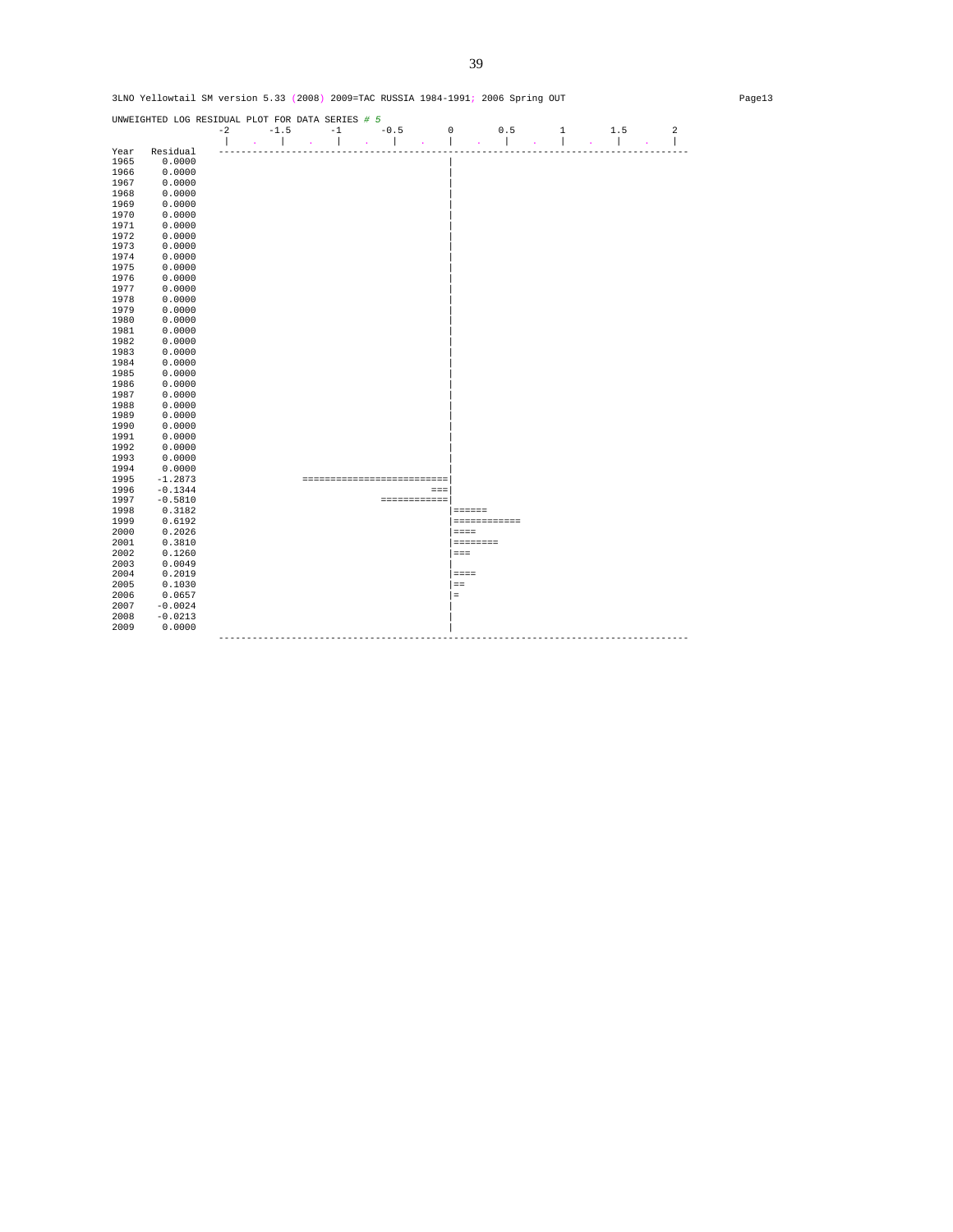UNWEIGHTED LOG RESIDUAL PLOT FOR DATA SERIES *# 5*  -2 -1.5 -1 -0.5 0 0.5 1 1.5 2 | . | . | . | . | . | . | . | . | Year Residual ------------------------------------------------------------------------------------ 1965 Residual<br>1965 0.0000<br>1966 0.0000 1966 0.0000<br>1967 0.0000<br>1968 0.0000 1967 0.0000 | 1968 0.0000 | 1969 0.0000<br>1970 0.0000 1970 0.0000 | 1971 0.0000 |  $1972$  0.0000  $\blacksquare$ 1973 0.0000<br>1974 0.0000<br>1975 0.0000 1974 0.0000 | 1975 0.0000 | 1976 0.0000 | 1977 0.0000 | 1978 0.0000<br>1979 0.0000  $1979$  0.0000 | 1980 0.0000<br>1981 0.0000 1981 0.0000 | 1982 0.0000<br>1983 0.0000  $0.0000$  $\begin{array}{ccc} 1984 & \quad & 0.0000 \\ 1985 & \quad & 0.0000 \end{array}$ 1985 0.0000<br>1986 0.0000 1986 0.0000 | 1987 0.0000 | 1988 0.0000 | 1989 0.0000 | 1990 0.0000<br>1991 0.0000 1991 0.0000 | 1992 0.0000 | 1993 0.0000 | 1994 0.0000<br>1995 -1.2873 1995 -1.2873 ==========================| 1996 -0.1344 ===| 1997 -0.5810 ============| 1998 0.3182 |====== 1999 0.6192 |============  $2000$   $0.2026$ <br>  $2001$   $0.3810$ 2001 0.3810 |======== 2002 0.1260 |=== 2003 0.0049 | 2004 0.2019 |====  $\begin{array}{ccc} 2005 && 0.1030 \\ 2006 && 0.0657 \end{array}$ 2006 0.0657<br>2007 -0.0024  $2007$   $-0.0024$   $\Big\}$ 2009 0.0000 | ------------------------------------------------------------------------------------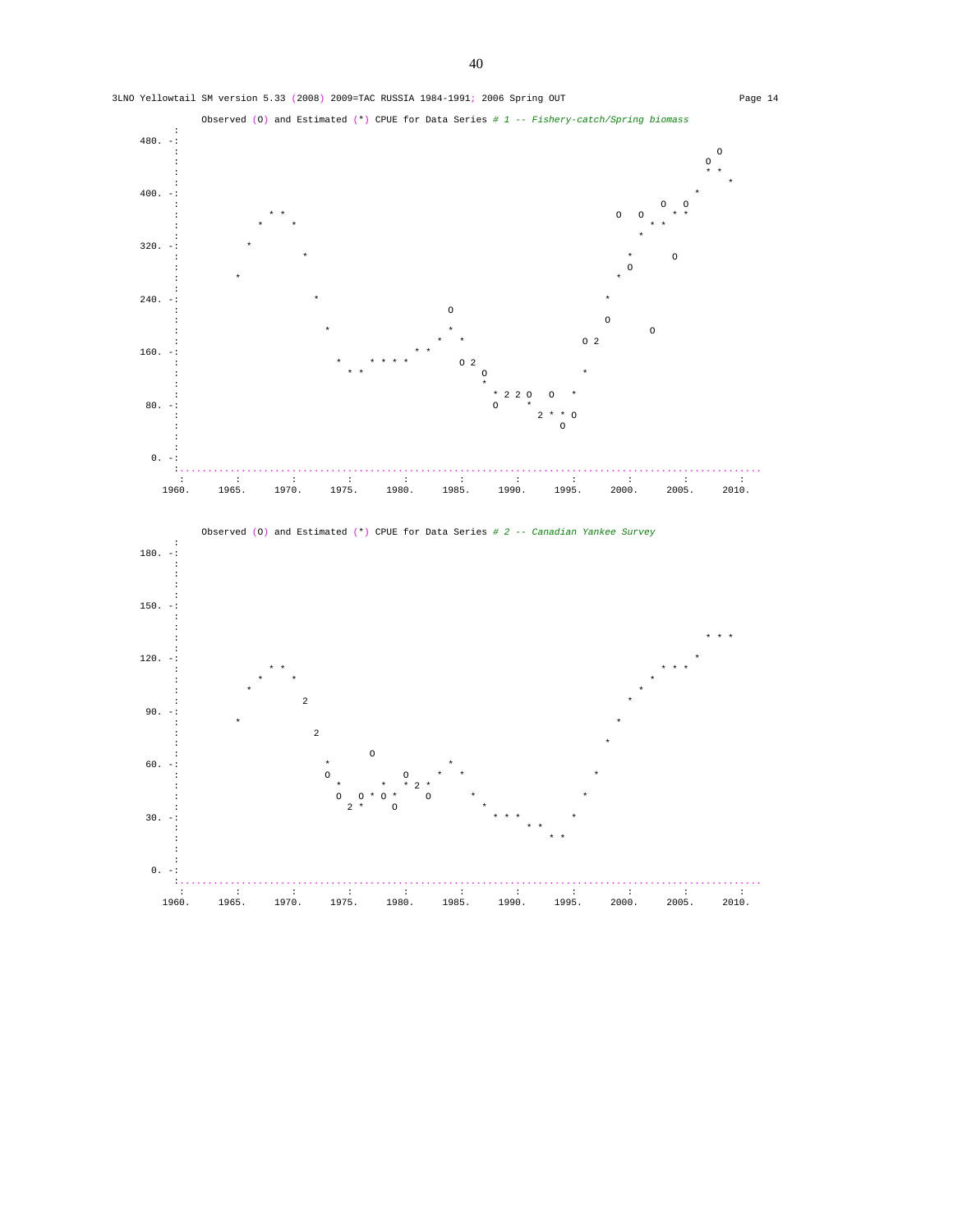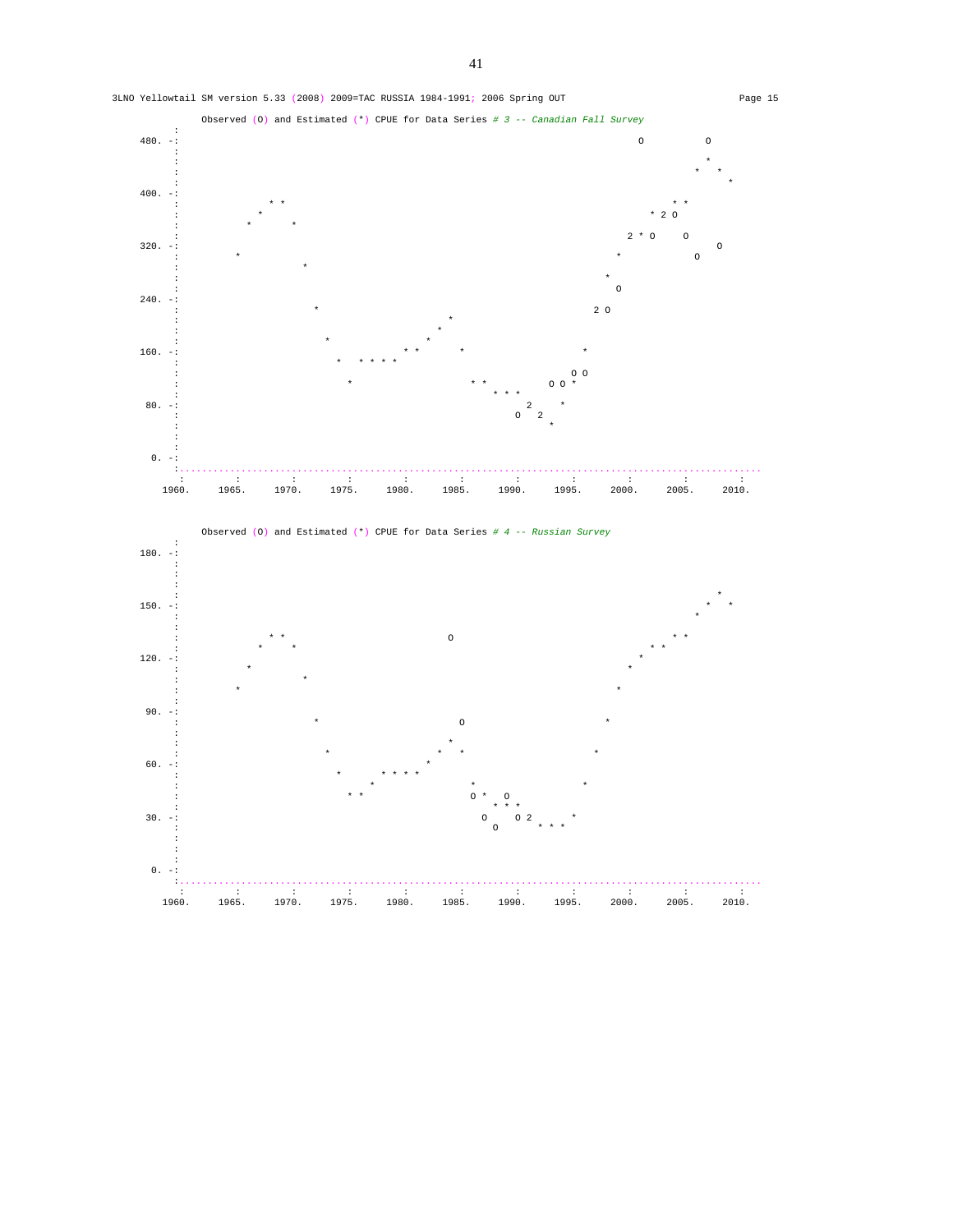

 $\mathcal{L}^{\mathcal{L}}(\mathcal{L}^{\mathcal{L}}(\mathcal{L}^{\mathcal{L}}(\mathcal{L}^{\mathcal{L}}(\mathcal{L}^{\mathcal{L}}(\mathcal{L}^{\mathcal{L}}(\mathcal{L}^{\mathcal{L}}(\mathcal{L}^{\mathcal{L}}(\mathcal{L}^{\mathcal{L}}(\mathcal{L}^{\mathcal{L}}(\mathcal{L}^{\mathcal{L}}(\mathcal{L}^{\mathcal{L}}(\mathcal{L}^{\mathcal{L}}(\mathcal{L}^{\mathcal{L}}(\mathcal{L}^{\mathcal{L}}(\mathcal{L}^{\mathcal{L}}(\mathcal{L}^{\mathcal{L$ 1960. 1965. 1970. 1975. 1980. 1985. 1990. 1995. 2000. 2005. 2010.

3LNO Yellowtail SM version 5.33 (2008) 2009=TAC RUSSIA 1984-1991; 2006 Spring OUT Page 15

41